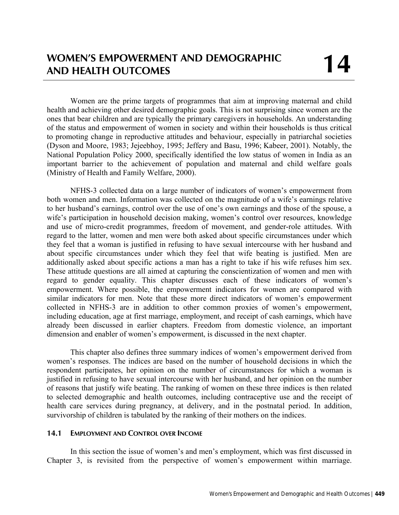Women are the prime targets of programmes that aim at improving maternal and child health and achieving other desired demographic goals. This is not surprising since women are the ones that bear children and are typically the primary caregivers in households. An understanding of the status and empowerment of women in society and within their households is thus critical to promoting change in reproductive attitudes and behaviour, especially in patriarchal societies (Dyson and Moore, 1983; Jejeebhoy, 1995; Jeffery and Basu, 1996; Kabeer, 2001). Notably, the National Population Policy 2000, specifically identified the low status of women in India as an important barrier to the achievement of population and maternal and child welfare goals (Ministry of Health and Family Welfare, 2000).

NFHS-3 collected data on a large number of indicators of women's empowerment from both women and men. Information was collected on the magnitude of a wife's earnings relative to her husband's earnings, control over the use of one's own earnings and those of the spouse, a wife's participation in household decision making, women's control over resources, knowledge and use of micro-credit programmes, freedom of movement, and gender-role attitudes. With regard to the latter, women and men were both asked about specific circumstances under which they feel that a woman is justified in refusing to have sexual intercourse with her husband and about specific circumstances under which they feel that wife beating is justified. Men are additionally asked about specific actions a man has a right to take if his wife refuses him sex. These attitude questions are all aimed at capturing the conscientization of women and men with regard to gender equality. This chapter discusses each of these indicators of women's empowerment. Where possible, the empowerment indicators for women are compared with similar indicators for men. Note that these more direct indicators of women's empowerment collected in NFHS-3 are in addition to other common proxies of women's empowerment, including education, age at first marriage, employment, and receipt of cash earnings, which have already been discussed in earlier chapters. Freedom from domestic violence, an important dimension and enabler of women's empowerment, is discussed in the next chapter.

This chapter also defines three summary indices of women's empowerment derived from women's responses. The indices are based on the number of household decisions in which the respondent participates, her opinion on the number of circumstances for which a woman is justified in refusing to have sexual intercourse with her husband, and her opinion on the number of reasons that justify wife beating. The ranking of women on these three indices is then related to selected demographic and health outcomes, including contraceptive use and the receipt of health care services during pregnancy, at delivery, and in the postnatal period. In addition, survivorship of children is tabulated by the ranking of their mothers on the indices.

# **14.1 EMPLOYMENT AND CONTROL OVER INCOME**

In this section the issue of women's and men's employment, which was first discussed in Chapter 3, is revisited from the perspective of women's empowerment within marriage.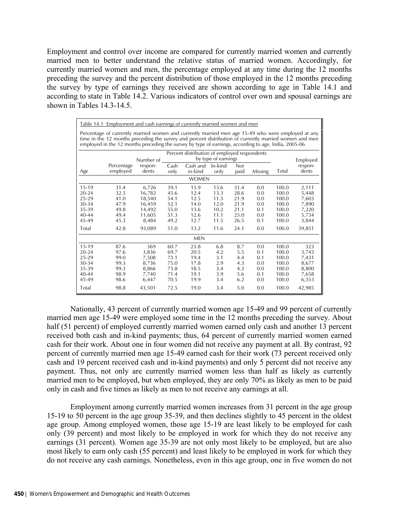Employment and control over income are compared for currently married women and currently married men to better understand the relative status of married women. Accordingly, for currently married women and men, the percentage employed at any time during the 12 months preceding the survey and the percent distribution of those employed in the 12 months preceding the survey by type of earnings they received are shown according to age in Table 14.1 and according to state in Table 14.2. Various indicators of control over own and spousal earnings are shown in Tables  $14.3-14.5$ .

|           | Table 14.1 Employment and cash earnings of currently married women and men                                                                                                                                                                                                                                           |                  |              |                                              |                     |                    |         |       |                  |
|-----------|----------------------------------------------------------------------------------------------------------------------------------------------------------------------------------------------------------------------------------------------------------------------------------------------------------------------|------------------|--------------|----------------------------------------------|---------------------|--------------------|---------|-------|------------------|
|           | Percentage of currently married women and currently married men age 15-49 who were employed at any<br>time in the 12 months preceding the survey and percent distribution of currently married women and men<br>employed in the 12 months preceding the survey by type of earnings, according to age, India, 2005-06 |                  |              |                                              |                     |                    |         |       |                  |
|           |                                                                                                                                                                                                                                                                                                                      |                  |              | Percent distribution of employed respondents |                     |                    |         |       |                  |
|           |                                                                                                                                                                                                                                                                                                                      | Number of        |              |                                              | by type of earnings |                    |         |       | Employed         |
| Age       | Percentage<br>employed                                                                                                                                                                                                                                                                                               | respon-<br>dents | Cash<br>only | Cash and<br>in-kind                          | In-kind<br>only     | <b>Not</b><br>paid | Missing | Total | respon-<br>dents |
|           |                                                                                                                                                                                                                                                                                                                      |                  |              | <b>WOMEN</b>                                 |                     |                    |         |       |                  |
|           |                                                                                                                                                                                                                                                                                                                      |                  |              |                                              |                     |                    |         |       |                  |
| 15-19     | 31.4                                                                                                                                                                                                                                                                                                                 | 6,726            | 39.1         | 15.9                                         | 13.6                | 31.4               | 0.0     | 100.0 | 2,111            |
| $20 - 24$ | 32.5                                                                                                                                                                                                                                                                                                                 | 16,782           | 45.6         | 12.4                                         | 13.3                | 28.6               | 0.0     | 100.0 | 5,448            |
| 25-29     | 41.0                                                                                                                                                                                                                                                                                                                 | 18,540           | 54.1         | 12.5                                         | 11.5                | 21.9               | 0.0     | 100.0 | 7,603            |
| 30-34     | 47.9                                                                                                                                                                                                                                                                                                                 | 16,459           | 52.1         | 14.0                                         | 12.0                | 21.9               | 0.0     | 100.0 | 7,890            |
| 35-39     | 49.8                                                                                                                                                                                                                                                                                                                 | 14,492           | 55.0         | 13.6                                         | 10.2                | 21.1               | 0.1     | 100.0 | 7,220            |
| $40 - 44$ | 49.4                                                                                                                                                                                                                                                                                                                 | 11,605           | 51.3         | 12.6                                         | 11.1                | 25.0               | 0.0     | 100.0 | 5,734            |
| 45-49     | 45.3                                                                                                                                                                                                                                                                                                                 | 8,484            | 49.2         | 12.7                                         | 11.5                | 26.5               | 0.1     | 100.0 | 3,844            |
| Total     | 42.8                                                                                                                                                                                                                                                                                                                 | 93,089           | 51.0         | 13.2                                         | 11.6                | 24.1               | 0.0     | 100.0 | 39,851           |
|           |                                                                                                                                                                                                                                                                                                                      |                  |              | <b>MEN</b>                                   |                     |                    |         |       |                  |
| $15-19$   | 87.6                                                                                                                                                                                                                                                                                                                 | 369              | 60.7         | 23.8                                         | 6.8                 | 8.7                | 0.0     | 100.0 | 323              |
| $20 - 24$ | 97.6                                                                                                                                                                                                                                                                                                                 | 3,836            | 69.7         | 20.5                                         | 4.2                 | 5.5                | 0.1     | 100.0 | 3,743            |
| 25-29     | 99.0                                                                                                                                                                                                                                                                                                                 | 7.508            | 73.1         | 19.4                                         | 3.1                 | 4.4                | 0.1     | 100.0 | 7,431            |
| 30-34     | 99.3                                                                                                                                                                                                                                                                                                                 | 8,736            | 75.0         | 17.8                                         | 2.9                 | 4.3                | 0.0     | 100.0 | 8,677            |
| 35-39     | 99.3                                                                                                                                                                                                                                                                                                                 | 8,866            | 73.8         | 18.5                                         | 3.4                 | 4.3                | 0.0     | 100.0 | 8,800            |
| $40 - 44$ | 98.9                                                                                                                                                                                                                                                                                                                 | 7,740            | 71.4         | 19.1                                         | 3.9                 | 5.6                | 0.1     | 100.0 | 7,658            |
| 45-49     | 98.6                                                                                                                                                                                                                                                                                                                 | 6,447            | 70.5         | 19.9                                         | 3.4                 | 6.2                | 0.0     | 100.0 | 6,353            |
| Total     | 98.8                                                                                                                                                                                                                                                                                                                 | 43,501           | 72.5         | 19.0                                         | 3.4                 | 5.0                | 0.0     | 100.0 | 42,985           |

Nationally, 43 percent of currently married women age 15-49 and 99 percent of currently married men age 15-49 were employed some time in the 12 months preceding the survey. About half (51 percent) of employed currently married women earned only cash and another 13 percent received both cash and in-kind payments; thus, 64 percent of currently married women earned cash for their work. About one in four women did not receive any payment at all. By contrast, 92 percent of currently married men age 15-49 earned cash for their work (73 percent received only cash and 19 percent received cash and in-kind payments) and only 5 percent did not receive any payment. Thus, not only are currently married women less than half as likely as currently married men to be employed, but when employed, they are only 70% as likely as men to be paid only in cash and five times as likely as men to not receive any earnings at all.

Employment among currently married women increases from 31 percent in the age group 15-19 to 50 percent in the age group 35-39, and then declines slightly to 45 percent in the oldest age group. Among employed women, those age 15-19 are least likely to be employed for cash only (39 percent) and most likely to be employed in work for which they do not receive any earnings (31 percent). Women age 35-39 are not only most likely to be employed, but are also most likely to earn only cash (55 percent) and least likely to be employed in work for which they do not receive any cash earnings. Nonetheless, even in this age group, one in five women do not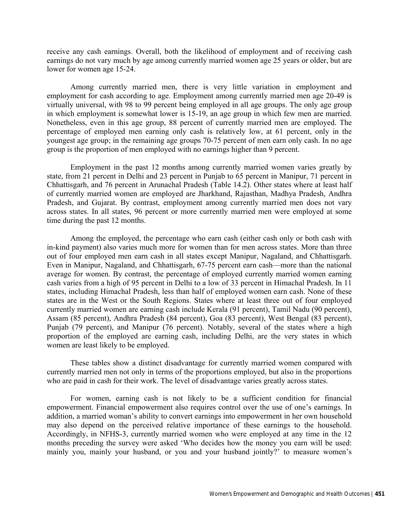receive any cash earnings. Overall, both the likelihood of employment and of receiving cash earnings do not vary much by age among currently married women age 25 years or older, but are lower for women age 15-24.

Among currently married men, there is very little variation in employment and employment for cash according to age. Employment among currently married men age 20-49 is virtually universal, with 98 to 99 percent being employed in all age groups. The only age group in which employment is somewhat lower is 15-19, an age group in which few men are married. Nonetheless, even in this age group, 88 percent of currently married men are employed. The percentage of employed men earning only cash is relatively low, at 61 percent, only in the youngest age group; in the remaining age groups 70-75 percent of men earn only cash. In no age group is the proportion of men employed with no earnings higher than 9 percent.

 Employment in the past 12 months among currently married women varies greatly by state, from 21 percent in Delhi and 23 percent in Punjab to 65 percent in Manipur, 71 percent in Chhattisgarh, and 76 percent in Arunachal Pradesh (Table 14.2). Other states where at least half of currently married women are employed are Jharkhand, Rajasthan, Madhya Pradesh, Andhra Pradesh, and Gujarat. By contrast, employment among currently married men does not vary across states. In all states, 96 percent or more currently married men were employed at some time during the past 12 months.

Among the employed, the percentage who earn cash (either cash only or both cash with in-kind payment) also varies much more for women than for men across states. More than three out of four employed men earn cash in all states except Manipur, Nagaland, and Chhattisgarh. Even in Manipur, Nagaland, and Chhattisgarh, 67-75 percent earn cash—more than the national average for women. By contrast, the percentage of employed currently married women earning cash varies from a high of 95 percent in Delhi to a low of 33 percent in Himachal Pradesh. In 11 states, including Himachal Pradesh, less than half of employed women earn cash. None of these states are in the West or the South Regions. States where at least three out of four employed currently married women are earning cash include Kerala (91 percent), Tamil Nadu (90 percent), Assam (85 percent), Andhra Pradesh (84 percent), Goa (83 percent), West Bengal (83 percent), Punjab (79 percent), and Manipur (76 percent). Notably, several of the states where a high proportion of the employed are earning cash, including Delhi, are the very states in which women are least likely to be employed.

These tables show a distinct disadvantage for currently married women compared with currently married men not only in terms of the proportions employed, but also in the proportions who are paid in cash for their work. The level of disadvantage varies greatly across states.

For women, earning cash is not likely to be a sufficient condition for financial empowerment. Financial empowerment also requires control over the use of one's earnings. In addition, a married woman's ability to convert earnings into empowerment in her own household may also depend on the perceived relative importance of these earnings to the household. Accordingly, in NFHS-3, currently married women who were employed at any time in the 12 months preceding the survey were asked 'Who decides how the money you earn will be used: mainly you, mainly your husband, or you and your husband jointly?' to measure women's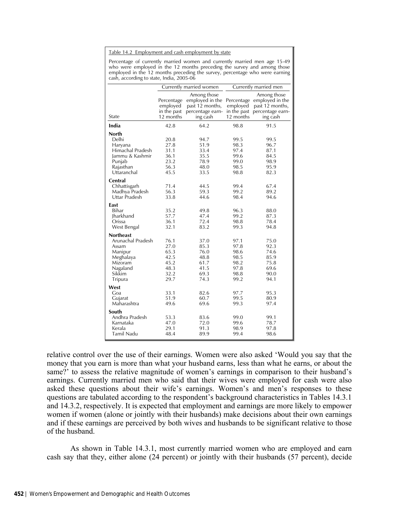#### Table 14.2 Employment and cash employment by state

Percentage of currently married women and currently married men age 15-49 who were employed in the 12 months preceding the survey and among those employed in the 12 months preceding the survey, percentage who were earning cash, according to state, India, 2005-06

|                                                                                                                    |                                                              | Currently married women                                                           |                                                              | Currently married men                                                                                    |
|--------------------------------------------------------------------------------------------------------------------|--------------------------------------------------------------|-----------------------------------------------------------------------------------|--------------------------------------------------------------|----------------------------------------------------------------------------------------------------------|
| State                                                                                                              | Percentage<br>employed<br>in the past<br>12 months           | Among those<br>employed in the<br>past 12 months,<br>percentage earn-<br>ing cash | employed<br>12 months                                        | Among those<br>Percentage employed in the<br>past 12 months,<br>in the past percentage earn-<br>ing cash |
| India                                                                                                              | 42.8                                                         | 64.2                                                                              | 98.8                                                         | 91.5                                                                                                     |
| North<br>Delhi<br>Haryana<br>Himachal Pradesh<br>Jammu & Kashmir<br>Punjab<br>Rajasthan<br>Uttaranchal             | 20.8<br>27.8<br>31.1<br>36.1<br>23.2<br>56.3<br>45.5         | 94.7<br>51.9<br>33.4<br>35.5<br>78.9<br>48.0<br>33.5                              | 99.5<br>98.3<br>97.4<br>99.6<br>99.0<br>98.5<br>98.8         | 99.5<br>96.7<br>87.1<br>84.5<br>98.9<br>95.9<br>82.3                                                     |
| Central<br>Chhattisgarh<br>Madhya Pradesh<br>Uttar Pradesh                                                         | 71.4<br>56.3<br>33.8                                         | 44.5<br>59.3<br>44.6                                                              | 99.4<br>99.2<br>98.4                                         | 67.4<br>89.2<br>94.6                                                                                     |
| East<br>Bihar<br>Jharkhand<br>Orissa<br>West Bengal                                                                | 35.2<br>57.7<br>36.1<br>32.1                                 | 49.8<br>47.4<br>72.4<br>83.2                                                      | 96.3<br>99.2<br>98.8<br>99.3                                 | 88.0<br>87.3<br>78.4<br>94.8                                                                             |
| <b>Northeast</b><br>Arunachal Pradesh<br>Assam<br>Manipur<br>Meghalaya<br>Mizoram<br>Nagaland<br>Sikkim<br>Tripura | 76.1<br>27.0<br>65.3<br>42.5<br>45.2<br>48.3<br>32.2<br>29.7 | 37.0<br>85.3<br>76.0<br>48.8<br>61.7<br>41.5<br>69.3<br>74.3                      | 97.1<br>97.8<br>98.6<br>98.5<br>98.2<br>97.8<br>98.8<br>99.2 | 75.0<br>92.3<br>74.6<br>85.9<br>75.8<br>69.6<br>90.0<br>94.1                                             |
| West<br>Goa<br>Gujarat<br>Maharashtra                                                                              | 33.1<br>51.9<br>49.6                                         | 82.6<br>60.7<br>69.6                                                              | 97.7<br>99.5<br>99.3                                         | 95.3<br>80.9<br>97.4                                                                                     |
| South<br>Andhra Pradesh<br>Karnataka<br>Kerala<br>Tamil Nadu                                                       | 53.3<br>47.0<br>29.1<br>48.4                                 | 83.6<br>72.0<br>91.3<br>89.9                                                      | 99.0<br>99.6<br>98.9<br>99.4                                 | 99.1<br>78.7<br>97.8<br>98.6                                                                             |

relative control over the use of their earnings. Women were also asked 'Would you say that the money that you earn is more than what your husband earns, less than what he earns, or about the same?' to assess the relative magnitude of women's earnings in comparison to their husband's earnings. Currently married men who said that their wives were employed for cash were also asked these questions about their wife's earnings. Women's and men's responses to these questions are tabulated according to the respondent's background characteristics in Tables 14.3.1 and 14.3.2, respectively. It is expected that employment and earnings are more likely to empower women if women (alone or jointly with their husbands) make decisions about their own earnings and if these earnings are perceived by both wives and husbands to be significant relative to those of the husband.

 As shown in Table 14.3.1, most currently married women who are employed and earn cash say that they, either alone (24 percent) or jointly with their husbands (57 percent), decide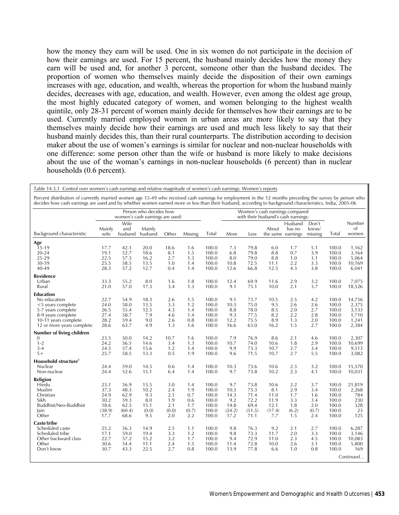how the money they earn will be used. One in six women do not participate in the decision of how their earnings are used. For 15 percent, the husband mainly decides how the money they earn will be used and, for another 3 percent, someone other than the husband decides. The proportion of women who themselves mainly decide the disposition of their own earnings increases with age, education, and wealth, whereas the proportion for whom the husband mainly decides, decreases with age, education, and wealth. However, even among the oldest age group, the most highly educated category of women, and women belonging to the highest wealth quintile, only 28-31 percent of women mainly decide for themselves how their earnings are to be used. Currently married employed women in urban areas are more likely to say that they themselves mainly decide how their earnings are used and much less likely to say that their husband mainly decides this, than their rural counterparts. The distribution according to decision maker about the use of women's earnings is similar for nuclear and non-nuclear households with one difference: some person other than the wife or husband is more likely to make decisions about the use of the woman's earnings in non-nuclear households (6 percent) than in nuclear households (0.6 percent).

| Table 14.5.1 Control over women's cash earnings and relative magnitude or women's cash earnings. Women's reports<br>Percent distribution of currently married women age 15-49 who received cash earnings for employment in the 12 months preceding the survey by person who<br>decides how cash earnings are used and by whether women earned more or less than their husband, according to background characteristics, India, 2005-06 |                |                        |                                                           |       |         |       |        |        |                                                                       |                                        |                           |       |                       |
|----------------------------------------------------------------------------------------------------------------------------------------------------------------------------------------------------------------------------------------------------------------------------------------------------------------------------------------------------------------------------------------------------------------------------------------|----------------|------------------------|-----------------------------------------------------------|-------|---------|-------|--------|--------|-----------------------------------------------------------------------|----------------------------------------|---------------------------|-------|-----------------------|
|                                                                                                                                                                                                                                                                                                                                                                                                                                        |                |                        | Person who decides how<br>women's cash earnings are used: |       |         |       |        |        | Women's cash earnings compared<br>with their husband's cash earnings: |                                        |                           |       |                       |
| Background characteristic                                                                                                                                                                                                                                                                                                                                                                                                              | Mainly<br>wife | Wife<br>and<br>husband | Mainly<br>husband                                         | Other | Missing | Total | More   | Less   | About                                                                 | Husband<br>has no<br>the same earnings | Don't<br>know/<br>missing | Total | Number<br>οf<br>women |
| Age                                                                                                                                                                                                                                                                                                                                                                                                                                    |                |                        |                                                           |       |         |       |        |        |                                                                       |                                        |                           |       |                       |
| $15-19$                                                                                                                                                                                                                                                                                                                                                                                                                                | 17.7           | 42.1                   | 20.0                                                      | 18.6  | 1.6     | 100.0 | 7.3    | 79.8   | 6.0                                                                   | 1.7                                    | 5.1                       | 100.0 | 1,162                 |
| $20 - 24$                                                                                                                                                                                                                                                                                                                                                                                                                              | 19.1           | 52.7                   | 18.6                                                      | 8.1   | 1.5     | 100.0 | 6.8    | 79.8   | 8.8                                                                   | 0.7                                    | 3.9                       | 100.0 | 3,164                 |
| 25-29                                                                                                                                                                                                                                                                                                                                                                                                                                  | 22.5           | 57.3                   | 16.2                                                      | 2.7   | 1.3     | 100.0 | 8.0    | 79.0   | 8.8                                                                   | 1.0                                    | 3.1                       | 100.0 | 5,064                 |
| 30-39                                                                                                                                                                                                                                                                                                                                                                                                                                  | 25.5           | 58.5                   | 13.5                                                      | 1.0   | 1.4     | 100.0 | 10.8   | 72.5   | 11.1                                                                  | 2.2                                    | 3.3                       | 100.0 | 10,169                |
| 40-49                                                                                                                                                                                                                                                                                                                                                                                                                                  | 28.3           | 57.2                   | 12.7                                                      | 0.4   | 1.4     | 100.0 | 12.6   | 66.8   | 12.5                                                                  | 4.3                                    | 3.8                       | 100.0 | 6,041                 |
| <b>Residence</b>                                                                                                                                                                                                                                                                                                                                                                                                                       |                |                        |                                                           |       |         |       |        |        |                                                                       |                                        |                           |       |                       |
| Urban                                                                                                                                                                                                                                                                                                                                                                                                                                  | 33.3           | 55.2                   | 8.0                                                       | 1.6   | 1.8     | 100.0 | 12.4   | 69.9   | 11.6                                                                  | 2.9                                    | 3.2                       | 100.0 | 7,075                 |
| Rural                                                                                                                                                                                                                                                                                                                                                                                                                                  | 21.0           | 57.0                   | 17.3                                                      | 3.4   | 1.3     | 100.0 | 9.1    | 75.1   | 10.0                                                                  | 2.1                                    | 3.7                       | 100.0 | 18,526                |
| Education                                                                                                                                                                                                                                                                                                                                                                                                                              |                |                        |                                                           |       |         |       |        |        |                                                                       |                                        |                           |       |                       |
| No education                                                                                                                                                                                                                                                                                                                                                                                                                           | 22.7           | 54.9                   | 18.3                                                      | 2.6   | 1.5     | 100.0 | 9.1    | 73.7   | 10.5                                                                  | 2.5                                    | 4.2                       | 100.0 | 14,756                |
| <5 years complete                                                                                                                                                                                                                                                                                                                                                                                                                      | 24.0           | 58.0                   | 13.5                                                      | 3.3   | 1.2     | 100.0 | 10.3   | 75.0   | 9.5                                                                   | 2.6                                    | 2.6                       | 100.0 | 2,375                 |
| 5-7 years complete                                                                                                                                                                                                                                                                                                                                                                                                                     | 26.5           | 55.4                   | 12.5                                                      | 4.3   | 1.4     | 100.0 | 8.8    | 78.0   | 8.5                                                                   | 2.0                                    | 2.7                       | 100.0 | 3,133                 |
| 8-9 years complete                                                                                                                                                                                                                                                                                                                                                                                                                     | 27.4           | 58.7                   | 7.9                                                       | 4.6   | 1.4     | 100.0 | 9.3    | 77.5   | 8.2                                                                   | 2.2                                    | 2.8                       | 100.0 | 1,710                 |
| 10-11 years complete                                                                                                                                                                                                                                                                                                                                                                                                                   | 28.2           | 59.4                   | 9.0                                                       | 2.6   | 0.8     | 100.0 | 12.2   | 75.5   | 8.9                                                                   | 1.3                                    | 2.0                       | 100.0 | 1,241                 |
| 12 or more years complete                                                                                                                                                                                                                                                                                                                                                                                                              | 28.6           | 63.7                   | 4.9                                                       | 1.3   | 1.6     | 100.0 | 16.6   | 63.0   | 16.2                                                                  | 1.5                                    | 2.7                       | 100.0 | 2,384                 |
| Number of living children                                                                                                                                                                                                                                                                                                                                                                                                              |                |                        |                                                           |       |         |       |        |        |                                                                       |                                        |                           |       |                       |
| $\overline{0}$                                                                                                                                                                                                                                                                                                                                                                                                                         | 23.5           | 50.0                   | 14.2                                                      | 10.7  | 1.6     | 100.0 | 7.9    | 76.9   | 8.6                                                                   | 2.1                                    | 4.6                       | 100.0 | 2,307                 |
| $1 - 2$                                                                                                                                                                                                                                                                                                                                                                                                                                | 24.2           | 56.5                   | 14.6                                                      | 3.4   | 1.3     | 100.0 | 10.7   | 74.0   | 10.6                                                                  | 1.8                                    | 2.9                       | 100.0 | 10,699                |
| $3 - 4$                                                                                                                                                                                                                                                                                                                                                                                                                                | 24.5           | 57.4                   | 15.6                                                      | 1.2   | 1.4     | 100.0 | 9.9    | 73.3   | 10.7                                                                  | 2.7                                    | 3.4                       | 100.0 | 9,513                 |
| $5+$                                                                                                                                                                                                                                                                                                                                                                                                                                   | 25.7           | 58.5                   | 13.3                                                      | 0.5   | 1.9     | 100.0 | 9.6    | 71.5   | 10.7                                                                  | 2.7                                    | 5.5                       | 100.0 | 3,082                 |
| Household structure <sup>1</sup>                                                                                                                                                                                                                                                                                                                                                                                                       |                |                        |                                                           |       |         |       |        |        |                                                                       |                                        |                           |       |                       |
| Nuclear                                                                                                                                                                                                                                                                                                                                                                                                                                | 24.4           | 59.0                   | 14.5                                                      | 0.6   | 1.4     | 100.0 | 10.3   | 73.6   | 10.6                                                                  | 2.3                                    | 3.2                       | 100.0 | 15,570                |
| Non-nuclear                                                                                                                                                                                                                                                                                                                                                                                                                            | 24.4           | 52.6                   | 15.1                                                      | 6.4   | 1.4     | 100.0 | 9.7    | 73.8   | 10.2                                                                  | 2.3                                    | 4.1                       | 100.0 | 10,031                |
| Religion                                                                                                                                                                                                                                                                                                                                                                                                                               |                |                        |                                                           |       |         |       |        |        |                                                                       |                                        |                           |       |                       |
| Hindu                                                                                                                                                                                                                                                                                                                                                                                                                                  | 23.1           | 56.9                   | 15.5                                                      | 3.0   | 1.4     | 100.0 | 9.7    | 73.8   | 10.6                                                                  | 2.2                                    | 3.7                       | 100.0 | 21,819                |
| Muslim                                                                                                                                                                                                                                                                                                                                                                                                                                 | 37.3           | 48.3                   | 10.2                                                      | 2.4   | 1.9     | 100.0 | 10.3   | 75.3   | 8.1                                                                   | 2.9                                    | 3.4                       | 100.0 | 2,268                 |
| Christian                                                                                                                                                                                                                                                                                                                                                                                                                              | 24.9           | 62.9                   | 9.3                                                       | 2.1   | 0.7     | 100.0 | 14.3   | 71.4   | 11.0                                                                  | 1.7                                    | 1.6                       | 100.0 | 784                   |
| Sikh                                                                                                                                                                                                                                                                                                                                                                                                                                   | 30.2           | 59.3                   | 8.0                                                       | 1.9   | 0.6     | 100.0 | 9.2    | 72.2   | 11.9                                                                  | 3.3                                    | 3.4                       | 100.0 | 230                   |
| Buddhist/Neo-Buddhist                                                                                                                                                                                                                                                                                                                                                                                                                  | 18.6           | 62.5                   | 15.1                                                      | 2.1   | 1.7     | 100.0 | 14.8   | 69.4   | 12.1                                                                  | 1.8                                    | 2.0                       | 100.0 | 328                   |
| lain                                                                                                                                                                                                                                                                                                                                                                                                                                   | (38.9)         | (60.4)                 | (0.0)                                                     | (0.0) | (0.7)   | 100.0 | (24.2) | (51.5) | (17.4)                                                                | (6.2)                                  | (0.7)                     | 100.0 | 23                    |
| Other                                                                                                                                                                                                                                                                                                                                                                                                                                  | 17.7           | 68.6                   | 9.5                                                       | 2.0   | 2.2     | 100.0 | 17.2   | 71.1   | 7.7                                                                   | 1.5                                    | 2.4                       | 100.0 | 125                   |
| Caste/tribe                                                                                                                                                                                                                                                                                                                                                                                                                            |                |                        |                                                           |       |         |       |        |        |                                                                       |                                        |                           |       |                       |
| Scheduled caste                                                                                                                                                                                                                                                                                                                                                                                                                        | 25.2           | 56.3                   | 14.9                                                      | 2.5   | 1.1     | 100.0 | 9.8    | 76.3   | 9.2                                                                   | 2.1                                    | 2.7                       | 100.0 | 6,287                 |
| Scheduled tribe                                                                                                                                                                                                                                                                                                                                                                                                                        | 17.1           | 59.0                   | 19.4                                                      | 3.3   | 1.2     | 100.0 | 9.8    | 73.3   | 11.7                                                                  | 2.0                                    | 3.3                       | 100.0 | 3,146                 |
| Other backward class                                                                                                                                                                                                                                                                                                                                                                                                                   | 22.7           | 57.2                   | 15.2                                                      | 3.2   | 1.7     | 100.0 | 9.4    | 72.9   | 11.0                                                                  | 2.3                                    | 4.5                       | 100.0 | 10,083                |
| Other                                                                                                                                                                                                                                                                                                                                                                                                                                  | 30.6           | 54.4                   | 11.1                                                      | 2.4   | 1.5     | 100.0 | 11.4   | 72.8   | 10.0                                                                  | 2.6                                    | 3.1                       | 100.0 | 5,800                 |
| Don't know                                                                                                                                                                                                                                                                                                                                                                                                                             | 30.7           | 43.3                   | 22.5                                                      | 2.7   | 0.8     | 100.0 | 13.9   | 77.8   | 6.6                                                                   | 1.0                                    | 0.8                       | 100.0 | 169                   |
|                                                                                                                                                                                                                                                                                                                                                                                                                                        |                |                        |                                                           |       |         |       |        |        |                                                                       |                                        |                           |       | Continued             |

Table 14.3.1 Control over women's cash earnings and relative magnitude of women's cash earnings: Women's reports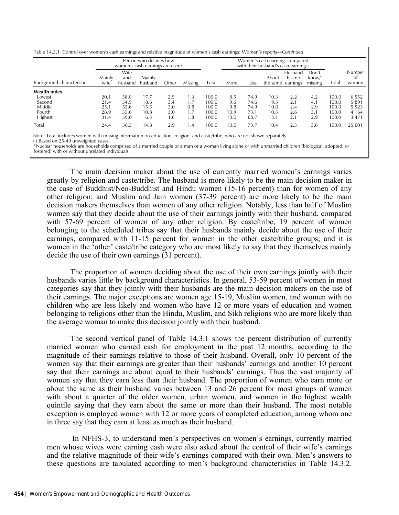|                           | Table 14.3.1 Control over women's cash earnings and relative magnitude of women's cash earnings: Women's reports—Continued<br>Person who decides how<br>women's cash earnings are used: |                        |                   |       |         |       | Women's cash earnings compared<br>with their husband's cash earnings: |      |                            |                   |                           |       |                       |
|---------------------------|-----------------------------------------------------------------------------------------------------------------------------------------------------------------------------------------|------------------------|-------------------|-------|---------|-------|-----------------------------------------------------------------------|------|----------------------------|-------------------|---------------------------|-------|-----------------------|
| Background characteristic | Mainly<br>wite                                                                                                                                                                          | Wife<br>and<br>husband | Mainly<br>husband | Other | Missing | Total | More                                                                  | Less | About<br>the same earnings | Husband<br>has no | Don't<br>know/<br>missing | Total | Number<br>Οt<br>women |
| <b>Wealth index</b>       |                                                                                                                                                                                         |                        |                   |       |         |       |                                                                       |      |                            |                   |                           |       |                       |
| Lowest                    | 20.1                                                                                                                                                                                    | 58.0                   | 17.7              | 2.9   | 1.3     | 100.0 | 8.5                                                                   | 74.9 | 10.3                       | 2.2               | 4.2                       | 100.0 | 6,552                 |
| Second                    | 21.4                                                                                                                                                                                    | 54.9                   | 18.6              | 3.4   | 1.7     | 100.0 | 9.6                                                                   | 74.6 | 9.5                        | 2.1               | 4.1                       | 100.0 | 5.891                 |
| Middle                    | 25.1                                                                                                                                                                                    | 55.6                   | 15.5              | 3.0   | 0.8     | 100.0 | 9.8                                                                   | 74.9 | 10.0                       | 2.4               | 2.9                       | 100.0 | 5.523                 |
| Fourth                    | 28.9                                                                                                                                                                                    | 55.6                   | 10.8              | 3.0   | 1.7     | 100.0 | 10.9                                                                  | 73.1 | 10.3                       | 2.6               | 3.1                       | 100.0 | 4.164                 |
| Highest                   | 31.4                                                                                                                                                                                    | 59.0                   | 6.3               | 1.6   | 1.8     | 100.0 | 13.0                                                                  | 68.7 | 13.1                       | 2.1               | 2.9                       | 100.0 | 3,471                 |
| Total                     | 24.4                                                                                                                                                                                    | 56.5                   | 14.8              | 2.9   | 1.4     | 100.0 | 10.0                                                                  | 73.7 | 10.4                       | 2.3               | 3.6                       | 100.0 | 25.601                |

Note: Total includes women with missing information on education, religion, and caste/tribe, who are not shown separately.

( ) Based on 25-49 unweighted cases.

 1 Nuclear households are households comprised of a married couple or a man or a woman living alone or with unmarried children (biological, adopted, or fostered) with or without unrelated individuals.

The main decision maker about the use of currently married women's earnings varies greatly by religion and caste/tribe. The husband is more likely to be the main decision maker in the case of Buddhist/Neo-Buddhist and Hindu women (15-16 percent) than for women of any other religion; and Muslim and Jain women (37-39 percent) are more likely to be the main decision makers themselves than women of any other religion. Notably, less than half of Muslim women say that they decide about the use of their earnings jointly with their husband, compared with 57-69 percent of women of any other religion. By caste/tribe, 19 percent of women belonging to the scheduled tribes say that their husbands mainly decide about the use of their earnings, compared with 11-15 percent for women in the other caste/tribe groups; and it is women in the 'other' caste/tribe category who are most likely to say that they themselves mainly decide the use of their own earnings (31 percent).

The proportion of women deciding about the use of their own earnings jointly with their husbands varies little by background characteristics. In general, 53-59 percent of women in most categories say that they jointly with their husbands are the main decision makers on the use of their earnings. The major exceptions are women age 15-19, Muslim women, and women with no children who are less likely and women who have 12 or more years of education and women belonging to religions other than the Hindu, Muslim, and Sikh religions who are more likely than the average woman to make this decision jointly with their husband.

The second vertical panel of Table 14.3.1 shows the percent distribution of currently married women who earned cash for employment in the past 12 months, according to the magnitude of their earnings relative to those of their husband. Overall, only 10 percent of the women say that their earnings are greater than their husbands' earnings and another 10 percent say that their earnings are about equal to their husbands' earnings. Thus the vast majority of women say that they earn less than their husband. The proportion of women who earn more or about the same as their husband varies between 13 and 26 percent for most groups of women with about a quarter of the older women, urban women, and women in the highest wealth quintile saying that they earn about the same or more than their husband. The most notable exception is employed women with 12 or more years of completed education, among whom one in three say that they earn at least as much as their husband.

 In NFHS-3, to understand men's perspectives on women's earnings, currently married men whose wives were earning cash were also asked about the control of their wife's earnings and the relative magnitude of their wife's earnings compared with their own. Men's answers to these questions are tabulated according to men's background characteristics in Table 14.3.2.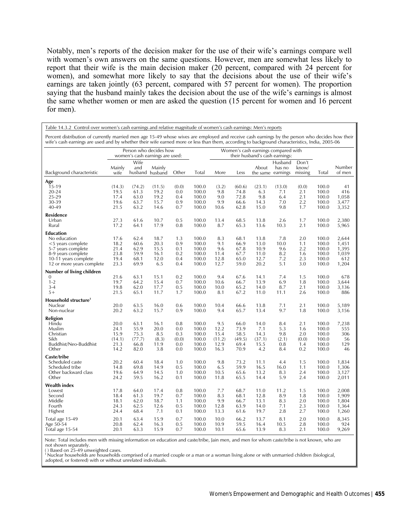Notably, men's reports of the decision maker for the use of their wife's earnings compare well with women's own answers on the same questions. However, men are somewhat less likely to report that their wife is the main decision maker (20 percent, compared with 24 percent for women), and somewhat more likely to say that the decisions about the use of their wife's earnings are taken jointly (63 percent, compared with 57 percent for women). The proportion saying that the husband mainly takes the decision about the use of the wife's earnings is almost the same whether women or men are asked the question (15 percent for women and 16 percent for men).

| Table 14.3.2 Control over women's cash earnings and relative magnitude of women's cash earnings: Men's reports                                                                                                                                                                                   |                                                           |                                                |                                             |                                          |                                                    |                                               |                                                |                                                                       |                                          |                                          |                                                    |                                                  |
|--------------------------------------------------------------------------------------------------------------------------------------------------------------------------------------------------------------------------------------------------------------------------------------------------|-----------------------------------------------------------|------------------------------------------------|---------------------------------------------|------------------------------------------|----------------------------------------------------|-----------------------------------------------|------------------------------------------------|-----------------------------------------------------------------------|------------------------------------------|------------------------------------------|----------------------------------------------------|--------------------------------------------------|
| Percent distribution of currently married men age 15-49 whose wives are employed and receive cash earnings by the person who decides how their<br>wife's cash earnings are used and by whether their wife earned more or less than them, according to background characteristics, India, 2005-06 |                                                           |                                                |                                             |                                          |                                                    |                                               |                                                |                                                                       |                                          |                                          |                                                    |                                                  |
|                                                                                                                                                                                                                                                                                                  | Person who decides how<br>women's cash earnings are used: |                                                |                                             |                                          |                                                    |                                               |                                                | Women's cash earnings compared with<br>their husband's cash earnings: |                                          |                                          |                                                    |                                                  |
| Background characteristic                                                                                                                                                                                                                                                                        | Mainly<br>wife                                            | Wife<br>and                                    | Mainly<br>husband husband                   | Other                                    | Total                                              | More                                          | Less                                           | About                                                                 | Husband<br>has no<br>the same earnings   | Don't<br>know/<br>missing                | Total                                              | Number<br>of men                                 |
| Age<br>$15-19$<br>$20 - 24$<br>25-29<br>30-39<br>40-49                                                                                                                                                                                                                                           | (14.3)<br>19.5<br>17.4<br>19.6<br>21.5                    | (74.2)<br>61.3<br>63.0<br>63.7<br>63.2         | (11.5)<br>19.2<br>19.2<br>15.7<br>14.6      | (0.0)<br>0.0<br>0.4<br>0.9<br>0.7        | 100.0<br>100.0<br>100.0<br>100.0<br>100.0          | (3.2)<br>9.8<br>9.0<br>9.9<br>10.6            | (60.6)<br>74.8<br>72.8<br>66.6<br>62.8         | (23.1)<br>6.3<br>9.8<br>14.3<br>15.0                                  | (13.0)<br>7.1<br>6.4<br>7.0<br>9.8       | (0.0)<br>2.1<br>2.1<br>2.2<br>1.7        | 100.0<br>100.0<br>100.0<br>100.0<br>100.0          | 41<br>416<br>1,058<br>3,477<br>3,352             |
| <b>Residence</b><br>Urban<br>Rural                                                                                                                                                                                                                                                               | 27.3<br>17.2                                              | 61.6<br>64.1                                   | 10.7<br>17.9                                | 0.5<br>0.8                               | 100.0<br>100.0                                     | 13.4<br>8.7                                   | 68.5<br>65.3                                   | 13.8<br>13.6                                                          | 2.6<br>10.3                              | 1.7<br>2.1                               | 100.0<br>100.0                                     | 2,380<br>5,965                                   |
| <b>Education</b><br>No education<br><5 years complete<br>5-7 years complete<br>8-9 years complete<br>10-11 years complete<br>12 or more years complete                                                                                                                                           | 17.6<br>18.2<br>21.4<br>23.8<br>19.4<br>23.3              | 62.4<br>60.6<br>62.9<br>59.9<br>68.1<br>69.9   | 18.7<br>20.3<br>15.5<br>16.1<br>12.0<br>6.5 | 1.3<br>0.9<br>0.1<br>0.2<br>0.4<br>0.4   | 100.0<br>100.0<br>100.0<br>100.0<br>100.0<br>100.0 | 8.3<br>9.1<br>9.6<br>11.4<br>12.8<br>12.7     | 68.1<br>66.9<br>67.8<br>67.7<br>65.0<br>59.0   | 13.8<br>13.0<br>10.9<br>11.0<br>12.7<br>20.2                          | 7.8<br>10.0<br>9.6<br>8.2<br>7.2<br>5.1  | 2.0<br>1.1<br>2.2<br>1.6<br>2.3<br>3.0   | 100.0<br>100.0<br>100.0<br>100.0<br>100.0<br>100.0 | 2,644<br>1,451<br>1,395<br>1,039<br>612<br>1,204 |
| Number of living children<br>$\mathbf{0}$<br>$1 - 2$<br>$3 - 4$<br>$5+$                                                                                                                                                                                                                          | 21.6<br>19.7<br>19.8<br>21.5                              | 63.1<br>64.2<br>62.0<br>65.1                   | 15.1<br>15.4<br>17.7<br>11.7                | 0.2<br>0.7<br>0.5<br>1.7                 | 100.0<br>100.0<br>100.0<br>100.0                   | 9.4<br>10.6<br>10.0<br>8.1                    | 67.6<br>66.7<br>65.2<br>67.2                   | 14.1<br>13.9<br>14.0<br>11.0                                          | 7.4<br>6.9<br>8.7<br>11.1                | 1.5<br>1.8<br>2.1<br>2.6                 | 100.0<br>100.0<br>100.0<br>100.0                   | 678<br>3,644<br>3,136<br>886                     |
| Household structure <sup>1</sup><br>Nuclear<br>Non-nuclear                                                                                                                                                                                                                                       | 20.0<br>20.2                                              | 63.5<br>63.2                                   | 16.0<br>15.7                                | 0.6<br>0.9                               | 100.0<br>100.0                                     | 10.4<br>9.4                                   | 66.6<br>65.7                                   | 13.8<br>13.4                                                          | 7.1<br>9.7                               | 2.1<br>1.8                               | 100.0<br>100.0                                     | 5,189<br>3,156                                   |
| Religion<br>Hindu<br>Muslim<br>Christian<br>Sikh<br>Buddhist/Neo-Buddhist<br>Other                                                                                                                                                                                                               | 20.0<br>24.1<br>15.9<br>(14.1)<br>21.3<br>14.2            | 63.1<br>55.9<br>75.3<br>(77.7)<br>66.8<br>82.0 | 16.1<br>20.0<br>8.5<br>(8.3)<br>11.9<br>3.8 | 0.8<br>0.0<br>0.3<br>(0.0)<br>0.0<br>0.0 | 100.0<br>100.0<br>100.0<br>100.0<br>100.0<br>100.0 | 9.5<br>12.2<br>15.4<br>(11.2)<br>12.9<br>16.3 | 66.0<br>73.9<br>58.5<br>(49.5)<br>69.4<br>70.9 | 14.0<br>7.1<br>14.3<br>(37.1)<br>15.5<br>4.2                          | 8.4<br>5.3<br>9.8<br>(2.1)<br>0.8<br>8.4 | 2.1<br>1.6<br>2.0<br>(0.0)<br>1.4<br>0.2 | 100.0<br>100.0<br>100.0<br>100.0<br>100.0<br>100.0 | 7,238<br>555<br>306<br>56<br>129<br>46           |
| Caste/tribe<br>Scheduled caste<br>Scheduled tribe<br>Other backward class<br>Other                                                                                                                                                                                                               | 20.2<br>14.8<br>19.6<br>24.2                              | 60.4<br>69.8<br>64.9<br>59.5                   | 18.4<br>14.9<br>14.5<br>16.2                | 1.0<br>0.5<br>1.0<br>0.1                 | 100.0<br>100.0<br>100.0<br>100.0                   | 9.8<br>6.5<br>10.5<br>11.8                    | 73.2<br>59.9<br>65.6<br>65.5                   | 11.1<br>16.5<br>13.2<br>14.4                                          | 4.4<br>16.0<br>8.3<br>5.9                | 1.5<br>1.1<br>2.4<br>2.4                 | 100.0<br>100.0<br>100.0<br>100.0                   | 1,834<br>1,306<br>3,127<br>2,011                 |
| Wealth index<br>Lowest<br>Second<br>Middle<br>Fourth<br>Highest                                                                                                                                                                                                                                  | 17.8<br>18.4<br>18.1<br>24.3<br>24.4                      | 64.0<br>61.3<br>62.0<br>62.5<br>68.4           | 17.4<br>19.7<br>18.7<br>12.6<br>7.1         | 0.8<br>0.7<br>1.1<br>0.5<br>0.1          | 100.0<br>100.0<br>100.0<br>100.0<br>100.0          | 7.7<br>8.3<br>9.9<br>12.8<br>13.3             | 68.7<br>68.1<br>66.7<br>63.9<br>61.6           | 11.0<br>12.8<br>13.1<br>14.0<br>19.7                                  | 11.2<br>8.9<br>8.3<br>7.1<br>2.8         | 1.5<br>1.8<br>2.0<br>2.3<br>2.7          | 100.0<br>100.0<br>100.0<br>100.0<br>100.0          | 2,008<br>1,909<br>1,804<br>1,364<br>1,260        |
| Total age 15-49<br>Age 50-54<br>Total age 15-54                                                                                                                                                                                                                                                  | 20.1<br>20.8<br>20.1                                      | 63.4<br>62.4<br>63.3                           | 15.9<br>16.3<br>15.9                        | 0.7<br>0.5<br>0.7                        | 100.0<br>100.0<br>100.0                            | 10.0<br>10.9<br>10.1                          | 66.2<br>59.5<br>65.6                           | 13.7<br>16.4<br>13.9                                                  | 8.1<br>10.5<br>8.3                       | 2.0<br>2.8<br>2.1                        | 100.0<br>100.0<br>100.0                            | 8,345<br>924<br>9,269                            |

Note: Total includes men with missing information on education and caste/tribe, Jain men, and men for whom caste/tribe is not known, who are

not shown separately. ( ) Based on 25-49 unweighted cases.

1 Nuclear households are households comprised of a married couple or a man or a woman living alone or with unmarried children (biological,

adopted, or fostered) with or without unrelated individuals.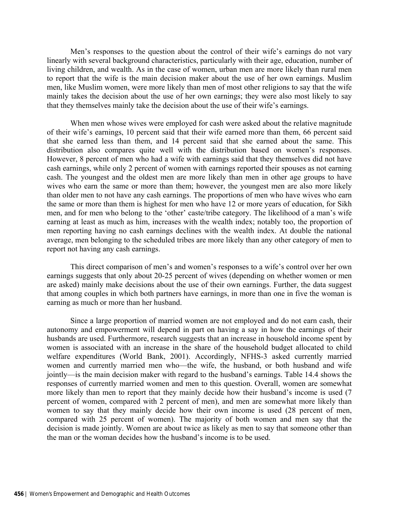Men's responses to the question about the control of their wife's earnings do not vary linearly with several background characteristics, particularly with their age, education, number of living children, and wealth. As in the case of women, urban men are more likely than rural men to report that the wife is the main decision maker about the use of her own earnings. Muslim men, like Muslim women, were more likely than men of most other religions to say that the wife mainly takes the decision about the use of her own earnings; they were also most likely to say that they themselves mainly take the decision about the use of their wife's earnings.

When men whose wives were employed for cash were asked about the relative magnitude of their wife's earnings, 10 percent said that their wife earned more than them, 66 percent said that she earned less than them, and 14 percent said that she earned about the same. This distribution also compares quite well with the distribution based on women's responses. However, 8 percent of men who had a wife with earnings said that they themselves did not have cash earnings, while only 2 percent of women with earnings reported their spouses as not earning cash. The youngest and the oldest men are more likely than men in other age groups to have wives who earn the same or more than them; however, the youngest men are also more likely than older men to not have any cash earnings. The proportions of men who have wives who earn the same or more than them is highest for men who have 12 or more years of education, for Sikh men, and for men who belong to the 'other' caste/tribe category. The likelihood of a man's wife earning at least as much as him, increases with the wealth index; notably too, the proportion of men reporting having no cash earnings declines with the wealth index. At double the national average, men belonging to the scheduled tribes are more likely than any other category of men to report not having any cash earnings.

This direct comparison of men's and women's responses to a wife's control over her own earnings suggests that only about 20-25 percent of wives (depending on whether women or men are asked) mainly make decisions about the use of their own earnings. Further, the data suggest that among couples in which both partners have earnings, in more than one in five the woman is earning as much or more than her husband.

Since a large proportion of married women are not employed and do not earn cash, their autonomy and empowerment will depend in part on having a say in how the earnings of their husbands are used. Furthermore, research suggests that an increase in household income spent by women is associated with an increase in the share of the household budget allocated to child welfare expenditures (World Bank, 2001). Accordingly, NFHS-3 asked currently married women and currently married men who—the wife, the husband, or both husband and wife jointly—is the main decision maker with regard to the husband's earnings. Table 14.4 shows the responses of currently married women and men to this question. Overall, women are somewhat more likely than men to report that they mainly decide how their husband's income is used (7 percent of women, compared with 2 percent of men), and men are somewhat more likely than women to say that they mainly decide how their own income is used (28 percent of men, compared with 25 percent of women). The majority of both women and men say that the decision is made jointly. Women are about twice as likely as men to say that someone other than the man or the woman decides how the husband's income is to be used.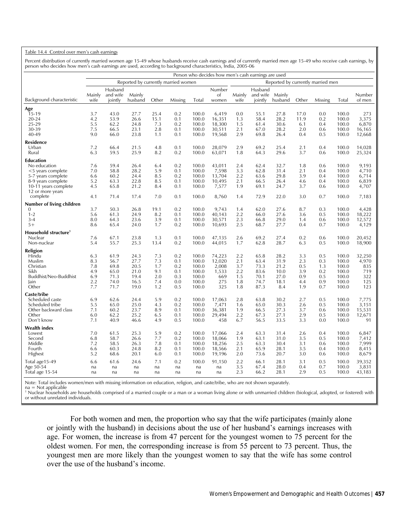#### Table 14.4 Control over men's cash earnings

Percent distribution of currently married women age 15-49 whose husbands receive cash earnings and of currently married men age 15-49 who receive cash earnings, by person who decides how men's cash earnings are used, according to background characteristics, India, 2005-06

|                                          | Person who decides how men's cash earnings are used<br>Reported by currently married men |              |              |             |            |                |                  |            |              |              |            |            |                |                  |
|------------------------------------------|------------------------------------------------------------------------------------------|--------------|--------------|-------------|------------|----------------|------------------|------------|--------------|--------------|------------|------------|----------------|------------------|
|                                          | Reported by currently married women                                                      |              |              |             |            |                |                  |            |              |              |            |            |                |                  |
|                                          |                                                                                          | Husband      |              |             |            |                | Number           |            | Husband      |              |            |            |                |                  |
|                                          | Mainly                                                                                   | and wife     | Mainly       |             |            |                | of               | Mainly     | and wife     | Mainly       |            |            |                | Number           |
| Background characteristic                | wife                                                                                     | jointly      | husband      | Other       | Missing    | Total          | women            | wife       | jointly      | husband      | Other      | Missing    | Total          | of men           |
| Age                                      |                                                                                          |              |              |             |            |                |                  |            |              |              |            |            |                |                  |
| $15-19$                                  | 3.7                                                                                      | 43.0         | 27.7         | 25.4        | 0.2        | 100.0          | 6.419            | 0.0        | 55.1         | 27.8         | 17.0       | 0.0        | 100.0          | 273              |
| $20 - 24$                                | 4.2                                                                                      | 53.9         | 26.6         | 15.1        | 0.1        | 100.0          | 16,351           | 1.3        | 58.4         | 28.2         | 11.9       | 0.2        | 100.0          | 3,375            |
| 25-29<br>30-39                           | 5.5<br>7.5                                                                               | 62.2<br>66.5 | 24.8<br>23.1 | 7.3<br>2.8  | 0.2<br>0.1 | 100.0<br>100.0 | 18,300<br>30,511 | 1.5<br>2.1 | 61.4<br>67.0 | 30.6<br>28.2 | 6.1<br>2.0 | 0.4<br>0.6 | 100.0<br>100.0 | 6,870<br>16,165  |
| 40-49                                    | 9.0                                                                                      | 66.0         | 23.8         | 1.1         | 0.1        | 100.0          | 19,568           | 2.9        | 69.8         | 26.4         | 0.4        | 0.5        | 100.0          | 12,668           |
| <b>Residence</b>                         |                                                                                          |              |              |             |            |                |                  |            |              |              |            |            |                |                  |
| Urban                                    | 7.2                                                                                      | 66.4         | 21.5         | 4.8         | 0.1        | 100.0          | 28,079           | 2.9        | 69.2         | 25.4         | 2.1        | 0.4        | 100.0          | 14,028           |
| Rural                                    | 6.3                                                                                      | 59.5         | 25.9         | 8.2         | 0.2        | 100.0          | 63,071           | 1.8        | 64.3         | 29.6         | 3.7        | 0.6        | 100.0          | 25,324           |
| <b>Education</b>                         |                                                                                          |              |              |             |            |                |                  |            |              |              |            |            |                |                  |
| No education                             | 7.6                                                                                      | 59.4         | 26.4         | 6.4         | 0.2        | 100.0          | 43,011           | 2.4        | 62.4         | 32.7         | 1.8        | 0.6        | 100.0          | 9,193            |
| <5 years complete                        | 7.0                                                                                      | 58.8         | 28.2         | 5.9         | 0.1        | 100.0          | 7,598            | 3.3        | 62.8         | 31.4         | 2.1        | 0.4        | 100.0          | 4,710            |
| 5-7 years complete                       | 6.6                                                                                      | 60.2         | 24.4         | 8.5         | 0.2        | 100.0          | 13,704           | 2.2        | 63.6         | 29.8         | 3.9        | 0.4        | 100.0          | 6,714            |
| 8-9 years complete                       | 5.2<br>4.5                                                                               | 63.3<br>65.8 | 22.8<br>21.2 | 8.5<br>8.4  | 0.1<br>0.1 | 100.0<br>100.0 | 10,495<br>7,577  | 2.1<br>1.9 | 66.5<br>69.1 | 26.4<br>24.7 | 4.6<br>3.7 | 0.4<br>0.6 | 100.0<br>100.0 | 6,839<br>4,707   |
| 10-11 years complete<br>12 or more years |                                                                                          |              |              |             |            |                |                  |            |              |              |            |            |                |                  |
| complete                                 | 4.1                                                                                      | 71.4         | 17.4         | 7.0         | 0.1        | 100.0          | 8,760            | 1.4        | 72.9         | 22.0         | 3.0        | 0.7        | 100.0          | 7,183            |
| Number of living children                |                                                                                          |              |              |             |            |                |                  |            |              |              |            |            |                |                  |
| $\Omega$                                 | 3.7                                                                                      | 50.3         | 26.8         | 19.1        | 0.2        | 100.0          | 9.743            | 1.4        | 62.0         | 27.6         | 8.7        | 0.3        | 100.0          | 4,428            |
| $1 - 2$                                  | 5.6                                                                                      | 61.3         | 24.9         | 8.2         | 0.1        | 100.0          | 40,143           | 2.2        | 66.0         | 27.6         | 3.6        | 0.5        | 100.0          | 18,222           |
| $3 - 4$                                  | 8.0                                                                                      | 64.3         | 23.6         | 3.9         | 0.1        | 100.0          | 30,571           | 2.3        | 66.8         | 29.0         | 1.4        | 0.6        | 100.0          | 12,572           |
| $5+$                                     | 8.6                                                                                      | 65.4         | 24.0         | 1.7         | 0.2        | 100.0          | 10,693           | 2.5        | 68.7         | 27.7         | 0.4        | 0.7        | 100.0          | 4,129            |
| Household structure <sup>1</sup>         |                                                                                          |              |              |             |            |                |                  |            |              |              |            |            |                |                  |
| Nuclear<br>Non-nuclear                   | 7.6<br>5.4                                                                               | 67.1<br>55.7 | 23.8<br>25.3 | 1.3<br>13.4 | 0.1<br>0.2 | 100.0<br>100.0 | 47,135<br>44,015 | 2.6<br>1.7 | 69.2<br>62.8 | 27.4<br>28.7 | 0.2<br>6.3 | 0.6<br>0.5 | 100.0<br>100.0 | 20,452<br>18,900 |
|                                          |                                                                                          |              |              |             |            |                |                  |            |              |              |            |            |                |                  |
| Religion<br>Hindu                        | 6.3                                                                                      | 61.9         | 24.3         | 7.3         | 0.2        | 100.0          | 74,223           | 2.2        | 65.8         | 28.2         | 3.3        | 0.5        | 100.0          | 32,250           |
| Muslim                                   | 8.3                                                                                      | 56.7         | 27.7         | 7.3         | 0.1        | 100.0          | 12,020           | 2.1        | 63.4         | 31.9         | 2.3        | 0.3        | 100.0          | 4,970            |
| Christian                                | 7.8                                                                                      | 69.8         | 20.5         | 1.7         | 0.2        | 100.0          | 2,008            | 3.7        | 73.3         | 21.2         | 0.5        | 1.3        | 100.0          | 835              |
| Sikh                                     | 4.9                                                                                      | 65.0         | 21.0         | 9.1         | 0.1        | 100.0          | 1,533            | 2.2        | 83.6         | 10.0         | 3.9        | 0.2        | 100.0          | 719              |
| Buddhist/Neo-Buddhist                    | 6.9                                                                                      | 71.3         | 19.4         | 2.0         | 0.3        | 100.0          | 669              | 1.5        | 70.1         | 27.0         | 0.9        | 0.5        | 100.0          | 322              |
| lain                                     | 2.2                                                                                      | 74.0         | 16.5         | 7.4         | 0.0        | 100.0          | 275              | 1.8        | 74.7         | 18.1         | 4.4        | 0.9        | 100.0          | 125              |
| Other                                    | 7.7                                                                                      | 71.7         | 19.0         | 1.2         | 0.5        | 100.0          | 325              | 1.8        | 87.3         | 8.4          | 1.9        | 0.7        | 100.0          | 123              |
| Caste/tribe                              |                                                                                          |              |              |             |            |                |                  |            |              |              |            |            |                |                  |
| Scheduled caste                          | 6.9                                                                                      | 62.6         | 24.4         | 5.9         | 0.2<br>0.2 | 100.0<br>100.0 | 17,063           | 2.8        | 63.8         | 30.2<br>30.3 | 2.7        | 0.5        | 100.0          | 7,775            |
| Scheduled tribe<br>Other backward class  | 5.5<br>7.1                                                                               | 65.0<br>60.2 | 25.0<br>23.7 | 4.3<br>8.9  | 0.1        | 100.0          | 7,471<br>36,381  | 1.6<br>1.9 | 65.0<br>66.5 | 27.3         | 2.6<br>3.7 | 0.5<br>0.6 | 100.0<br>100.0 | 3,151<br>15,531  |
| Other                                    | 6.0                                                                                      | 62.2         | 25.2         | 6.5         | 0.1        | 100.0          | 29,494           | 2.2        | 67.3         | 27.1         | 2.9        | 0.5        | 100.0          | 12,671           |
| Don't know                               | 7.1                                                                                      | 40.9         | 46.6         | 4.9         | 0.5        | 100.0          | 458              | 6.7        | 56.5         | 33.5         | 3.3        | 0.0        | 100.0          | 91               |
| <b>Wealth index</b>                      |                                                                                          |              |              |             |            |                |                  |            |              |              |            |            |                |                  |
| Lowest                                   | 7.0                                                                                      | 61.5         | 25.3         | 5.9         | 0.2        | 100.0          | 17,066           | 2.4        | 63.3         | 31.4         | 2.6        | 0.4        | 100.0          | 6,847            |
| Second                                   | 6.8                                                                                      | 58.7         | 26.6         | 7.7         | 0.2        | 100.0          | 18,066           | 1.9        | 63.1         | 31.0         | 3.5        | 0.5        | 100.0          | 7,412            |
| Middle                                   | 7.2                                                                                      | 58.5         | 26.3         | 7.8         | 0.1        | 100.0          | 18,256           | 2.5        | 63.3         | 30.4         | 3.1        | 0.6        | 100.0          | 7,999            |
| Fourth                                   | 6.6<br>5.2                                                                               | 60.3         | 24.8<br>20.1 | 8.2         | 0.1        | 100.0          | 18,566           | 2.1<br>2.0 | 65.9         | 28.1<br>20.7 | 3.5<br>3.0 | 0.4<br>0.6 | 100.0<br>100.0 | 8,415            |
| Highest                                  |                                                                                          | 68.6         |              | 6.0         | 0.1        | 100.0          | 19,196           |            | 73.6         |              |            |            |                | 8,679            |
| Total age15-49                           | 6.6                                                                                      | 61.6         | 24.6         | 7.1         | 0.2        | 100.0          | 91,150           | 2.2        | 66.1         | 28.1         | 3.1        | 0.5        | 100.0          | 39,352           |
| Age 50-54<br>Total age 15-54             | na<br>na                                                                                 | na<br>na     | na<br>na     | na<br>na    | na<br>na   | na<br>na       | na<br>na         | 3.5<br>2.3 | 67.4<br>66.2 | 28.0<br>28.1 | 0.4<br>2.9 | 0.7<br>0.5 | 100.0<br>100.0 | 3,831<br>43,183  |
|                                          |                                                                                          |              |              |             |            |                |                  |            |              |              |            |            |                |                  |

Note: Total includes women/men with missing information on education, religion, and caste/tribe, who are not shown separately. na = Not applicable

<sup>1</sup> Nuclear households are households comprised of a married couple or a man or a woman living alone or with unmarried children (biological, adopted, or fostered) with or without unrelated individuals.

For both women and men, the proportion who say that the wife participates (mainly alone or jointly with the husband) in decisions about the use of her husband's earnings increases with age. For women, the increase is from 47 percent for the youngest women to 75 percent for the oldest women. For men, the corresponding increase is from 55 percent to 73 percent. Thus, the youngest men are more likely than the youngest women to say that the wife has some control over the use of the husband's income.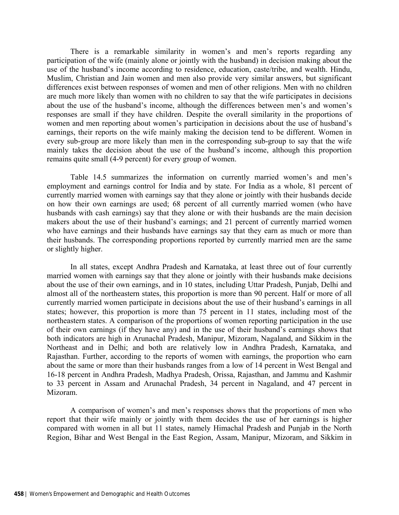There is a remarkable similarity in women's and men's reports regarding any participation of the wife (mainly alone or jointly with the husband) in decision making about the use of the husband's income according to residence, education, caste/tribe, and wealth. Hindu, Muslim, Christian and Jain women and men also provide very similar answers, but significant differences exist between responses of women and men of other religions. Men with no children are much more likely than women with no children to say that the wife participates in decisions about the use of the husband's income, although the differences between men's and women's responses are small if they have children. Despite the overall similarity in the proportions of women and men reporting about women's participation in decisions about the use of husband's earnings, their reports on the wife mainly making the decision tend to be different. Women in every sub-group are more likely than men in the corresponding sub-group to say that the wife mainly takes the decision about the use of the husband's income, although this proportion remains quite small (4-9 percent) for every group of women.

Table 14.5 summarizes the information on currently married women's and men's employment and earnings control for India and by state. For India as a whole, 81 percent of currently married women with earnings say that they alone or jointly with their husbands decide on how their own earnings are used; 68 percent of all currently married women (who have husbands with cash earnings) say that they alone or with their husbands are the main decision makers about the use of their husband's earnings; and 21 percent of currently married women who have earnings and their husbands have earnings say that they earn as much or more than their husbands. The corresponding proportions reported by currently married men are the same or slightly higher.

In all states, except Andhra Pradesh and Karnataka, at least three out of four currently married women with earnings say that they alone or jointly with their husbands make decisions about the use of their own earnings, and in 10 states, including Uttar Pradesh, Punjab, Delhi and almost all of the northeastern states, this proportion is more than 90 percent. Half or more of all currently married women participate in decisions about the use of their husband's earnings in all states; however, this proportion is more than 75 percent in 11 states, including most of the northeastern states. A comparison of the proportions of women reporting participation in the use of their own earnings (if they have any) and in the use of their husband's earnings shows that both indicators are high in Arunachal Pradesh, Manipur, Mizoram, Nagaland, and Sikkim in the Northeast and in Delhi; and both are relatively low in Andhra Pradesh, Karnataka, and Rajasthan. Further, according to the reports of women with earnings, the proportion who earn about the same or more than their husbands ranges from a low of 14 percent in West Bengal and 16-18 percent in Andhra Pradesh, Madhya Pradesh, Orissa, Rajasthan, and Jammu and Kashmir to 33 percent in Assam and Arunachal Pradesh, 34 percent in Nagaland, and 47 percent in Mizoram.

A comparison of women's and men's responses shows that the proportions of men who report that their wife mainly or jointly with them decides the use of her earnings is higher compared with women in all but 11 states, namely Himachal Pradesh and Punjab in the North Region, Bihar and West Bengal in the East Region, Assam, Manipur, Mizoram, and Sikkim in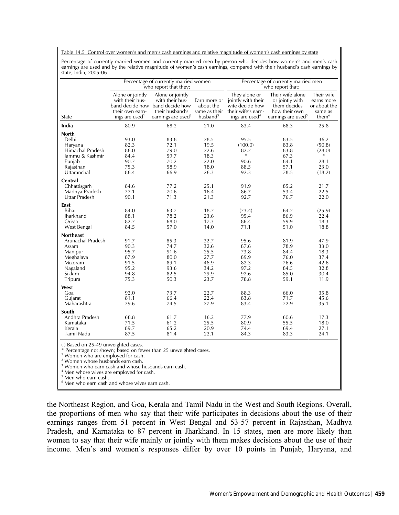Table 14.5 Control over women's and men's cash earnings and relative magnitude of women's cash earnings by state

Percentage of currently married women and currently married men by person who decides how women's and men's cash earnings are used and by the relative magnitude of women's cash earnings, compared with their husband's cash earnings by state, India, 2005-06

|                                                                                                                                                                           |                                                                                              | Percentage of currently married women<br>who report that they:                                                              |                                                                                              |                                                                                                                                       | Percentage of currently married men<br>who report that:                                                |                                                                                                |
|---------------------------------------------------------------------------------------------------------------------------------------------------------------------------|----------------------------------------------------------------------------------------------|-----------------------------------------------------------------------------------------------------------------------------|----------------------------------------------------------------------------------------------|---------------------------------------------------------------------------------------------------------------------------------------|--------------------------------------------------------------------------------------------------------|------------------------------------------------------------------------------------------------|
| State                                                                                                                                                                     | Alone or jointly<br>with their hus-<br>their own earn-<br>ings are used <sup>1</sup>         | Alone or jointly<br>with their hus-<br>band decide how band decide how<br>their husband's<br>earnings are used <sup>2</sup> | about the<br>husband <sup>3</sup>                                                            | They alone or<br>Earn more or jointly with their<br>wife decide how<br>same as their their wife's earn-<br>ings are used <sup>4</sup> | Their wife alone<br>or jointly with<br>them decides<br>how their own<br>earnings are used <sup>5</sup> | Their wife<br>earns more<br>or about the<br>same as<br>them <sup>6</sup>                       |
| India                                                                                                                                                                     | 80.9                                                                                         | 68.2                                                                                                                        | 21.0                                                                                         | 83.4                                                                                                                                  | 68.3                                                                                                   | 25.8                                                                                           |
| <b>North</b><br>Delhi<br>Haryana<br>Himachal Pradesh<br>Jammu & Kashmir<br>Punjab<br>Rajasthan<br>Uttaranchal<br>Central<br>Chhattisgarh                                  | 93.0<br>82.3<br>86.0<br>84.4<br>90.7<br>75.3<br>86.4<br>84.6                                 | 83.8<br>72.1<br>79.0<br>59.7<br>70.2<br>58.9<br>66.9<br>77.2                                                                | 28.5<br>19.5<br>22.6<br>18.3<br>22.0<br>18.0<br>26.3<br>25.1                                 | 95.5<br>(100.0)<br>82.2<br>$\ast$<br>90.6<br>88.5<br>92.3<br>91.9                                                                     | 83.5<br>83.8<br>83.8<br>67.3<br>84.1<br>57.1<br>78.5<br>85.2                                           | 36.2<br>(50.8)<br>(28.0)<br>*<br>28.1<br>23.0<br>(18.2)<br>21.7                                |
| Madhya Pradesh<br>Uttar Pradesh                                                                                                                                           | 77.1<br>90.1                                                                                 | 70.6<br>71.3                                                                                                                | 16.4<br>21.3                                                                                 | 86.7<br>92.7                                                                                                                          | 53.4<br>76.7                                                                                           | 22.5<br>22.0                                                                                   |
| East<br>Bihar<br>Jharkhand<br>Orissa<br>West Bengal<br><b>Northeast</b><br>Arunachal Pradesh<br>Assam<br>Manipur<br>Meghalaya<br>Mizoram<br>Nagaland<br>Sikkim<br>Tripura | 84.0<br>88.1<br>82.7<br>84.5<br>91.7<br>90.3<br>95.7<br>87.9<br>91.5<br>95.2<br>94.8<br>75.3 | 63.7<br>78.2<br>68.0<br>57.0<br>85.3<br>74.7<br>91.6<br>80.0<br>89.1<br>93.6<br>82.5<br>50.3                                | 18.7<br>23.6<br>17.3<br>14.0<br>32.7<br>32.6<br>25.5<br>27.7<br>46.9<br>34.2<br>29.9<br>23.7 | (73.4)<br>95.4<br>86.4<br>71.1<br>95.6<br>87.6<br>73.8<br>89.9<br>82.3<br>97.2<br>92.6<br>78.8                                        | 64.2<br>86.9<br>59.9<br>51.0<br>81.9<br>78.9<br>84.4<br>76.0<br>76.6<br>84.5<br>85.0<br>59.1           | (25.9)<br>22.4<br>18.3<br>18.8<br>47.9<br>33.0<br>18.3<br>37.4<br>42.6<br>32.8<br>30.4<br>11.9 |
| West<br>Goa<br>Gujarat<br>Maharashtra                                                                                                                                     | 92.0<br>81.1<br>79.6                                                                         | 73.7<br>66.4<br>74.5                                                                                                        | 22.7<br>22.4<br>27.9                                                                         | 88.3<br>83.8<br>83.4                                                                                                                  | 66.0<br>71.7<br>72.9                                                                                   | 35.8<br>45.6<br>35.1                                                                           |
| South<br>Andhra Pradesh<br>Karnataka<br>Kerala<br>Tamil Nadu<br>() Based on 25-49 unweighted cases.                                                                       | 68.8<br>71.5<br>89.7<br>87.5                                                                 | 61.7<br>61.2<br>65.2<br>81.4                                                                                                | 16.2<br>25.5<br>20.9<br>22.1                                                                 | 77.9<br>80.9<br>74.4<br>84.3                                                                                                          | 60.6<br>55.5<br>69.4<br>83.3                                                                           | 17.3<br>18.0<br>27.1<br>24.1                                                                   |

\* Percentage not shown; based on fewer than 25 unweighted cases. 1

<sup>1</sup> Women who are employed for cash.

2 Women whose husbands earn cash.

3 Women who earn cash and whose husbands earn cash.

4 Men whose wives are employed for cash.

5 Men who earn cash.

6 Men who earn cash and whose wives earn cash.

the Northeast Region, and Goa, Kerala and Tamil Nadu in the West and South Regions. Overall, the proportions of men who say that their wife participates in decisions about the use of their earnings ranges from 51 percent in West Bengal and 53-57 percent in Rajasthan, Madhya Pradesh, and Karnataka to 87 percent in Jharkhand. In 15 states, men are more likely than women to say that their wife mainly or jointly with them makes decisions about the use of their income. Men's and women's responses differ by over 10 points in Punjab, Haryana, and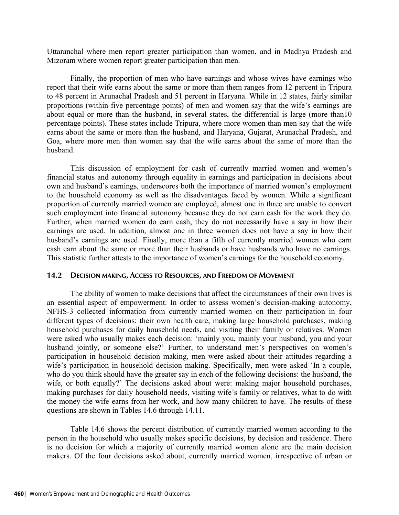Uttaranchal where men report greater participation than women, and in Madhya Pradesh and Mizoram where women report greater participation than men.

Finally, the proportion of men who have earnings and whose wives have earnings who report that their wife earns about the same or more than them ranges from 12 percent in Tripura to 48 percent in Arunachal Pradesh and 51 percent in Haryana. While in 12 states, fairly similar proportions (within five percentage points) of men and women say that the wife's earnings are about equal or more than the husband, in several states, the differential is large (more than10 percentage points). These states include Tripura, where more women than men say that the wife earns about the same or more than the husband, and Haryana, Gujarat, Arunachal Pradesh, and Goa, where more men than women say that the wife earns about the same of more than the husband.

This discussion of employment for cash of currently married women and women's financial status and autonomy through equality in earnings and participation in decisions about own and husband's earnings, underscores both the importance of married women's employment to the household economy as well as the disadvantages faced by women. While a significant proportion of currently married women are employed, almost one in three are unable to convert such employment into financial autonomy because they do not earn cash for the work they do. Further, when married women do earn cash, they do not necessarily have a say in how their earnings are used. In addition, almost one in three women does not have a say in how their husband's earnings are used. Finally, more than a fifth of currently married women who earn cash earn about the same or more than their husbands or have husbands who have no earnings. This statistic further attests to the importance of women's earnings for the household economy.

## **14.2 DECISION MAKING, ACCESS TO RESOURCES, AND FREEDOM OF MOVEMENT**

The ability of women to make decisions that affect the circumstances of their own lives is an essential aspect of empowerment. In order to assess women's decision-making autonomy, NFHS-3 collected information from currently married women on their participation in four different types of decisions: their own health care, making large household purchases, making household purchases for daily household needs, and visiting their family or relatives. Women were asked who usually makes each decision: 'mainly you, mainly your husband, you and your husband jointly, or someone else?' Further, to understand men's perspectives on women's participation in household decision making, men were asked about their attitudes regarding a wife's participation in household decision making. Specifically, men were asked 'In a couple, who do you think should have the greater say in each of the following decisions: the husband, the wife, or both equally?' The decisions asked about were: making major household purchases, making purchases for daily household needs, visiting wife's family or relatives, what to do with the money the wife earns from her work, and how many children to have. The results of these questions are shown in Tables 14.6 through 14.11.

Table 14.6 shows the percent distribution of currently married women according to the person in the household who usually makes specific decisions, by decision and residence. There is no decision for which a majority of currently married women alone are the main decision makers. Of the four decisions asked about, currently married women, irrespective of urban or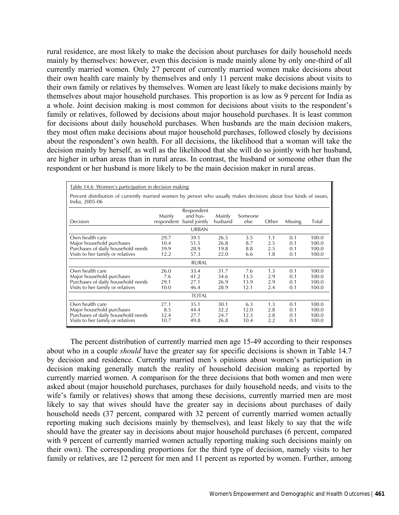rural residence, are most likely to make the decision about purchases for daily household needs mainly by themselves: however, even this decision is made mainly alone by only one-third of all currently married women. Only 27 percent of currently married women make decisions about their own health care mainly by themselves and only 11 percent make decisions about visits to their own family or relatives by themselves. Women are least likely to make decisions mainly by themselves about major household purchases. This proportion is as low as 9 percent for India as a whole. Joint decision making is most common for decisions about visits to the respondent's family or relatives, followed by decisions about major household purchases. It is least common for decisions about daily household purchases. When husbands are the main decision makers, they most often make decisions about major household purchases, followed closely by decisions about the respondent's own health. For all decisions, the likelihood that a woman will take the decision mainly by herself, as well as the likelihood that she will do so jointly with her husband, are higher in urban areas than in rural areas. In contrast, the husband or someone other than the respondent or her husband is more likely to be the main decision maker in rural areas.

| Table 14.6 Women's participation in decision making                                                                                 |                              |                                                                   |                              |                             |                          |                          |                                  |
|-------------------------------------------------------------------------------------------------------------------------------------|------------------------------|-------------------------------------------------------------------|------------------------------|-----------------------------|--------------------------|--------------------------|----------------------------------|
| Percent distribution of currently married women by person who usually makes decisions about four kinds of issues,<br>India, 2005-06 |                              |                                                                   |                              |                             |                          |                          |                                  |
| Decision                                                                                                                            | Mainly                       | Respondent<br>and hus-<br>respondent band jointly<br><b>URBAN</b> | <b>Mainly</b><br>husband     | Someone<br>else             | Other                    | Missing                  | Total                            |
| Own health care<br>Major household purchases<br>Purchases of daily household needs<br>Visits to her family or relatives             | 29.7<br>10.4<br>39.9<br>12.2 | 39.1<br>51.5<br>28.9<br>57.3                                      | 26.5<br>26.8<br>19.8<br>22.0 | 3.5<br>8.7<br>8.8<br>6.6    | 1.1<br>2.5<br>2.5<br>1.8 | 0.1<br>0.1<br>0.1<br>0.1 | 100.0<br>100.0<br>100.0<br>100.0 |
|                                                                                                                                     |                              | <b>RURAL</b>                                                      |                              |                             |                          |                          |                                  |
| Own health care<br>Major household purchases<br>Purchases of daily household needs<br>Visits to her family or relatives             | 26.0<br>7.6<br>29.1<br>10.0  | 33.4<br>41.2<br>27.1<br>46.4                                      | 31.7<br>34.6<br>26.9<br>28.9 | 7.6<br>13.5<br>13.9<br>12.1 | 1.3<br>2.9<br>2.9<br>2.4 | 0.1<br>0.1<br>0.1<br>0.1 | 100.0<br>100.0<br>100.0<br>100.0 |
|                                                                                                                                     |                              | <b>TOTAL</b>                                                      |                              |                             |                          |                          |                                  |
| Own health care<br>Major household purchases<br>Purchases of daily household needs<br>Visits to her family or relatives             | 27.1<br>8.5<br>32.4<br>10.7  | 35.1<br>44.4<br>27.7<br>49.8                                      | 30.1<br>32.2<br>24.7<br>26.8 | 6.3<br>12.0<br>12.3<br>10.4 | 1.3<br>2.8<br>2.8<br>2.2 | 0.1<br>0.1<br>0.1<br>0.1 | 100.0<br>100.0<br>100.0<br>100.0 |

The percent distribution of currently married men age 15-49 according to their responses about who in a couple *should* have the greater say for specific decisions is shown in Table 14.7 by decision and residence. Currently married men's opinions about women's participation in decision making generally match the reality of household decision making as reported by currently married women. A comparison for the three decisions that both women and men were asked about (major household purchases, purchases for daily household needs, and visits to the wife's family or relatives) shows that among these decisions, currently married men are most likely to say that wives should have the greater say in decisions about purchases of daily household needs (37 percent, compared with 32 percent of currently married women actually reporting making such decisions mainly by themselves), and least likely to say that the wife should have the greater say in decisions about major household purchases (6 percent, compared with 9 percent of currently married women actually reporting making such decisions mainly on their own). The corresponding proportions for the third type of decision, namely visits to her family or relatives, are 12 percent for men and 11 percent as reported by women. Further, among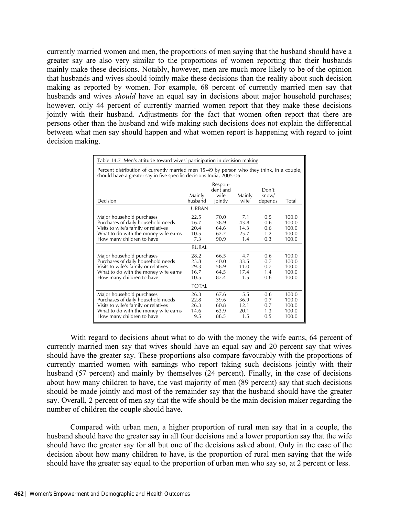currently married women and men, the proportions of men saying that the husband should have a greater say are also very similar to the proportions of women reporting that their husbands mainly make these decisions. Notably, however, men are much more likely to be of the opinion that husbands and wives should jointly make these decisions than the reality about such decision making as reported by women. For example, 68 percent of currently married men say that husbands and wives *should* have an equal say in decisions about major household purchases; however, only 44 percent of currently married women report that they make these decisions jointly with their husband. Adjustments for the fact that women often report that there are persons other than the husband and wife making such decisions does not explain the differential between what men say should happen and what women report is happening with regard to joint decision making.

| <u>Table 14.7 Men's attitude toward wives' participation in decision making</u>                                                                                              |                                      |                                        |                                    |                                 |                                           |
|------------------------------------------------------------------------------------------------------------------------------------------------------------------------------|--------------------------------------|----------------------------------------|------------------------------------|---------------------------------|-------------------------------------------|
| Percent distribution of currently married men 15-49 by person who they think, in a couple,<br>should have a greater say in five specific decisions India, 2005-06            |                                      |                                        |                                    |                                 |                                           |
| Decision                                                                                                                                                                     | Mainly<br>husband<br><b>URBAN</b>    | Respon-<br>dent and<br>wife<br>jointly | Mainly<br>wife                     | Don't<br>know/<br>depends       | Total                                     |
| Major household purchases<br>Purchases of daily household needs<br>Visits to wife's family or relatives<br>What to do with the money wife earns<br>How many children to have | 22.5<br>16.7<br>20.4<br>10.5<br>7.3  | 70.0<br>38.9<br>64.6<br>62.7<br>90.9   | 7.1<br>43.8<br>14.3<br>25.7<br>1.4 | 0.5<br>0.6<br>0.6<br>1.2<br>0.3 | 100.0<br>100.0<br>100.0<br>100.0<br>100.0 |
|                                                                                                                                                                              | RURAI                                |                                        |                                    |                                 |                                           |
| Major household purchases<br>Purchases of daily household needs<br>Visits to wife's family or relatives<br>What to do with the money wife earns<br>How many children to have | 28.2<br>25.8<br>29.3<br>16.7<br>10.5 | 66.5<br>40.0<br>58.9<br>64.5<br>87.4   | 4.7<br>33.5<br>11.0<br>17.4<br>1.5 | 0.6<br>0.7<br>0.7<br>1.4<br>0.6 | 100.0<br>100.0<br>100.0<br>100.0<br>100.0 |
|                                                                                                                                                                              | <b>TOTAL</b>                         |                                        |                                    |                                 |                                           |
| Major household purchases<br>Purchases of daily household needs<br>Visits to wife's family or relatives<br>What to do with the money wife earns<br>How many children to have | 26.3<br>22.8<br>26.3<br>14.6<br>9.5  | 67.6<br>39.6<br>60.8<br>63.9<br>88.5   | 5.5<br>36.9<br>12.1<br>20.1<br>1.5 | 0.6<br>0.7<br>0.7<br>1.3<br>0.5 | 100.0<br>100.0<br>100.0<br>100.0<br>100.0 |

With regard to decisions about what to do with the money the wife earns, 64 percent of currently married men say that wives should have an equal say and 20 percent say that wives should have the greater say. These proportions also compare favourably with the proportions of currently married women with earnings who report taking such decisions jointly with their husband (57 percent) and mainly by themselves (24 percent). Finally, in the case of decisions about how many children to have, the vast majority of men (89 percent) say that such decisions should be made jointly and most of the remainder say that the husband should have the greater say. Overall, 2 percent of men say that the wife should be the main decision maker regarding the number of children the couple should have.

Compared with urban men, a higher proportion of rural men say that in a couple, the husband should have the greater say in all four decisions and a lower proportion say that the wife should have the greater say for all but one of the decisions asked about. Only in the case of the decision about how many children to have, is the proportion of rural men saying that the wife should have the greater say equal to the proportion of urban men who say so, at 2 percent or less.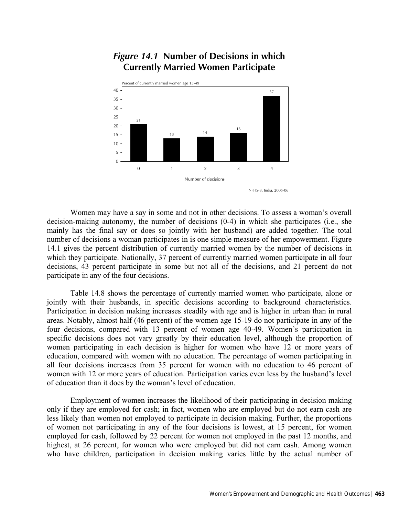

# *Figure 14.1* **Number of Decisions in which Currently Married Women Participate**

NFHS-3, India, 2005-06

 Women may have a say in some and not in other decisions. To assess a woman's overall decision-making autonomy, the number of decisions (0-4) in which she participates (i.e., she mainly has the final say or does so jointly with her husband) are added together. The total number of decisions a woman participates in is one simple measure of her empowerment. Figure 14.1 gives the percent distribution of currently married women by the number of decisions in which they participate. Nationally, 37 percent of currently married women participate in all four decisions, 43 percent participate in some but not all of the decisions, and 21 percent do not participate in any of the four decisions.

Table 14.8 shows the percentage of currently married women who participate, alone or jointly with their husbands, in specific decisions according to background characteristics. Participation in decision making increases steadily with age and is higher in urban than in rural areas. Notably, almost half (46 percent) of the women age 15-19 do not participate in any of the four decisions, compared with 13 percent of women age 40-49. Women's participation in specific decisions does not vary greatly by their education level, although the proportion of women participating in each decision is higher for women who have 12 or more years of education, compared with women with no education. The percentage of women participating in all four decisions increases from 35 percent for women with no education to 46 percent of women with 12 or more years of education. Participation varies even less by the husband's level of education than it does by the woman's level of education.

 Employment of women increases the likelihood of their participating in decision making only if they are employed for cash; in fact, women who are employed but do not earn cash are less likely than women not employed to participate in decision making. Further, the proportions of women not participating in any of the four decisions is lowest, at 15 percent, for women employed for cash, followed by 22 percent for women not employed in the past 12 months, and highest, at 26 percent, for women who were employed but did not earn cash. Among women who have children, participation in decision making varies little by the actual number of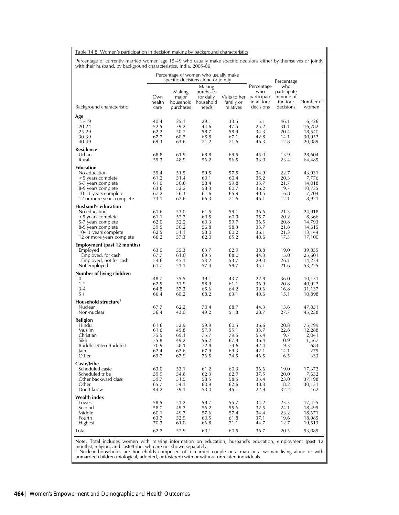Table 14.8 Women's participation in decision making by background characteristics

Percentage of currently married women age 15-49 who usually make specific decisions either by themselves or jointly with their husband, by background characteristics, India, 2005-06

|                                                   |                       | Percentage of women who usually make<br>specific decisions alone or jointly |                                                                  |                                         |                                                              | Percentage                                                |                    |
|---------------------------------------------------|-----------------------|-----------------------------------------------------------------------------|------------------------------------------------------------------|-----------------------------------------|--------------------------------------------------------------|-----------------------------------------------------------|--------------------|
| Background characteristic                         | Own<br>health<br>care | Making<br>major<br>purchases                                                | Making<br>purchases<br>for daily<br>household household<br>needs | Visits to her<br>family or<br>relatives | Percentage<br>who<br>participate<br>in all four<br>decisions | who<br>participate<br>in none of<br>the four<br>decisions | Number of<br>women |
| Age                                               |                       |                                                                             |                                                                  |                                         |                                                              |                                                           |                    |
| 15-19<br>20-24                                    | 40.4<br>52.5          | 25.1<br>39.2                                                                | 29.1<br>44.6                                                     | 33.5<br>47.5                            | 15.1<br>25.2                                                 | 46.1<br>31.1                                              | 6,726<br>16,782    |
| 25-29                                             | 62.2                  | 50.7                                                                        | 58.7                                                             | 58.9                                    | 34.3                                                         | 20.4                                                      | 18,540             |
| 30-39<br>40-49                                    | 67.7<br>69.3          | 60.7<br>63.6                                                                | 68.8<br>71.2                                                     | 67.1<br>71.6                            | 42.8<br>46.3                                                 | 14.1<br>12.8                                              | 30,952<br>20,089   |
| Residence                                         |                       |                                                                             |                                                                  |                                         |                                                              |                                                           |                    |
| Urban                                             | 68.8                  | 61.9                                                                        | 68.8                                                             | 69.5                                    | 45.0                                                         | 13.9                                                      | 28,604             |
| Rural                                             | 59.3                  | 48.9                                                                        | 56.2                                                             | 56.5                                    | 33.0                                                         | 23.4                                                      | 64,485             |
| Education<br>No education                         | 59.4                  | 51.5                                                                        | 59.5                                                             | 57.5                                    | 34.9                                                         | 22.7                                                      | 43,931             |
| <5 years complete                                 | 61.2                  | 51.4                                                                        | 60.1                                                             | 60.4                                    | 35.2                                                         | 20.3                                                      | 7,776              |
| 5-7 years complete                                | 61.0                  | 50.6                                                                        | 58.4                                                             | 59.8                                    | 35.7                                                         | 21.7                                                      | 14,018             |
| 8-9 years complete                                | 63.6                  | 52.2                                                                        | 58.3                                                             | 60.7                                    | 36.2                                                         | 19.7                                                      | 10,735             |
| 10-11 years complete<br>12 or more years complete | 67.2<br>73.1          | 56.3<br>62.6                                                                | 61.6<br>66.3                                                     | 65.9<br>71.6                            | 40.5<br>46.1                                                 | 16.8<br>12.1                                              | 7,704<br>8,921     |
| Husband's education                               |                       |                                                                             |                                                                  |                                         |                                                              |                                                           |                    |
| No education                                      | 61.6                  | 53.0                                                                        | 61.5                                                             | 59.1                                    | 36.6                                                         | 21.3                                                      | 24,918             |
| <5 years complete                                 | 61.1                  | 52.3                                                                        | 60.5                                                             | 60.9                                    | 35.7                                                         | 20.2                                                      | 8,366              |
| 5-7 years complete                                | 62.0<br>59.5          | 52.2<br>50.2                                                                | 60.3<br>56.8                                                     | 59.7<br>58.3                            | 36.5<br>33.7                                                 | 20.8<br>21.8                                              | 14,793             |
| 8-9 years complete<br>10-11 years complete        | 62.5                  | 51.1                                                                        | 58.0                                                             | 60.2                                    | 36.1                                                         | 21.3                                                      | 14,615<br>13,144   |
| 12 or more years complete                         | 66.2                  | 57.3                                                                        | 62.0                                                             | 65.2                                    | 40.6                                                         | 17.3                                                      | 17,100             |
| Employment (past 12 months)                       |                       |                                                                             |                                                                  |                                         |                                                              |                                                           |                    |
| Employed                                          | 63.0                  | 55.3                                                                        | 63.7                                                             | 62.9                                    | 38.8                                                         | 19.0                                                      | 39,835             |
| Employed, for cash<br>Employed, not for cash      | 67.7<br>54.6          | 61.0<br>45.1                                                                | 69.5<br>53.2                                                     | 68.0<br>53.7                            | 44.3<br>29.0                                                 | 15.0<br>26.1                                              | 25,601<br>14,234   |
| Not employed                                      | 61.7                  | 51.1                                                                        | 57.4                                                             | 58.7                                    | 35.1                                                         | 21.6                                                      | 53,225             |
| Number of living children                         |                       |                                                                             |                                                                  |                                         |                                                              |                                                           |                    |
| 0                                                 | 48.7                  | 35.5                                                                        | 39.1                                                             | 43.7                                    | 22.8                                                         | 36.0                                                      | 10,131             |
| $1 - 2$<br>$3 - 4$                                | 62.5<br>64.8          | 51.9<br>57.3                                                                | 58.9<br>65.6                                                     | 61.1<br>64.2                            | 36.9<br>39.6                                                 | 20.8<br>16.8                                              | 40,922<br>31,137   |
| $5+$                                              | 66.4                  | 60.2                                                                        | 68.2                                                             | 63.1                                    | 40.6                                                         | 15.1                                                      | 10,898             |
| Household structure <sup>1</sup>                  |                       |                                                                             |                                                                  |                                         |                                                              |                                                           |                    |
| Nuclear                                           | 67.7                  | 62.2                                                                        | 70.4                                                             | 68.7                                    | 44.3                                                         | 13.6                                                      | 47,851             |
| Non-nuclear                                       | 56.4                  | 43.0                                                                        | 49.2                                                             | 51.8                                    | 28.7                                                         | 27.7                                                      | 45,238             |
| Religion<br>Hindu                                 | 61.6                  | 52.9                                                                        | 59.9                                                             | 60.5                                    | 36.6                                                         | 20.8                                                      | 75,799             |
| Muslim                                            | 61.6                  | 49.8                                                                        | 57.9                                                             | 55.1                                    | 33.7                                                         | 22.8                                                      | 12,288             |
| Christian                                         | 75.5                  | 69.1                                                                        | 75.7                                                             | 79.5                                    | 55.4                                                         | 9.7                                                       | 2,041              |
| Sikh<br>Buddhist/Neo-Buddhist                     | 75.8<br>70.9          | 49.2<br>58.1                                                                | 56.2<br>72.8                                                     | 67.8<br>74.6                            | 36.4<br>42.4                                                 | 10.9<br>9.3                                               | 1,567<br>684       |
| Jain                                              | 62.4                  | 62.6                                                                        | 67.9                                                             | 69.3                                    | 42.1                                                         | 14.1                                                      | 279                |
| Other                                             | 69.7                  | 67.9                                                                        | 76.5                                                             | 74.5                                    | 46.5                                                         | 6.5                                                       | 333                |
| Caste/tribe                                       |                       |                                                                             |                                                                  |                                         |                                                              |                                                           |                    |
| Scheduled caste<br>Scheduled tribe                | 63.0<br>59.9          | 53.1<br>54.8                                                                | 61.2<br>62.3                                                     | 60.3<br>62.9                            | 36.6<br>37.5                                                 | 19.0                                                      | 17,372<br>7,632    |
| Other backward class                              | 59.7                  | 51.5                                                                        | 58.5                                                             | 58.5                                    | 35.4                                                         | 20.0<br>23.0                                              | 37,198             |
| Other                                             | 65.7                  | 54.1                                                                        | 60.9                                                             | 62.6                                    | 38.3                                                         | 18.2                                                      | 30,131             |
| Don't know                                        | 44.2                  | 39.1                                                                        | 50.0                                                             | 45.1                                    | 22.9                                                         | 32.2                                                      | 462                |
| <b>Wealth index</b>                               |                       |                                                                             |                                                                  |                                         |                                                              |                                                           |                    |
| Lowest<br>Second                                  | 58.5<br>58.0          | 51.2<br>49.2                                                                | 58.7<br>56.2                                                     | 55.7<br>55.6                            | 34.2<br>32.5                                                 | 23.3<br>24.1                                              | 17,425<br>18,495   |
| Middle                                            | 60.1                  | 49.7                                                                        | 57.6                                                             | 57.4                                    | 34.4                                                         | 23.2                                                      | 18,671             |
| Fourth                                            | 63.7                  | 52.9                                                                        | 60.5                                                             | 61.8                                    | 37.1                                                         | 19.6                                                      | 18,985             |
| Highest                                           | 70.3                  | 61.0                                                                        | 66.8                                                             | 71.1                                    | 44.7                                                         | 12.7                                                      | 19,513             |
| Total                                             | 62.2                  | 52.9                                                                        | 60.1                                                             | 60.5                                    | 36.7                                                         | 20.5                                                      | 93,089             |

Note: Total includes women with missing information on education, husband's education, employment (past 12<br>months), religion, and caste/tribe, who are not shown separately.<br><sup>1</sup> Nuclear households are households comprised o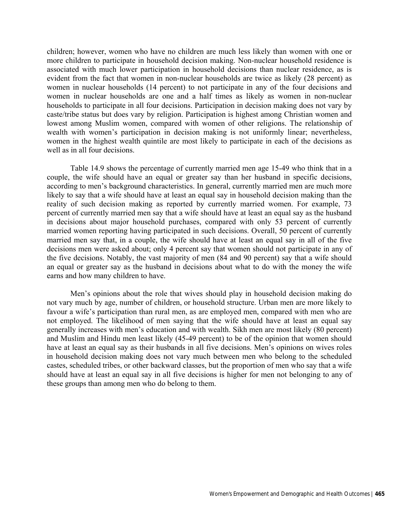children; however, women who have no children are much less likely than women with one or more children to participate in household decision making. Non-nuclear household residence is associated with much lower participation in household decisions than nuclear residence, as is evident from the fact that women in non-nuclear households are twice as likely (28 percent) as women in nuclear households (14 percent) to not participate in any of the four decisions and women in nuclear households are one and a half times as likely as women in non-nuclear households to participate in all four decisions. Participation in decision making does not vary by caste/tribe status but does vary by religion. Participation is highest among Christian women and lowest among Muslim women, compared with women of other religions. The relationship of wealth with women's participation in decision making is not uniformly linear; nevertheless, women in the highest wealth quintile are most likely to participate in each of the decisions as well as in all four decisions.

Table 14.9 shows the percentage of currently married men age 15-49 who think that in a couple, the wife should have an equal or greater say than her husband in specific decisions, according to men's background characteristics. In general, currently married men are much more likely to say that a wife should have at least an equal say in household decision making than the reality of such decision making as reported by currently married women. For example, 73 percent of currently married men say that a wife should have at least an equal say as the husband in decisions about major household purchases, compared with only 53 percent of currently married women reporting having participated in such decisions. Overall, 50 percent of currently married men say that, in a couple, the wife should have at least an equal say in all of the five decisions men were asked about; only 4 percent say that women should not participate in any of the five decisions. Notably, the vast majority of men (84 and 90 percent) say that a wife should an equal or greater say as the husband in decisions about what to do with the money the wife earns and how many children to have.

Men's opinions about the role that wives should play in household decision making do not vary much by age, number of children, or household structure. Urban men are more likely to favour a wife's participation than rural men, as are employed men, compared with men who are not employed. The likelihood of men saying that the wife should have at least an equal say generally increases with men's education and with wealth. Sikh men are most likely (80 percent) and Muslim and Hindu men least likely (45-49 percent) to be of the opinion that women should have at least an equal say as their husbands in all five decisions. Men's opinions on wives roles in household decision making does not vary much between men who belong to the scheduled castes, scheduled tribes, or other backward classes, but the proportion of men who say that a wife should have at least an equal say in all five decisions is higher for men not belonging to any of these groups than among men who do belong to them.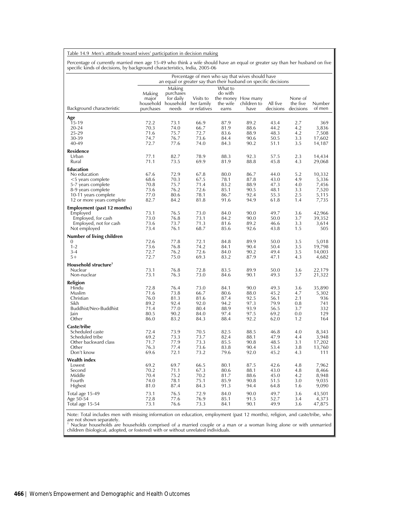Table 14.9 Men's attitude toward wives' participation in decision making

Percentage of currently married men age 15-49 who think a wife should have an equal or greater say than her husband on five specific kinds of decisions, by background characteristics, India, 2005-06

|                                              |                              |                                                                  |                                         |                                         | Percentage of men who say that wives should have<br>an equal or greater say than their husband on specific decisions |                       |                                  |                  |
|----------------------------------------------|------------------------------|------------------------------------------------------------------|-----------------------------------------|-----------------------------------------|----------------------------------------------------------------------------------------------------------------------|-----------------------|----------------------------------|------------------|
| Background characteristic                    | Making<br>major<br>purchases | Making<br>purchases<br>for daily<br>household household<br>needs | Visits to<br>her family<br>or relatives | What to<br>do with<br>the wife<br>earns | the money How many<br>children to<br>have                                                                            | All five<br>decisions | None of<br>the five<br>decisions | Number<br>of men |
| Age                                          |                              |                                                                  |                                         |                                         |                                                                                                                      |                       |                                  |                  |
| 15-19                                        | 72.2                         | 73.1                                                             | 66.9                                    | 87.9                                    | 89.2                                                                                                                 | 43.4                  | 2.7                              | 369              |
| $20 - 24$<br>25-29                           | 70.3<br>71.6                 | 74.0<br>75.7                                                     | 66.7<br>72.7                            | 81.9<br>83.6                            | 88.6<br>88.9                                                                                                         | 44.2<br>48.3          | 4.2<br>4.2                       | 3,836<br>7,508   |
| 30-39                                        | 74.7                         | 76.7                                                             | 73.6                                    | 84.4                                    | 90.6                                                                                                                 | 50.5                  | 3.3                              | 17,602           |
| 40-49                                        | 72.7                         | 77.6                                                             | 74.0                                    | 84.3                                    | 90.2                                                                                                                 | 51.1                  | 3.5                              | 14,187           |
| <b>Residence</b>                             |                              |                                                                  |                                         |                                         |                                                                                                                      |                       |                                  |                  |
| Urban                                        | 77.1                         | 82.7                                                             | 78.9                                    | 88.3                                    | 92.3                                                                                                                 | 57.5                  | 2.3                              | 14,434           |
| Rural                                        | 71.1                         | 73.5                                                             | 69.9                                    | 81.9                                    | 88.8                                                                                                                 | 45.8                  | 4.3                              | 29,068           |
| <b>Education</b>                             |                              |                                                                  |                                         |                                         |                                                                                                                      |                       |                                  |                  |
| No education                                 | 67.6<br>68.6                 | 72.9<br>70.3                                                     | 67.8<br>67.5                            | 80.0<br>78.1                            | 86.7<br>87.8                                                                                                         | 44.0<br>43.0          | 5.2<br>4.9                       | 10,332<br>5,336  |
| <5 years complete<br>5-7 years complete      | 70.8                         | 75.7                                                             | 71.4                                    | 83.2                                    | 88.9                                                                                                                 | 47.3                  | 4.0                              | 7,456            |
| 8-9 years complete                           | 73.6                         | 76.2                                                             | 72.6                                    | 85.1                                    | 90.5                                                                                                                 | 48.1                  | 3.3                              | 7,520            |
| 10-11 years complete                         | 77.0                         | 80.6                                                             | 78.1                                    | 86.7                                    | 92.4                                                                                                                 | 55.3                  | 2.5                              | 5,115            |
| 12 or more years complete                    | 82.7                         | 84.2                                                             | 81.8                                    | 91.6                                    | 94.9                                                                                                                 | 61.8                  | 1.4                              | 7,735            |
| Employment (past 12 months)                  |                              |                                                                  |                                         |                                         |                                                                                                                      |                       |                                  |                  |
| Employed                                     | 73.1<br>73.0                 | 76.5<br>76.8                                                     | 73.0<br>73.1                            | 84.0<br>84.2                            | 90.0<br>90.0                                                                                                         | 49.7<br>50.0          | 3.6<br>3.7                       | 42,966<br>39,352 |
| Employed, for cash<br>Employed, not for cash | 73.6                         | 73.7                                                             | 71.3                                    | 81.6                                    | 89.2                                                                                                                 | 46.6                  | 3.3                              | 3,614            |
| Not employed                                 | 73.4                         | 76.1                                                             | 68.7                                    | 85.6                                    | 92.6                                                                                                                 | 43.8                  | 1.5                              | 505              |
| Number of living children                    |                              |                                                                  |                                         |                                         |                                                                                                                      |                       |                                  |                  |
| 0                                            | 72.6                         | 77.8                                                             | 72.1                                    | 84.8                                    | 89.9                                                                                                                 | 50.0                  | 3.5                              | 5,018            |
| $1 - 2$                                      | 73.6                         | 76.8                                                             | 74.2                                    | 84.1                                    | 90.4                                                                                                                 | 50.4                  | 3.5                              | 19,798           |
| $3 - 4$<br>$5+$                              | 72.7<br>72.7                 | 76.2<br>75.0                                                     | 72.6<br>69.3                            | 84.0<br>83.2                            | 90.2<br>87.9                                                                                                         | 49.4<br>47.1          | 3.5<br>4.3                       | 14,003<br>4,682  |
|                                              |                              |                                                                  |                                         |                                         |                                                                                                                      |                       |                                  |                  |
| Household structure <sup>1</sup><br>Nuclear  | 73.1                         | 76.8                                                             | 72.8                                    | 83.5                                    | 89.9                                                                                                                 | 50.0                  | 3.6                              | 22,179           |
| Non-nuclear                                  | 73.1                         | 76.3                                                             | 73.0                                    | 84.6                                    | 90.1                                                                                                                 | 49.3                  | 3.7                              | 21,322           |
| Religion                                     |                              |                                                                  |                                         |                                         |                                                                                                                      |                       |                                  |                  |
| Hindu                                        | 72.8                         | 76.4                                                             | 73.0                                    | 84.1                                    | 90.0                                                                                                                 | 49.3                  | 3.6                              | 35,890           |
| Muslim                                       | 71.6                         | 73.8                                                             | 66.7                                    | 80.6                                    | 88.0                                                                                                                 | 45.2                  | 4.7                              | 5,302            |
| Christian<br>Sikh                            | 76.0<br>89.2                 | 81.3<br>92.4                                                     | 81.6<br>92.0                            | 87.4<br>94.2                            | 92.5<br>97.3                                                                                                         | 56.1<br>79.9          | 2.1<br>0.8                       | 936<br>741       |
| Buddhist/Neo-Buddhist                        | 71.4                         | 77.0                                                             | 80.4                                    | 88.9                                    | 93.9                                                                                                                 | 56.5                  | 3.7                              | 332              |
| Jain                                         | 80.5                         | 90.2                                                             | 84.0                                    | 97.4                                    | 97.5                                                                                                                 | 69.2                  | 0.0                              | 129              |
| Other                                        | 86.0                         | 83.2                                                             | 84.3                                    | 88.4                                    | 92.2                                                                                                                 | 62.0                  | 1.2                              | 164              |
| Caste/tribe                                  |                              |                                                                  |                                         |                                         |                                                                                                                      |                       |                                  |                  |
| Scheduled caste                              | 72.4                         | 73.9                                                             | 70.5                                    | 82.5                                    | 88.5                                                                                                                 | 46.8                  | 4.0                              | 8,343            |
| Scheduled tribe<br>Other backward class      | 69.2<br>71.7                 | 73.3<br>77.9                                                     | 73.7<br>73.3                            | 82.4<br>85.5                            | 88.1<br>90.8                                                                                                         | 47.9<br>48.5          | 4.4<br>3.1                       | 3,948<br>17,202  |
| Other                                        | 76.3                         | 77.4                                                             | 73.6                                    | 83.8                                    | 90.4                                                                                                                 | 53.4                  | 3.8                              | 13,760           |
| Don't know                                   | 69.6                         | 72.1                                                             | 73.2                                    | 79.6                                    | 92.0                                                                                                                 | 45.2                  | 4.3                              | 111              |
| Wealth index                                 |                              |                                                                  |                                         |                                         |                                                                                                                      |                       |                                  |                  |
| Lowest                                       | 69.2                         | 69.7                                                             | 66.5                                    | 80.1                                    | 87.5                                                                                                                 | 42.6                  | 4.8                              | 7,962            |
| Second                                       | 70.2                         | 71.1<br>75.2                                                     | 67.3                                    | 80.6                                    | 88.1                                                                                                                 | 43.0<br>45.0          | 4.8<br>4.2                       | 8,466            |
| Middle<br>Fourth                             | 70.4<br>74.0                 | 78.1                                                             | 70.2<br>75.1                            | 81.7<br>85.9                            | 88.6<br>90.8                                                                                                         | 51.5                  | 3.0                              | 8,948<br>9,035   |
| Highest                                      | 81.0                         | 87.4                                                             | 84.3                                    | 91.3                                    | 94.4                                                                                                                 | 64.8                  | 1.6                              | 9,090            |
| Total age 15-49                              | 73.1                         | 76.5                                                             | 72.9                                    | 84.0                                    | 90.0                                                                                                                 | 49.7                  | 3.6                              | 43,501           |
| Age 50-54                                    | 72.8                         | 77.6                                                             | 76.9                                    | 85.1                                    | 91.5                                                                                                                 | 52.7                  | 3.4                              | 4,373            |
| Total age 15-54                              | 73.1                         | 76.6                                                             | 73.3                                    | 84.1                                    | 90.1                                                                                                                 | 49.9                  | 3.6                              | 47,875           |

Note: Total includes men with missing information on education, employment (past 12 months), religion, and caste/tribe, who

are not shown separately.<br><sup>1</sup> Nuclear households are households comprised of a married couple or a man or a woman living alone or with unmarried<br>children (biological, adopted, or fostered) with or without unrelated individ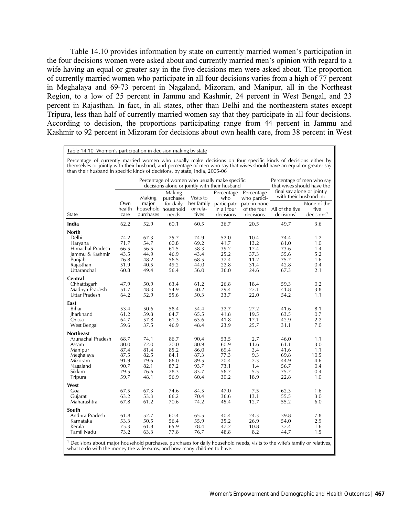Table 14.10 provides information by state on currently married women's participation in the four decisions women were asked about and currently married men's opinion with regard to a wife having an equal or greater say in the five decisions men were asked about. The proportion of currently married women who participate in all four decisions varies from a high of 77 percent in Meghalaya and 69-73 percent in Nagaland, Mizoram, and Manipur, all in the Northeast Region, to a low of 25 percent in Jammu and Kashmir, 24 percent in West Bengal, and 23 percent in Rajasthan. In fact, in all states, other than Delhi and the northeastern states except Tripura, less than half of currently married women say that they participate in all four decisions. According to decision, the proportions participating range from 44 percent in Jammu and Kashmir to 92 percent in Mizoram for decisions about own health care, from 38 percent in West

| Table 14.10 Women's participation in decision making by state |
|---------------------------------------------------------------|
|---------------------------------------------------------------|

Percentage of currently married women who usually make decisions on four specific kinds of decisions either by themselves or jointly with their husband, and percentage of men who say that wives should have an equal or greater say than their husband in specific kinds of decisions, by state, India, 2005-06

|                          |                       |                    | Percentage of women who usually make specific<br>decisions alone or jointly with their husband |                                 | Percentage of men who say<br>that wives should have the<br>final say alone or jointly |                                       |                                                       |                                               |
|--------------------------|-----------------------|--------------------|------------------------------------------------------------------------------------------------|---------------------------------|---------------------------------------------------------------------------------------|---------------------------------------|-------------------------------------------------------|-----------------------------------------------|
|                          |                       | Making             | Making<br>purchases                                                                            | Visits to                       | Percentage<br>who                                                                     | Percentage<br>who partici-            | with their husband in:                                |                                               |
| State                    | Own<br>health<br>care | major<br>purchases | for daily<br>household household<br>needs                                                      | her family<br>or rela-<br>tives | in all four<br>decisions                                                              | participate pate in none<br>decisions | of the four All of the five<br>decisions <sup>1</sup> | None of the<br>five<br>decisions <sup>1</sup> |
| India                    | 62.2                  | 52.9               | 60.1                                                                                           | 60.5                            | 36.7                                                                                  | 20.5                                  | 49.7                                                  | 3.6                                           |
| <b>North</b>             |                       |                    |                                                                                                |                                 |                                                                                       |                                       |                                                       |                                               |
| Delhi                    | 74.2                  | 67.3               | 75.7                                                                                           | 74.9                            | 52.0                                                                                  | 10.4                                  | 74.4                                                  | 1.2                                           |
| Haryana                  | 71.7                  | 54.7               | 60.8                                                                                           | 69.2                            | 41.7                                                                                  | 13.2                                  | 81.0                                                  | 1.0                                           |
| Himachal Pradesh         | 66.5                  | 56.5               | 61.5                                                                                           | 58.3                            | 39.2                                                                                  | 17.4                                  | 73.6                                                  | 1.4                                           |
| Jammu & Kashmir          | 43.5                  | 44.9               | 46.9                                                                                           | 43.4                            | 25.2                                                                                  | 37.3                                  | 55.6                                                  | 5.2                                           |
| Punjab                   | 76.8                  | 48.2               | 56.5                                                                                           | 68.5                            | 37.4                                                                                  | 11.2                                  | 75.7                                                  | 1.6                                           |
| Rajasthan<br>Uttaranchal | 51.9<br>60.8          | 40.5<br>49.4       | 49.2<br>56.4                                                                                   | 44.0<br>56.0                    | 22.8<br>36.0                                                                          | 31.4<br>24.6                          | 42.8<br>67.3                                          | 0.4<br>2.1                                    |
| Central                  |                       |                    |                                                                                                |                                 |                                                                                       |                                       |                                                       |                                               |
| Chhattisgarh             | 47.9                  | 50.9               | 63.4                                                                                           | 61.2                            | 26.8                                                                                  | 18.4                                  | 59.3                                                  | 0.2                                           |
| Madhya Pradesh           | 51.7                  | 48.3               | 54.9                                                                                           | 50.2                            | 29.4                                                                                  | 27.1                                  | 41.8                                                  | 3.8                                           |
| Uttar Pradesh            | 64.2                  | 52.9               | 55.6                                                                                           | 50.3                            | 33.7                                                                                  | 22.0                                  | 54.2                                                  | 1.1                                           |
| East                     |                       |                    |                                                                                                |                                 |                                                                                       |                                       |                                                       |                                               |
| Bihar                    | 53.4                  | 50.6               | 58.4                                                                                           | 54.4                            | 32.7                                                                                  | 27.2                                  | 41.6                                                  | 8.1                                           |
| Jharkhand                | 61.2                  | 59.8               | 64.7                                                                                           | 65.5                            | 41.8                                                                                  | 19.5                                  | 63.5                                                  | 0.7                                           |
| Orissa<br>West Bengal    | 64.7<br>59.6          | 57.8<br>37.5       | 61.3<br>46.9                                                                                   | 63.6<br>48.4                    | 41.8<br>23.9                                                                          | 17.1<br>25.7                          | 42.9<br>31.1                                          | 2.2<br>7.0                                    |
| <b>Northeast</b>         |                       |                    |                                                                                                |                                 |                                                                                       |                                       |                                                       |                                               |
| Arunachal Pradesh        | 68.7                  | 74.1               | 86.7                                                                                           | 90.4                            | 53.5                                                                                  | 2.7                                   | 46.0                                                  | 1.1                                           |
| Assam                    | 80.0                  | 72.0               | 70.0                                                                                           | 80.9                            | 60.9                                                                                  | 11.6                                  | 61.1                                                  | 3.0                                           |
| Manipur                  | 87.4                  | 81.4               | 85.2                                                                                           | 86.0                            | 69.4                                                                                  | 3.4                                   | 41.6                                                  | 1.1                                           |
| Meghalaya                | 87.5                  | 82.5               | 84.1                                                                                           | 87.3                            | 77.3                                                                                  | 9.3                                   | 69.8                                                  | 10.5                                          |
| Mizoram                  | 91.9                  | 79.6               | 86.0                                                                                           | 89.5                            | 70.4                                                                                  | 2.3                                   | 44.9                                                  | 4.6                                           |
| Nagaland                 | 90.7                  | 82.1               | 87.2                                                                                           | 93.7                            | 73.1                                                                                  | 1.4                                   | 56.7                                                  | 0.4                                           |
| Sikkim<br>Tripura        | 79.5<br>59.7          | 76.6<br>48.1       | 78.3<br>56.9                                                                                   | 83.7<br>60.4                    | 58.7<br>30.2                                                                          | 5.5<br>18.9                           | 75.7<br>22.8                                          | 0.4<br>1.0                                    |
| West                     |                       |                    |                                                                                                |                                 |                                                                                       |                                       |                                                       |                                               |
| Goa                      | 67.5                  | 67.3               | 74.6                                                                                           | 84.5                            | 47.0                                                                                  | 7.5                                   | 62.3                                                  | 1.6                                           |
| Gujarat                  | 63.2                  | 53.3               | 66.2                                                                                           | 70.4                            | 36.6                                                                                  | 13.1                                  | 55.5                                                  | 3.0                                           |
| Maharashtra              | 67.8                  | 61.2               | 70.6                                                                                           | 74.2                            | 45.4                                                                                  | 12.7                                  | 55.2                                                  | 6.0                                           |
| South                    |                       |                    |                                                                                                |                                 |                                                                                       |                                       |                                                       |                                               |
| Andhra Pradesh           | 61.8                  | 52.7               | 60.4                                                                                           | 65.5                            | 40.4                                                                                  | 24.3                                  | 39.8                                                  | 7.8                                           |
| Karnataka                | 53.3                  | 50.5               | 56.4                                                                                           | 55.9                            | 35.2                                                                                  | 26.9                                  | 54.0                                                  | 2.9                                           |
| Kerala<br>Tamil Nadu     | 75.3<br>73.2          | 61.8<br>63.3       | 65.9<br>77.8                                                                                   | 78.4<br>76.7                    | 47.2<br>48.8                                                                          | 10.8<br>8.2                           | 37.4<br>44.7                                          | 1.6<br>1.5                                    |
|                          |                       |                    |                                                                                                |                                 |                                                                                       |                                       | $\cdot$ $\cdot$                                       |                                               |

<sup>1</sup> Decisions about major household purchases, purchases for daily household needs, visits to the wife's family or relatives, what to do with the money the wife earns, and how many children to have.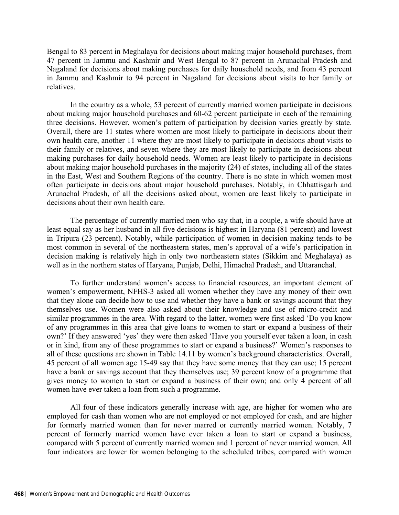Bengal to 83 percent in Meghalaya for decisions about making major household purchases, from 47 percent in Jammu and Kashmir and West Bengal to 87 percent in Arunachal Pradesh and Nagaland for decisions about making purchases for daily household needs, and from 43 percent in Jammu and Kashmir to 94 percent in Nagaland for decisions about visits to her family or relatives.

In the country as a whole, 53 percent of currently married women participate in decisions about making major household purchases and 60-62 percent participate in each of the remaining three decisions. However, women's pattern of participation by decision varies greatly by state. Overall, there are 11 states where women are most likely to participate in decisions about their own health care, another 11 where they are most likely to participate in decisions about visits to their family or relatives, and seven where they are most likely to participate in decisions about making purchases for daily household needs. Women are least likely to participate in decisions about making major household purchases in the majority (24) of states, including all of the states in the East, West and Southern Regions of the country. There is no state in which women most often participate in decisions about major household purchases. Notably, in Chhattisgarh and Arunachal Pradesh, of all the decisions asked about, women are least likely to participate in decisions about their own health care.

The percentage of currently married men who say that, in a couple, a wife should have at least equal say as her husband in all five decisions is highest in Haryana (81 percent) and lowest in Tripura (23 percent). Notably, while participation of women in decision making tends to be most common in several of the northeastern states, men's approval of a wife's participation in decision making is relatively high in only two northeastern states (Sikkim and Meghalaya) as well as in the northern states of Haryana, Punjab, Delhi, Himachal Pradesh, and Uttaranchal.

To further understand women's access to financial resources, an important element of women's empowerment, NFHS-3 asked all women whether they have any money of their own that they alone can decide how to use and whether they have a bank or savings account that they themselves use. Women were also asked about their knowledge and use of micro-credit and similar programmes in the area. With regard to the latter, women were first asked 'Do you know of any programmes in this area that give loans to women to start or expand a business of their own?' If they answered 'yes' they were then asked 'Have you yourself ever taken a loan, in cash or in kind, from any of these programmes to start or expand a business?' Women's responses to all of these questions are shown in Table 14.11 by women's background characteristics. Overall, 45 percent of all women age 15-49 say that they have some money that they can use; 15 percent have a bank or savings account that they themselves use; 39 percent know of a programme that gives money to women to start or expand a business of their own; and only 4 percent of all women have ever taken a loan from such a programme.

All four of these indicators generally increase with age, are higher for women who are employed for cash than women who are not employed or not employed for cash, and are higher for formerly married women than for never marred or currently married women. Notably, 7 percent of formerly married women have ever taken a loan to start or expand a business, compared with 5 percent of currently married women and 1 percent of never married women. All four indicators are lower for women belonging to the scheduled tribes, compared with women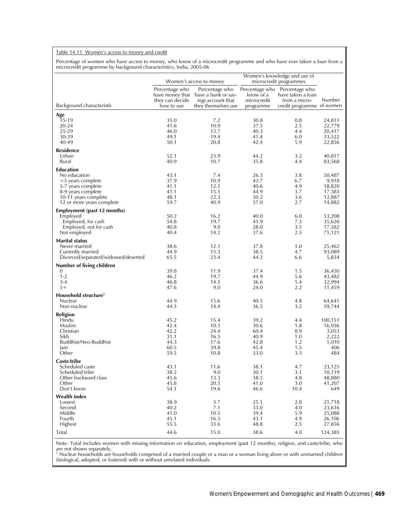### Table 14.11 Women's access to money and credit

Percentage of women who have access to money, who know of a microcredit programme and who have ever taken a loan from a microcredit programme by background characteristics, India, 2005-06

|                                                   |                                                 | Women's access to money                                                                           |                                       | Women's knowledge and use of<br>microcredit programmes                                           |                  |
|---------------------------------------------------|-------------------------------------------------|---------------------------------------------------------------------------------------------------|---------------------------------------|--------------------------------------------------------------------------------------------------|------------------|
| Background characteristic                         | Percentage who<br>they can decide<br>how to use | Percentage who<br>have money that have a bank or sav-<br>ings account that<br>they themselves use | know of a<br>microcredit<br>programme | Percentage who Percentage who<br>have taken a loan<br>from a micro-<br>credit programme of women | Number           |
| Age                                               |                                                 |                                                                                                   |                                       |                                                                                                  |                  |
| 15-19                                             | 35.0                                            | 7.2                                                                                               | 30.8                                  | 0.8                                                                                              | 24,811           |
| 20-24                                             | 41.6                                            | 10.9                                                                                              | 37.5                                  | 2.5                                                                                              | 22,779           |
| 25-29                                             | 46.0                                            | 15.7                                                                                              | 40.3                                  | 4.4                                                                                              | 20,417           |
| 30-39                                             | 49.1                                            | 19.4                                                                                              | 41.4                                  | 6.0                                                                                              | 33,522           |
| 40-49                                             | 50.1                                            | 20.8                                                                                              | 42.4                                  | 5.9                                                                                              | 22,856           |
| <b>Residence</b>                                  |                                                 |                                                                                                   |                                       |                                                                                                  |                  |
| Urban                                             | 52.1                                            | 23.9                                                                                              | 44.2                                  | 3.2                                                                                              | 40,817           |
| Rural                                             | 40.9                                            | 10.7                                                                                              | 35.8                                  | 4.4                                                                                              | 83,568           |
| <b>Education</b>                                  |                                                 |                                                                                                   |                                       |                                                                                                  |                  |
| No education                                      | 43.1                                            | 7.4                                                                                               | 26.3                                  | 3.8                                                                                              | 50,487           |
| $<$ 5 years complete                              | 37.9                                            | 10.9                                                                                              | 43.7                                  | 6.7                                                                                              | 9,918            |
| 5-7 years complete                                | 41.1                                            | 12.1                                                                                              | 40.6                                  | 4.9                                                                                              | 18,820           |
| 8-9 years complete                                | 41.1                                            | 15.1<br>22.3                                                                                      | 44.9                                  | 3.7                                                                                              | 17,383           |
| 10-11 years complete<br>12 or more years complete | 48.1<br>59.7                                    | 40.9                                                                                              | 50.2<br>57.0                          | 3.6<br>2.7                                                                                       | 12,887<br>14,882 |
|                                                   |                                                 |                                                                                                   |                                       |                                                                                                  |                  |
| <b>Employment (past 12 months)</b>                |                                                 |                                                                                                   |                                       |                                                                                                  |                  |
| Employed                                          | 50.2                                            | 16.2                                                                                              | 40.0                                  | 6.0                                                                                              | 53,208           |
| Employed, for cash                                | 54.8                                            | 19.7                                                                                              | 45.9                                  | 7.3                                                                                              | 35,626           |
| Employed, not for cash                            | 40.8                                            | 9.0                                                                                               | 28.0                                  | 3.5                                                                                              | 17,582           |
| Not employed                                      | 40.4                                            | 14.2                                                                                              | 37.6                                  | 2.5                                                                                              | 71,121           |
| <b>Marital status</b>                             |                                                 |                                                                                                   |                                       |                                                                                                  |                  |
| Never married                                     | 38.6                                            | 12.1                                                                                              | 37.8                                  | 1.0                                                                                              | 25,462           |
| Currently married                                 | 44.9                                            | 15.3                                                                                              | 38.5                                  | 4.7                                                                                              | 93,089           |
| Divorced/separated/widowed/deserted               | 65.5                                            | 23.4                                                                                              | 44.2                                  | 6.6                                                                                              | 5,834            |
| Number of living children                         |                                                 |                                                                                                   |                                       |                                                                                                  |                  |
| 0                                                 | 39.8                                            | 11.9                                                                                              | 37.4                                  | 1.5                                                                                              | 36,450           |
| $1 - 2$                                           | 46.2                                            | 19.7                                                                                              | 44.9                                  | 5.6                                                                                              | 43,482           |
| $3-4$                                             | 46.8                                            | 14.5                                                                                              | 36.6                                  | 5.4                                                                                              | 32,994           |
| $5+$                                              | 47.6                                            | 9.0                                                                                               | 24.0                                  | 2.2                                                                                              | 11,459           |
| Household structure <sup>1</sup>                  |                                                 |                                                                                                   |                                       |                                                                                                  |                  |
| Nuclear                                           | 44.9                                            | 15.6                                                                                              | 40.5                                  | 4.8                                                                                              | 64,641           |
| Non-nuclear                                       | 44.3                                            | 14.4                                                                                              | 36.5                                  | 3.2                                                                                              | 59,744           |
| Religion                                          |                                                 |                                                                                                   |                                       |                                                                                                  |                  |
| Hindu                                             | 45.2                                            | 15.4                                                                                              | 39.2                                  | 4.4                                                                                              | 100,151          |
| Muslim                                            | 42.4                                            | 10.5                                                                                              | 30.6                                  | 1.8                                                                                              | 16,936           |
| Christian                                         | 42.2                                            | 24.4                                                                                              | 60.4                                  | 8.9                                                                                              | 3,053            |
| Sikh                                              | 31.1                                            | 16.5                                                                                              | 40.9                                  | 1.0                                                                                              | 2,222            |
| Buddhist/Neo-Buddhist                             | 44.3                                            | 17.6                                                                                              | 42.8                                  | 1.2                                                                                              | 1,010            |
| Jain<br>Other                                     | 60.5<br>59.5                                    | 39.8<br>10.8                                                                                      | 45.4<br>33.0                          | 1.5<br>3.3                                                                                       | 406<br>484       |
|                                                   |                                                 |                                                                                                   |                                       |                                                                                                  |                  |
| Caste/tribe                                       |                                                 |                                                                                                   |                                       |                                                                                                  |                  |
| Scheduled caste                                   | 43.1                                            | 11.6                                                                                              | 38.1                                  | 4.7                                                                                              | 23,125           |
| Scheduled tribe<br>Other backward class           | 38.2<br>45.6                                    | 9.0<br>13.3                                                                                       | 30.1<br>38.5                          | 3.1<br>4.8                                                                                       | 10,119<br>48,880 |
| Other                                             | 45.8                                            | 20.5                                                                                              | 41.0                                  | 3.0                                                                                              | 41,207           |
| Don't know                                        | 54.1                                            | 19.6                                                                                              | 46.6                                  | 10.4                                                                                             | 649              |
|                                                   |                                                 |                                                                                                   |                                       |                                                                                                  |                  |
| <b>Wealth index</b>                               | 38.9                                            | 3.7                                                                                               |                                       |                                                                                                  |                  |
| Lowest<br>Second                                  | 40.2                                            | 7.1                                                                                               | 25.1<br>33.0                          | 2.8<br>4.0                                                                                       | 21,718<br>23,616 |
| Middle                                            | 41.0                                            | 10.5                                                                                              | 39.4                                  | 5.9                                                                                              | 25,088           |
| Fourth                                            | 45.1                                            | 16.3                                                                                              | 43.1                                  | 4.9                                                                                              | 26,106           |
| Highest                                           | 55.5                                            | 33.6                                                                                              | 48.8                                  | 2.5                                                                                              | 27,856           |
| Total                                             | 44.6                                            | 15.0                                                                                              | 38.6                                  |                                                                                                  |                  |
|                                                   |                                                 |                                                                                                   |                                       | 4.0                                                                                              | 124,385          |

Note: Total includes women with missing information on education, employment (past 12 months), religion, and caste/tribe, who are not shown separately.<br><sup>1</sup> Nuclear households are households comprised of a married couple or a man or a woman living alone or with unmarried children

(biological, adopted, or fostered) with or without unrelated individuals.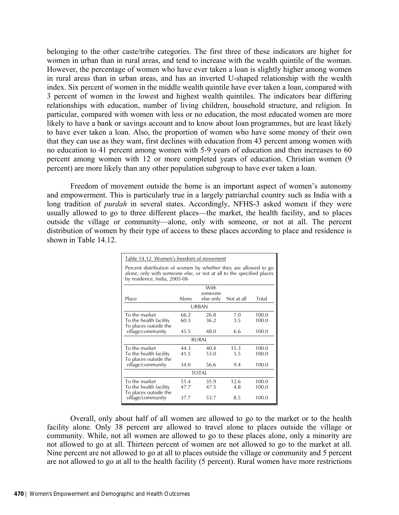belonging to the other caste/tribe categories. The first three of these indicators are higher for women in urban than in rural areas, and tend to increase with the wealth quintile of the woman. However, the percentage of women who have ever taken a loan is slightly higher among women in rural areas than in urban areas, and has an inverted U-shaped relationship with the wealth index. Six percent of women in the middle wealth quintile have ever taken a loan, compared with 3 percent of women in the lowest and highest wealth quintiles. The indicators bear differing relationships with education, number of living children, household structure, and religion. In particular, compared with women with less or no education, the most educated women are more likely to have a bank or savings account and to know about loan programmes, but are least likely to have ever taken a loan. Also, the proportion of women who have some money of their own that they can use as they want, first declines with education from 43 percent among women with no education to 41 percent among women with 5-9 years of education and then increases to 60 percent among women with 12 or more completed years of education. Christian women (9 percent) are more likely than any other population subgroup to have ever taken a loan.

Freedom of movement outside the home is an important aspect of women's autonomy and empowerment. This is particularly true in a largely patriarchal country such as India with a long tradition of *purdah* in several states. Accordingly, NFHS-3 asked women if they were usually allowed to go to three different places—the market, the health facility, and to places outside the village or community—alone, only with someone, or not at all. The percent distribution of women by their type of access to these places according to place and residence is shown in Table 14.12.

| Table 14.12 Women's freedom of movement                                                                                                                                 |                      |                      |                    |                         |  |  |  |  |  |  |
|-------------------------------------------------------------------------------------------------------------------------------------------------------------------------|----------------------|----------------------|--------------------|-------------------------|--|--|--|--|--|--|
| Percent distribution of women by whether they are allowed to go<br>alone, only with someone else, or not at all to the specified places<br>by residence, India, 2005-06 |                      |                      |                    |                         |  |  |  |  |  |  |
| With<br>someone<br>Alone<br>Place<br>else only<br>Total<br>Not at all                                                                                                   |                      |                      |                    |                         |  |  |  |  |  |  |
| <b>URBAN</b>                                                                                                                                                            |                      |                      |                    |                         |  |  |  |  |  |  |
| To the market<br>To the health facility<br>To places outside the<br>village/community                                                                                   | 66.2<br>60.3<br>45.5 | 26.8<br>36.2<br>48.0 | 7.0<br>3.5<br>6.6  | 100.0<br>100.0<br>100.0 |  |  |  |  |  |  |
|                                                                                                                                                                         |                      | RURAI                |                    |                         |  |  |  |  |  |  |
| To the market<br>To the health facility<br>To places outside the                                                                                                        | 44.3<br>41.5<br>34.0 | 40.4<br>53.0<br>56.6 | 15.3<br>5.5<br>9.4 | 100.0<br>100.0          |  |  |  |  |  |  |
| village/community                                                                                                                                                       |                      | <b>TOTAL</b>         |                    | 100.0                   |  |  |  |  |  |  |
| To the market<br>To the health facility<br>To places outside the<br>village/community                                                                                   | 51.4<br>47.7<br>37.7 | 35.9<br>47.5<br>53.7 | 12.6<br>4.8<br>8.5 | 100.0<br>100.0<br>100.0 |  |  |  |  |  |  |

 Overall, only about half of all women are allowed to go to the market or to the health facility alone. Only 38 percent are allowed to travel alone to places outside the village or community. While, not all women are allowed to go to these places alone, only a minority are not allowed to go at all. Thirteen percent of women are not allowed to go to the market at all. Nine percent are not allowed to go at all to places outside the village or community and 5 percent are not allowed to go at all to the health facility (5 percent). Rural women have more restrictions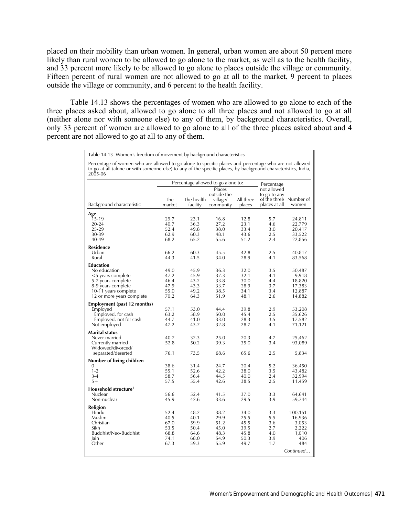placed on their mobility than urban women. In general, urban women are about 50 percent more likely than rural women to be allowed to go alone to the market, as well as to the health facility, and 33 percent more likely to be allowed to go alone to places outside the village or community. Fifteen percent of rural women are not allowed to go at all to the market, 9 percent to places outside the village or community, and 6 percent to the health facility.

Table 14.13 shows the percentages of women who are allowed to go alone to each of the three places asked about, allowed to go alone to all three places and not allowed to go at all (neither alone nor with someone else) to any of them, by background characteristics. Overall, only 33 percent of women are allowed to go alone to all of the three places asked about and 4 percent are not allowed to go at all to any of them.

Table 14.13 Women's freedom of movement by background characteristics

| Percentage of women who are allowed to go alone to specific places and percentage who are not allowed<br>to go at all (alone or with someone else) to any of the specific places, by background characteristics, India,<br>2005-06 |                                                                                              |                                                                                              |                                                                                              |                                                                                              |                                                                                  |                                                                                                                     |
|------------------------------------------------------------------------------------------------------------------------------------------------------------------------------------------------------------------------------------|----------------------------------------------------------------------------------------------|----------------------------------------------------------------------------------------------|----------------------------------------------------------------------------------------------|----------------------------------------------------------------------------------------------|----------------------------------------------------------------------------------|---------------------------------------------------------------------------------------------------------------------|
|                                                                                                                                                                                                                                    |                                                                                              |                                                                                              | Percentage allowed to go alone to:                                                           |                                                                                              | Percentage                                                                       |                                                                                                                     |
| Background characteristic                                                                                                                                                                                                          | The<br>market                                                                                | facility                                                                                     | Places<br>outside the<br>The health<br>village/<br>community                                 |                                                                                              | not allowed<br>to go to any<br>of the three Number of<br>places at all           | women                                                                                                               |
| Age<br>15-19<br>$20 - 24$<br>25-29<br>30-39<br>40-49<br><b>Residence</b><br>Urban<br>Rural<br>Education<br>No education<br><5 years complete<br>5-7 years complete<br>8-9 years complete<br>10-11 years complete                   | 29.7<br>40.7<br>52.4<br>62.9<br>68.2<br>66.2<br>44.3<br>49.0<br>47.2<br>46.4<br>47.9<br>55.0 | 23.1<br>36.3<br>49.8<br>60.3<br>65.2<br>60.3<br>41.5<br>45.9<br>45.9<br>43.2<br>43.3<br>49.2 | 16.8<br>27.2<br>38.0<br>48.1<br>55.6<br>45.5<br>34.0<br>36.3<br>37.3<br>33.8<br>33.7<br>38.5 | 12.8<br>23.1<br>33.4<br>43.6<br>51.2<br>42.8<br>28.9<br>32.0<br>32.1<br>30.0<br>28.9<br>34.1 | 5.7<br>4.6<br>3.0<br>2.5<br>2.4<br>2.5<br>4.1<br>3.5<br>4.1<br>4.4<br>3.7<br>3.4 | 24,811<br>22,779<br>20,417<br>33,522<br>22,856<br>40,817<br>83,568<br>50,487<br>9,918<br>18,820<br>17,383<br>12,887 |
| 12 or more years complete<br>Employment (past 12 months)<br>Employed<br>Employed, for cash                                                                                                                                         | 70.2<br>57.1<br>63.2                                                                         | 64.3<br>53.0<br>58.9                                                                         | 51.9<br>44.4<br>50.0                                                                         | 48.1<br>39.8<br>45.4                                                                         | 2.6<br>2.9<br>2.5                                                                | 14,882<br>53,208<br>35,626                                                                                          |
| Employed, not for cash<br>Not employed<br><b>Marital status</b>                                                                                                                                                                    | 44.7<br>47.2                                                                                 | 41.0<br>43.7                                                                                 | 33.0<br>32.8                                                                                 | 28.3<br>28.7                                                                                 | 3.5<br>4.1                                                                       | 17,582<br>71,121                                                                                                    |
| Never married<br>Currently married<br>Widowed/divorced/<br>separated/deserted                                                                                                                                                      | 40.7<br>52.8<br>76.1                                                                         | 32.3<br>50.2<br>73.5                                                                         | 25.0<br>39.3<br>68.6                                                                         | 20.3<br>35.0<br>65.6                                                                         | 4.7<br>3.4<br>2.5                                                                | 25,462<br>93,089<br>5,834                                                                                           |
| Number of living children<br>0<br>$1 - 2$<br>$3 - 4$<br>$5+$                                                                                                                                                                       | 38.6<br>55.1<br>58.7<br>57.5                                                                 | 31.4<br>52.6<br>56.4<br>55.4                                                                 | 24.7<br>42.2<br>44.5<br>42.6                                                                 | 20.4<br>38.0<br>40.0<br>38.5                                                                 | 5.2<br>3.5<br>2.4<br>2.5                                                         | 36,450<br>43,482<br>32,994<br>11,459                                                                                |
| Household structure <sup>1</sup><br>Nuclear<br>Non-nuclear                                                                                                                                                                         | 56.6<br>45.9                                                                                 | 52.4<br>42.6                                                                                 | 41.5<br>33.6                                                                                 | 37.0<br>29.5                                                                                 | 3.3<br>3.9                                                                       | 64,641<br>59,744                                                                                                    |
| Religion<br>Hindu<br>Muslim<br>Christian<br>Sikh<br>Buddhist/Neo-Buddhist<br>Jain<br>Other                                                                                                                                         | 52.4<br>40.5<br>67.0<br>53.5<br>68.8<br>74.1<br>67.3                                         | 48.2<br>40.1<br>59.9<br>50.4<br>64.6<br>68.0<br>59.3                                         | 38.2<br>29.9<br>51.2<br>45.0<br>48.3<br>54.9<br>55.9                                         | 34.0<br>25.5<br>45.5<br>39.5<br>45.8<br>50.3<br>49.7                                         | 3.3<br>5.5<br>3.6<br>2.7<br>4.0<br>3.9<br>1.7                                    | 100,151<br>16,936<br>3,053<br>2,222<br>1,010<br>406<br>484<br>Continued                                             |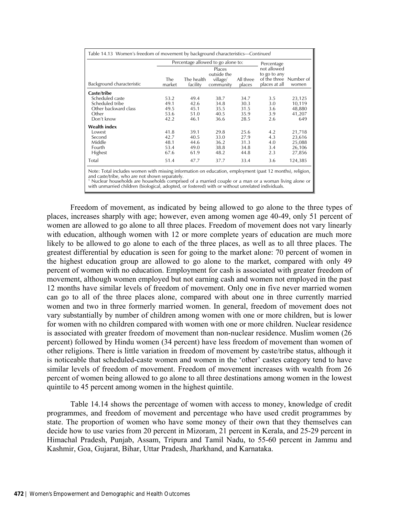|                                                                                                                                                                                                                                                                                |               |                        | Percentage allowed to go alone to:             |                     | Percentage                                                             |         |
|--------------------------------------------------------------------------------------------------------------------------------------------------------------------------------------------------------------------------------------------------------------------------------|---------------|------------------------|------------------------------------------------|---------------------|------------------------------------------------------------------------|---------|
| Background characteristic                                                                                                                                                                                                                                                      | The<br>market | The health<br>facility | Places<br>outside the<br>village/<br>community | All three<br>places | not allowed<br>to go to any<br>of the three Number of<br>places at all | women   |
| Caste/tribe                                                                                                                                                                                                                                                                    |               |                        |                                                |                     |                                                                        |         |
| Scheduled caste                                                                                                                                                                                                                                                                | 53.2          | 49.4                   | 38.7                                           | 34.7                | 3.5                                                                    | 23,125  |
| Scheduled tribe                                                                                                                                                                                                                                                                | 49.1          | 42.6                   | 34.8                                           | 30.3                | 3.0                                                                    | 10,119  |
| Other backward class                                                                                                                                                                                                                                                           | 49.5          | 45.1                   | 35.5                                           | 31.5                | 3.6                                                                    | 48,880  |
| Other                                                                                                                                                                                                                                                                          | 53.6          | 51.0                   | 40.5                                           | 35.9                | 3.9                                                                    | 41,207  |
| Don't know                                                                                                                                                                                                                                                                     | 42.2          | 46.1                   | 36.6                                           | 28.5                | 2.6                                                                    | 649     |
| <b>Wealth index</b>                                                                                                                                                                                                                                                            |               |                        |                                                |                     |                                                                        |         |
| I owest                                                                                                                                                                                                                                                                        | 41.8          | 39.1                   | 29.8                                           | 25.6                | 4.2                                                                    | 21,718  |
| Second                                                                                                                                                                                                                                                                         | 42.7          | 40.5                   | 33.0                                           | 27.9                | 4.3                                                                    | 23,616  |
| Middle                                                                                                                                                                                                                                                                         | 48.1          | 44.6                   | 36.2                                           | 31.3                | 4.0                                                                    | 25,088  |
| Fourth                                                                                                                                                                                                                                                                         | 53.4          | 49.0                   | 38.8                                           | 34.8                | 3.4                                                                    | 26,106  |
| Highest                                                                                                                                                                                                                                                                        | 67.6          | 61.9                   | 48.2                                           | 44.8                | 2.3                                                                    | 27,856  |
| Total                                                                                                                                                                                                                                                                          | 51.4          | 47.7                   | 37.7                                           | 33.4                | 3.6                                                                    | 124,385 |
| Note: Total includes women with missing information on education, employment (past 12 months), religion,<br>and caste/tribe, who are not shown separately.<br><sup>1</sup> Nuclear households are households comprised of a married couple or a man or a woman living alone or |               |                        |                                                |                     |                                                                        |         |

<sup>1</sup> Nuclear households are households comprised of a married couple or a man or a woman living alone or<br>with unmarried children (biological, adopted, or fostered) with or without unrelated individuals.

 Freedom of movement, as indicated by being allowed to go alone to the three types of places, increases sharply with age; however, even among women age 40-49, only 51 percent of women are allowed to go alone to all three places. Freedom of movement does not vary linearly with education, although women with 12 or more complete years of education are much more likely to be allowed to go alone to each of the three places, as well as to all three places. The greatest differential by education is seen for going to the market alone: 70 percent of women in the highest education group are allowed to go alone to the market, compared with only 49 percent of women with no education. Employment for cash is associated with greater freedom of movement, although women employed but not earning cash and women not employed in the past 12 months have similar levels of freedom of movement. Only one in five never married women can go to all of the three places alone, compared with about one in three currently married women and two in three formerly married women. In general, freedom of movement does not vary substantially by number of children among women with one or more children, but is lower for women with no children compared with women with one or more children. Nuclear residence is associated with greater freedom of movement than non-nuclear residence. Muslim women (26 percent) followed by Hindu women (34 percent) have less freedom of movement than women of other religions. There is little variation in freedom of movement by caste/tribe status, although it is noticeable that scheduled-caste women and women in the 'other' castes category tend to have similar levels of freedom of movement. Freedom of movement increases with wealth from 26 percent of women being allowed to go alone to all three destinations among women in the lowest quintile to 45 percent among women in the highest quintile.

 Table 14.14 shows the percentage of women with access to money, knowledge of credit programmes, and freedom of movement and percentage who have used credit programmes by state. The proportion of women who have some money of their own that they themselves can decide how to use varies from 20 percent in Mizoram, 21 percent in Kerala, and 25-29 percent in Himachal Pradesh, Punjab, Assam, Tripura and Tamil Nadu, to 55-60 percent in Jammu and Kashmir, Goa, Gujarat, Bihar, Uttar Pradesh, Jharkhand, and Karnataka.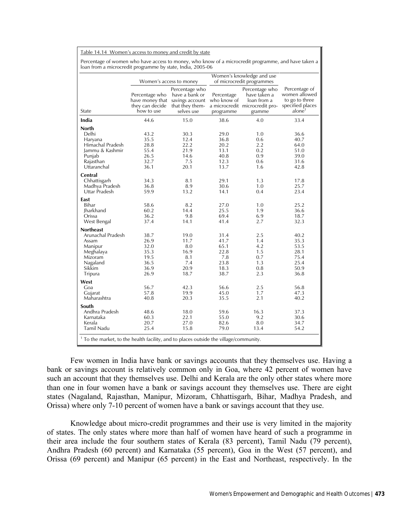|                                                                                                                    | Women's access to money                                      |                                                                                                      | Women's knowledge and use<br>of microcredit programmes      |                                                                                                            |                                                                        |
|--------------------------------------------------------------------------------------------------------------------|--------------------------------------------------------------|------------------------------------------------------------------------------------------------------|-------------------------------------------------------------|------------------------------------------------------------------------------------------------------------|------------------------------------------------------------------------|
| State                                                                                                              | Percentage who<br>they can decide<br>how to use              | Percentage who<br>have a bank or<br>have money that savings account<br>that they them-<br>selves use | Percentage<br>who know of<br>programme                      | Percentage who<br>have taken a<br>loan from a<br>a microcredit microcredit pro- specified places<br>gramme | Percentage of<br>women allowed<br>to go to three<br>alone <sup>1</sup> |
| India                                                                                                              | 44.6                                                         | 15.0                                                                                                 | 38.6                                                        | 4.0                                                                                                        | 33.4                                                                   |
| <b>North</b><br>Delhi<br>Haryana<br>Himachal Pradesh<br>Jammu & Kashmir<br>Punjab<br>Rajasthan<br>Uttaranchal      | 43.2<br>35.5<br>28.8<br>55.4<br>26.5<br>32.7<br>36.1         | 30.3<br>12.4<br>22.2<br>21.9<br>14.6<br>7.5<br>20.1                                                  | 29.0<br>36.8<br>20.2<br>13.1<br>40.8<br>12.3<br>13.7        | 1.0<br>0.6<br>2.2<br>0.2<br>0.9<br>0.6<br>1.6                                                              | 36.6<br>40.7<br>64.0<br>51.0<br>39.0<br>31.6<br>42.8                   |
| Central<br>Chhattisgarh<br>Madhya Pradesh<br>Uttar Pradesh                                                         | 34.3<br>36.8<br>59.9                                         | 8.1<br>8.9<br>13.2                                                                                   | 29.1<br>30.6<br>14.1                                        | 1.3<br>1.0<br>0.4                                                                                          | 17.8<br>25.7<br>23.4                                                   |
| East<br>Bihar<br><b>Iharkhand</b><br>Orissa<br>West Bengal                                                         | 58.6<br>60.2<br>36.2<br>37.4                                 | 8.2<br>14.4<br>9.8<br>14.1                                                                           | 27.0<br>25.5<br>69.4<br>41.4                                | 1.0<br>1.9<br>6.9<br>2.7                                                                                   | 25.2<br>36.6<br>18.7<br>32.3                                           |
| <b>Northeast</b><br>Arunachal Pradesh<br>Assam<br>Manipur<br>Meghalaya<br>Mizoram<br>Nagaland<br>Sikkim<br>Tripura | 38.7<br>26.9<br>32.0<br>35.3<br>19.5<br>36.5<br>36.9<br>26.9 | 19.0<br>11.7<br>8.0<br>16.9<br>8.1<br>7.4<br>20.9<br>18.7                                            | 31.4<br>41.7<br>65.1<br>22.8<br>7.8<br>23.8<br>18.3<br>38.7 | 2.5<br>1.4<br>4.2<br>1.5<br>0.7<br>1.3<br>0.8<br>2.3                                                       | 40.2<br>35.3<br>53.5<br>28.1<br>75.4<br>25.4<br>50.9<br>36.8           |
| West<br>Goa<br>Gujarat<br>Maharashtra                                                                              | 56.7<br>57.8<br>40.8                                         | 42.3<br>19.9<br>20.3                                                                                 | 56.6<br>45.0<br>35.5                                        | 2.5<br>1.7<br>2.1                                                                                          | 56.8<br>47.3<br>40.2                                                   |
| South<br>Andhra Pradesh<br>Karnataka<br>Kerala<br>Tamil Nadu                                                       | 48.6<br>60.3<br>20.7<br>25.4                                 | 18.0<br>22.1<br>27.0<br>15.8                                                                         | 59.6<br>55.0<br>82.6<br>79.0                                | 16.3<br>9.2<br>8.0<br>13.4                                                                                 | 37.3<br>30.6<br>34.7<br>54.2                                           |

Few women in India have bank or savings accounts that they themselves use. Having a bank or savings account is relatively common only in Goa, where 42 percent of women have such an account that they themselves use. Delhi and Kerala are the only other states where more than one in four women have a bank or savings account they themselves use. There are eight states (Nagaland, Rajasthan, Manipur, Mizoram, Chhattisgarh, Bihar, Madhya Pradesh, and Orissa) where only 7-10 percent of women have a bank or savings account that they use.

Knowledge about micro-credit programmes and their use is very limited in the majority of states. The only states where more than half of women have heard of such a programme in their area include the four southern states of Kerala (83 percent), Tamil Nadu (79 percent), Andhra Pradesh (60 percent) and Karnataka (55 percent), Goa in the West (57 percent), and Orissa (69 percent) and Manipur (65 percent) in the East and Northeast, respectively. In the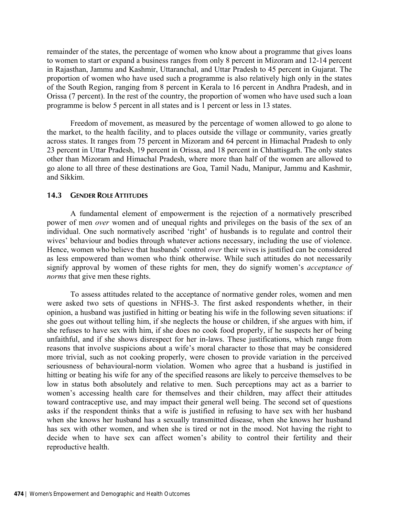remainder of the states, the percentage of women who know about a programme that gives loans to women to start or expand a business ranges from only 8 percent in Mizoram and 12-14 percent in Rajasthan, Jammu and Kashmir, Uttaranchal, and Uttar Pradesh to 45 percent in Gujarat. The proportion of women who have used such a programme is also relatively high only in the states of the South Region, ranging from 8 percent in Kerala to 16 percent in Andhra Pradesh, and in Orissa (7 percent). In the rest of the country, the proportion of women who have used such a loan programme is below 5 percent in all states and is 1 percent or less in 13 states.

 Freedom of movement, as measured by the percentage of women allowed to go alone to the market, to the health facility, and to places outside the village or community, varies greatly across states. It ranges from 75 percent in Mizoram and 64 percent in Himachal Pradesh to only 23 percent in Uttar Pradesh, 19 percent in Orissa, and 18 percent in Chhattisgarh. The only states other than Mizoram and Himachal Pradesh, where more than half of the women are allowed to go alone to all three of these destinations are Goa, Tamil Nadu, Manipur, Jammu and Kashmir, and Sikkim.

## **14.3 GENDER ROLE ATTITUDES**

A fundamental element of empowerment is the rejection of a normatively prescribed power of men *over* women and of unequal rights and privileges on the basis of the sex of an individual. One such normatively ascribed 'right' of husbands is to regulate and control their wives' behaviour and bodies through whatever actions necessary, including the use of violence. Hence, women who believe that husbands' control *over* their wives is justified can be considered as less empowered than women who think otherwise. While such attitudes do not necessarily signify approval by women of these rights for men, they do signify women's *acceptance of norms* that give men these rights.

To assess attitudes related to the acceptance of normative gender roles, women and men were asked two sets of questions in NFHS-3. The first asked respondents whether, in their opinion, a husband was justified in hitting or beating his wife in the following seven situations: if she goes out without telling him, if she neglects the house or children, if she argues with him, if she refuses to have sex with him, if she does no cook food properly, if he suspects her of being unfaithful, and if she shows disrespect for her in-laws. These justifications, which range from reasons that involve suspicions about a wife's moral character to those that may be considered more trivial, such as not cooking properly, were chosen to provide variation in the perceived seriousness of behavioural-norm violation. Women who agree that a husband is justified in hitting or beating his wife for any of the specified reasons are likely to perceive themselves to be low in status both absolutely and relative to men. Such perceptions may act as a barrier to women's accessing health care for themselves and their children, may affect their attitudes toward contraceptive use, and may impact their general well being. The second set of questions asks if the respondent thinks that a wife is justified in refusing to have sex with her husband when she knows her husband has a sexually transmitted disease, when she knows her husband has sex with other women, and when she is tired or not in the mood. Not having the right to decide when to have sex can affect women's ability to control their fertility and their reproductive health.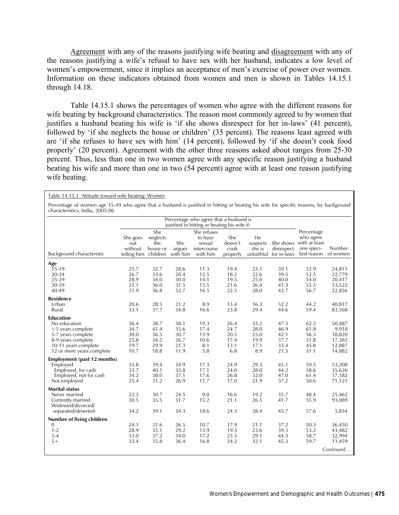Agreement with any of the reasons justifying wife beating and disagreement with any of the reasons justifying a wife's refusal to have sex with her husband, indicates a low level of women's empowerment, since it implies an acceptance of men's exercise of power over women. Information on these indicators obtained from women and men is shown in Tables 14.15.1 through 14.18.

Table 14.15.1 shows the percentages of women who agree with the different reasons for wife beating by background characteristics. The reason most commonly agreed to by women that justifies a husband beating his wife is 'if she shows disrespect for her in-laws' (41 percent), followed by 'if she neglects the house or children' (35 percent). The reasons least agreed with are 'if she refuses to have sex with him' (14 percent), followed by 'if she doesn't cook food properly' (20 percent). Agreement with the other three reasons asked about ranges from 25-30 percent. Thus, less than one in two women agree with any specific reason justifying a husband beating his wife and more than one in two (54 percent) agree with at least one reason justifying wife beating.

Table 14.15.1 Attitude toward wife beating: Women

Percentage of women age 15-49 who agree that a husband is justified in hitting or beating his wife for specific reasons, by background characteristics, India, 2005-06

|                             |                                           |                                                |                           | Percentage who agree that a husband is<br>justified in hitting or beating his wife if: |                                    |                                        |                           |                                                                                 |                    |
|-----------------------------|-------------------------------------------|------------------------------------------------|---------------------------|----------------------------------------------------------------------------------------|------------------------------------|----------------------------------------|---------------------------|---------------------------------------------------------------------------------|--------------------|
| Background characteristic   | She goes<br>out<br>without<br>telling him | She<br>neglects<br>the<br>house or<br>children | She<br>argues<br>with him | She refuses<br>to have<br>sexual<br>intercourse<br>with him                            | She<br>doesn't<br>cook<br>properly | He<br>suspects<br>she is<br>unfaithful | disrespect<br>for in-laws | Percentage<br>who agree<br>She shows with at least<br>one speci-<br>fied reason | Number<br>of women |
| Age                         |                                           |                                                |                           |                                                                                        |                                    |                                        |                           |                                                                                 |                    |
| $15-19$                     | 25.7                                      | 32.7                                           | 28.6                      | 11.3                                                                                   | 19.4                               | 23.1                                   | 39.1                      | 52.9                                                                            | 24,811             |
| $20 - 24$                   | 26.7                                      | 33.6                                           | 28.4                      | 12.5                                                                                   | 18.2                               | 22.6                                   | 39.5                      | 52.5                                                                            | 22,779             |
| 25-29                       | 28.9                                      | 34.0                                           | 30.0                      | 14.1                                                                                   | 19.5                               | 25.0                                   | 40.0                      | 54.0                                                                            | 20,417             |
| 30-39                       | 31.1                                      | 36.0                                           | 31.5                      | 15.5                                                                                   | 21.6                               | 26.4                                   | 41.3                      | 55.5                                                                            | 33,522             |
| 40-49                       | 31.9                                      | 36.8                                           | 32.7                      | 16.5                                                                                   | 22.5                               | 28.0                                   | 42.7                      | 56.7                                                                            | 22,856             |
| <b>Residence</b>            |                                           |                                                |                           |                                                                                        |                                    |                                        |                           |                                                                                 |                    |
| Urban                       | 20.6                                      | 28.5                                           | 21.2                      | 8.9                                                                                    | 13.4                               | 16.3                                   | 32.2                      | 44.2                                                                            | 40,817             |
| Rural                       | 33.1                                      | 37.7                                           | 34.8                      | 16.6                                                                                   | 23.8                               | 29.4                                   | 44.6                      | 59.4                                                                            | 83,568             |
| <b>Education</b>            |                                           |                                                |                           |                                                                                        |                                    |                                        |                           |                                                                                 |                    |
| No education                | 36.4                                      | 38.7                                           | 38.1                      | 19.3                                                                                   | 26.4                               | 33.2                                   | 47.3                      | 62.3                                                                            | 50,487             |
| <5 years complete           | 34.7                                      | 41.4                                           | 35.6                      | 17.4                                                                                   | 24.7                               | 28.0                                   | 46.9                      | 61.8                                                                            | 9,918              |
| 5-7 years complete          | 30.0                                      | 36.5                                           | 30.7                      | 13.9                                                                                   | 20.5                               | 25.0                                   | 42.1                      | 56.3                                                                            | 18,820             |
| 8-9 years complete          | 25.8                                      | 34.5                                           | 26.7                      | 10.6                                                                                   | 17.4                               | 19.9                                   | 37.7                      | 51.8                                                                            | 17,383             |
| 10-11 years complete        | 19.7                                      | 29.9                                           | 21.3                      | 8.1                                                                                    | 13.1                               | 17.1                                   | 33.4                      | 45.8                                                                            | 12,887             |
| 12 or more years complete   | 10.7                                      | 18.8                                           | 11.9                      | 3.8                                                                                    | 6.8                                | 8.9                                    | 21.3                      | 31.1                                                                            | 14,882             |
| Employment (past 12 months) |                                           |                                                |                           |                                                                                        |                                    |                                        |                           |                                                                                 |                    |
| Employed                    | 33.8                                      | 39.4                                           | 34.9                      | 17.3                                                                                   | 24.9                               | 29.3                                   | 45.1                      | 59.5                                                                            | 53,208             |
| Employed, for cash          | 33.7                                      | 40.1                                           | 33.8                      | 17.1                                                                                   | 24.0                               | 28.0                                   | 44.2                      | 58.6                                                                            | 35,626             |
| Employed, not for cash      | 34.2                                      | 38.0                                           | 37.1                      | 17.6                                                                                   | 26.8                               | 32.0                                   | 47.0                      | 61.4                                                                            | 17,582             |
| Not employed                | 25.4                                      | 31.2                                           | 26.9                      | 11.7                                                                                   | 17.0                               | 21.9                                   | 37.2                      | 50.6                                                                            | 71,121             |
| <b>Marital status</b>       |                                           |                                                |                           |                                                                                        |                                    |                                        |                           |                                                                                 |                    |
| Never married               | 22.3                                      | 30.7                                           | 24.5                      | 9.0                                                                                    | 16.6                               | 19.2                                   | 35.7                      | 48.4                                                                            | 25,462             |
| Currently married           | 30.5                                      | 35.5                                           | 31.7                      | 15.2                                                                                   | 21.1                               | 26.5                                   | 41.7                      | 55.9                                                                            | 93,089             |
| Widowed/divorced/           |                                           |                                                |                           |                                                                                        |                                    |                                        |                           |                                                                                 |                    |
| separated/deserted          | 34.2                                      | 39.1                                           | 34.3                      | 18.6                                                                                   | 24.3                               | 28.4                                   | 43.7                      | 57.6                                                                            | 5,834              |
| Number of living children   |                                           |                                                |                           |                                                                                        |                                    |                                        |                           |                                                                                 |                    |
| 0                           | 24.1                                      | 31.6                                           | 26.5                      | 10.7                                                                                   | 17.9                               | 21.1                                   | 37.2                      | 50.3                                                                            | 36,450             |
| $1 - 2$                     | 28.9                                      | 35.1                                           | 29.2                      | 13.9                                                                                   | 19.3                               | 23.6                                   | 39.3                      | 53.2                                                                            | 43,482             |
| $3 - 4$                     | 33.0                                      | 37.2                                           | 34.0                      | 17.2                                                                                   | 23.3                               | 29.1                                   | 44.3                      | 58.7                                                                            | 32,994             |
| $5+$                        | 33.4                                      | 35.8                                           | 36.4                      | 16.8                                                                                   | 24.2                               | 32.1                                   | 45.3                      | 59.7                                                                            | 11,459             |
|                             |                                           |                                                |                           |                                                                                        |                                    |                                        |                           |                                                                                 | Continued          |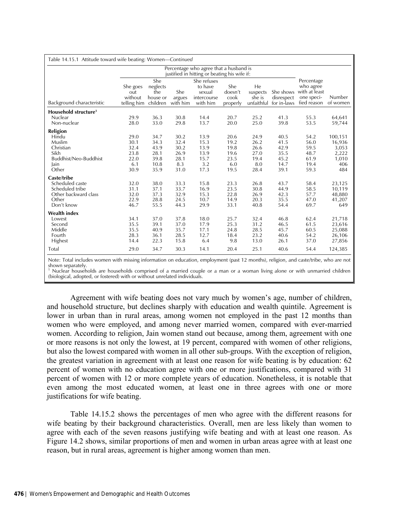| Table 14.15.1 Attitude toward wife beating: Women—Continued                                       |                                                     |                                                      |                                                     |                                                                                        |                                                     |                                                     |                                                      |                                                                       |                                                            |
|---------------------------------------------------------------------------------------------------|-----------------------------------------------------|------------------------------------------------------|-----------------------------------------------------|----------------------------------------------------------------------------------------|-----------------------------------------------------|-----------------------------------------------------|------------------------------------------------------|-----------------------------------------------------------------------|------------------------------------------------------------|
|                                                                                                   |                                                     |                                                      |                                                     | Percentage who agree that a husband is<br>justified in hitting or beating his wife if: |                                                     |                                                     |                                                      |                                                                       |                                                            |
| Background characteristic                                                                         | She goes<br>out<br>without<br>telling him           | She<br>neglects<br>the<br>house or<br>children       | She<br>argues<br>with him                           | She refuses<br>to have<br>sexual<br>intercourse<br>with him                            | She<br>doesn't<br>cook<br>properly                  | He<br>suspects<br>she is<br>unfaithful              | She shows<br>disrespect<br>for in-laws               | Percentage<br>who agree<br>with at least<br>one speci-<br>fied reason | Number<br>of women                                         |
| Household structure <sup>1</sup><br>Nuclear<br>Non-nuclear                                        | 29.9<br>28.0                                        | 36.3<br>33.0                                         | 30.8<br>29.8                                        | 14.4<br>13.7                                                                           | 20.7<br>20.0                                        | 25.2<br>25.0                                        | 41.3<br>39.8                                         | 55.3<br>53.5                                                          | 64,641<br>59,744                                           |
| <b>Religion</b><br>Hindu<br>Muslim<br>Christian<br>Sikh<br>Buddhist/Neo-Buddhist<br>Jain<br>Other | 29.0<br>30.1<br>32.4<br>23.8<br>22.0<br>6.1<br>30.9 | 34.7<br>34.3<br>43.9<br>28.1<br>39.8<br>10.8<br>35.9 | 30.2<br>32.4<br>30.2<br>26.9<br>28.1<br>8.3<br>31.0 | 13.9<br>15.3<br>13.9<br>13.9<br>15.7<br>3.2<br>17.3                                    | 20.6<br>19.2<br>19.8<br>19.6<br>23.5<br>6.0<br>19.5 | 24.9<br>26.2<br>26.6<br>27.0<br>19.4<br>8.0<br>28.4 | 40.5<br>41.5<br>42.9<br>35.5<br>45.2<br>14.7<br>39.1 | 54.2<br>56.0<br>59.5<br>48.7<br>61.9<br>19.4<br>59.3                  | 100,151<br>16,936<br>3,053<br>2,222<br>1,010<br>406<br>484 |
| Caste/tribe<br>Scheduled caste<br>Scheduled tribe<br>Other backward class<br>Other<br>Don't know  | 32.0<br>31.1<br>32.0<br>22.9<br>46.7                | 38.0<br>37.1<br>37.3<br>28.8<br>55.5                 | 33.3<br>33.7<br>32.9<br>24.5<br>44.3                | 15.8<br>16.9<br>15.3<br>10.7<br>29.9                                                   | 23.3<br>23.5<br>22.8<br>14.9<br>33.1                | 26.8<br>30.8<br>26.9<br>20.3<br>40.8                | 43.7<br>44.9<br>42.3<br>35.5<br>54.4                 | 58.4<br>58.5<br>57.7<br>47.0<br>69.7                                  | 23,125<br>10,119<br>48,880<br>41,207<br>649                |
| <b>Wealth index</b><br>Lowest<br>Second<br>Middle<br>Fourth<br>Highest<br>Total                   | 34.1<br>35.5<br>35.5<br>28.3<br>14.4<br>29.0        | 37.0<br>39.1<br>40.9<br>36.1<br>22.3<br>34.7         | 37.8<br>37.0<br>35.7<br>28.5<br>15.8<br>30.3        | 18.0<br>17.9<br>17.1<br>12.7<br>6.4<br>14.1                                            | 25.7<br>25.3<br>24.8<br>18.4<br>9.8<br>20.4         | 32.4<br>31.2<br>28.5<br>23.2<br>13.0<br>25.1        | 46.8<br>46.5<br>45.7<br>40.6<br>26.1<br>40.6         | 62.4<br>61.5<br>60.5<br>54.2<br>37.0<br>54.4                          | 21,718<br>23,616<br>25,088<br>26,106<br>27,856<br>124,385  |

Note: Total includes women with missing information on education, employment (past 12 months), religion, and caste/tribe, who are not shown separately.

1 Nuclear households are households comprised of a married couple or a man or a woman living alone or with unmarried children (biological, adopted, or fostered) with or without unrelated individuals.

Agreement with wife beating does not vary much by women's age, number of children, and household structure, but declines sharply with education and wealth quintile. Agreement is lower in urban than in rural areas, among women not employed in the past 12 months than women who were employed, and among never married women, compared with ever-married women. According to religion, Jain women stand out because, among them, agreement with one or more reasons is not only the lowest, at 19 percent, compared with women of other religions, but also the lowest compared with women in all other sub-groups. With the exception of religion, the greatest variation in agreement with at least one reason for wife beating is by education: 62 percent of women with no education agree with one or more justifications, compared with 31 percent of women with 12 or more complete years of education. Nonetheless, it is notable that even among the most educated women, at least one in three agrees with one or more justifications for wife beating.

Table 14.15.2 shows the percentages of men who agree with the different reasons for wife beating by their background characteristics. Overall, men are less likely than women to agree with each of the seven reasons justifying wife beating and with at least one reason. As Figure 14.2 shows, similar proportions of men and women in urban areas agree with at least one reason, but in rural areas, agreement is higher among women than men.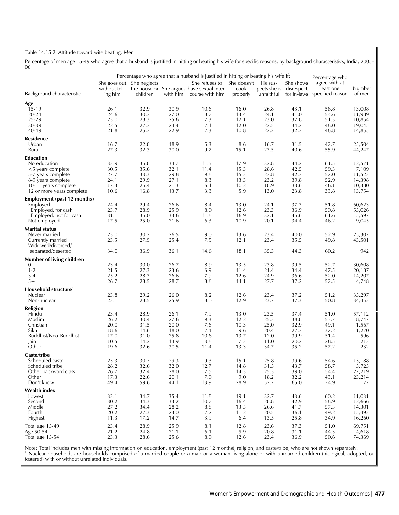#### Table 14.15.2 Attitude toward wife beating: Men

Percentage of men age 15-49 who agree that a husband is justified in hitting or beating his wife for specific reasons, by background characteristics, India, 2005- 06

|                                        | Percentage who agree that a husband is justified in hitting or beating his wife if: |              |              |                                            |              |              |              |                                 |                  |
|----------------------------------------|-------------------------------------------------------------------------------------|--------------|--------------|--------------------------------------------|--------------|--------------|--------------|---------------------------------|------------------|
|                                        | She goes out                                                                        | She neglects |              | She refuses to                             | She doesn't  | He sus-      | She shows    | Percentage who<br>agree with at |                  |
|                                        | without tell-                                                                       |              |              | the house or She argues have sexual inter- | cook         | pects she is | disrespect   | least one<br>specified reason   | Number<br>of men |
| Background characteristic              | ing him                                                                             | children     | with him     | course with him                            | properly     | unfaithful   | for in-laws  |                                 |                  |
| Age                                    |                                                                                     |              |              |                                            |              |              |              |                                 |                  |
| 15-19<br>20-24                         | 26.1<br>24.6                                                                        | 32.9<br>30.7 | 30.9<br>27.0 | 10.6<br>8.7                                | 16.0<br>13.4 | 26.8<br>24.1 | 43.1<br>41.0 | 56.8<br>54.6                    | 13,008<br>11,989 |
| 25-29                                  | 23.0                                                                                | 28.3         | 25.6         | 7.3                                        | 12.1         | 23.0         | 37.8         | 51.3                            | 10,854           |
| 30-39                                  | 22.5                                                                                | 27.7         | 24.4         | 7.1                                        | 12.0         | 22.5         | 34.2         | 48.0                            | 19,045           |
| 40-49                                  | 21.8                                                                                | 25.7         | 22.9         | 7.3                                        | 10.8         | 22.2         | 32.7         | 46.8                            | 14,855           |
| <b>Residence</b>                       |                                                                                     |              |              |                                            |              |              |              |                                 |                  |
| Urban                                  | 16.7                                                                                | 22.8         | 18.9         | 5.3                                        | 8.6          | 16.7         | 31.5         | 42.7                            | 25,504           |
| Rural                                  | 27.3                                                                                | 32.3         | 30.0         | 9.7                                        | 15.1         | 27.5         | 40.6         | 55.9                            | 44,247           |
| <b>Education</b>                       |                                                                                     |              |              |                                            |              |              |              |                                 |                  |
| No education                           | 33.9                                                                                | 35.8         | 34.7         | 11.5                                       | 17.9         | 32.8         | 44.2         | 61.5                            | 12,571           |
| $<$ 5 years complete                   | 30.5                                                                                | 35.6         | 32.1         | 11.4                                       | 15.3         | 28.6         | 42.5         | 59.3                            | 7,109            |
| 5-7 years complete                     | 27.7                                                                                | 33.3         | 29.8         | 9.8                                        | 15.3         | 27.8         | 42.7         | 57.0                            | 11,523           |
| 8-9 years complete                     | 24.1                                                                                | 29.9         | 27.1         | 8.3                                        | 13.3         | 23.2         | 39.8         | 52.9                            | 14,398           |
| 10-11 years complete                   | 17.3                                                                                | 25.4         | 21.3         | 6.1                                        | 10.2         | 18.9         | 33.6         | 46.1                            | 10,380           |
| 12 or more years complete              | 10.6                                                                                | 16.8         | 13.7         | 3.3                                        | 5.9          | 13.0         | 23.8         | 33.8                            | 13,754           |
| Employment (past 12 months)            |                                                                                     |              |              |                                            |              |              |              |                                 |                  |
| Employed                               | 24.4                                                                                | 29.4         | 26.6         | 8.4                                        | 13.0         | 24.1         | 37.7         | 51.8                            | 60,623           |
| Employed, for cash                     | 23.7                                                                                | 28.9         | 25.9         | 8.0                                        | 12.6         | 23.3         | 36.9         | 50.8                            | 55,026           |
| Employed, not for cash                 | 31.1                                                                                | 35.0         | 33.6         | 11.8                                       | 16.9         | 32.1         | 45.6         | 61.6                            | 5,597            |
| Not employed                           | 17.5                                                                                | 25.0         | 21.6         | 6.3                                        | 10.9         | 20.1         | 34.4         | 46.2                            | 9,045            |
| <b>Marital status</b>                  |                                                                                     |              |              |                                            |              |              |              |                                 |                  |
| Never married                          | 23.0                                                                                | 30.2         | 26.5         | 9.0                                        | 13.6         | 23.4         | 40.0         | 52.9                            | 25,307           |
| Currently married<br>Widowed/divorced/ | 23.5                                                                                | 27.9         | 25.4         | 7.5                                        | 12.1         | 23.4         | 35.5         | 49.8                            | 43,501           |
| separated/deserted                     | 34.0                                                                                | 36.9         | 36.1         | 14.6                                       | 18.1         | 35.3         | 44.3         | 60.2                            | 942              |
|                                        |                                                                                     |              |              |                                            |              |              |              |                                 |                  |
| Number of living children<br>0         | 23.4                                                                                | 30.0         | 26.7         | 8.9                                        | 13.5         | 23.8         | 39.5         | 52.7                            | 30,608           |
| $1 - 2$                                | 21.5                                                                                | 27.3         | 23.6         | 6.9                                        | 11.4         | 21.4         | 34.4         | 47.5                            | 20,187           |
| $3 - 4$                                | 25.2                                                                                | 28.7         | 26.6         | 7.9                                        | 12.6         | 24.9         | 36.6         | 52.0                            | 14,207           |
| $5+$                                   | 26.7                                                                                | 28.5         | 28.7         | 8.6                                        | 14.1         | 27.7         | 37.2         | 52.5                            | 4,748            |
| Household structure <sup>1</sup>       |                                                                                     |              |              |                                            |              |              |              |                                 |                  |
| Nuclear                                | 23.8                                                                                | 29.2         | 26.0         | 8.2                                        | 12.6         | 23.4         | 37.2         | 51.2                            | 35,297           |
| Non-nuclear                            | 23.1                                                                                | 28.5         | 25.9         | 8.0                                        | 12.9         | 23.7         | 37.3         | 50.8                            | 34,453           |
| Religion                               |                                                                                     |              |              |                                            |              |              |              |                                 |                  |
| Hindu                                  | 23.4                                                                                | 28.9         | 26.1         | 7.9                                        | 13.0         | 23.5         | 37.4         | 51.0                            | 57,112           |
| Muslim                                 | 26.2                                                                                | 30.4         | 27.6         | 9.3                                        | 12.2         | 25.3         | 38.8         | 53.7                            | 8,747            |
| Christian                              | 20.0                                                                                | 31.5         | 20.0         | 7.6                                        | 10.3         | 25.0         | 32.9         | 49.1                            | 1,567            |
| Sikh                                   | 18.6                                                                                | 14.6         | 18.0         | 7.4                                        | 9.6          | 20.4         | 27.7         | 37.2                            | 1,270            |
| Buddhist/Neo-Buddhist                  | 17.0                                                                                | 31.0         | 25.8         | 10.6                                       | 13.7         | 12.0         | 39.9         | 51.4                            | 596              |
| Jain<br>Other                          | 10.5<br>19.6                                                                        | 14.2         | 14.9<br>30.5 | 3.8<br>11.4                                | 7.3          | 11.0         | 20.2         | 28.5                            | 213<br>232       |
|                                        |                                                                                     | 32.6         |              |                                            | 13.3         | 34.7         | 35.2         | 57.2                            |                  |
| Caste/tribe                            |                                                                                     |              |              |                                            |              |              |              |                                 |                  |
| Scheduled caste<br>Scheduled tribe     | 25.3<br>28.2                                                                        | 30.7<br>32.6 | 29.3<br>32.0 | 9.3<br>12.7                                | 15.1<br>14.8 | 25.8<br>31.5 | 39.6<br>43.7 | 54.6<br>58.7                    | 13,188<br>5,725  |
| Other backward class                   | 26.7                                                                                | 32.4         | 28.0         | 7.5                                        | 14.3         | 25.3         | 39.0         | 54.4                            | 27,219           |
| Other                                  | 17.3                                                                                | 22.6         | 20.1         | 7.0                                        | 9.0          | 18.2         | 32.2         | 43.1                            | 23,214           |
| Don't know                             | 49.4                                                                                | 59.6         | 44.1         | 13.9                                       | 28.9         | 52.7         | 65.0         | 74.9                            | 177              |
| <b>Wealth index</b>                    |                                                                                     |              |              |                                            |              |              |              |                                 |                  |
| Lowest                                 | 33.1                                                                                | 34.7         | 35.4         | 11.8                                       | 19.1         | 32.7         | 43.6         | 60.2                            | 11,031           |
| Second                                 | 30.2                                                                                | 34.3         | 33.2         | 10.7                                       | 16.4         | 28.8         | 42.9         | 58.9                            | 12,666           |
| Middle                                 | 27.2                                                                                | 34.4         | 28.2         | 8.8                                        | 13.5         | 26.6         | 41.7         | 57.3                            | 14,301           |
| Fourth                                 | 20.2                                                                                | 27.3         | 23.0         | 7.2                                        | 11.2         | 20.5         | 36.1         | 49.2                            | 15,493           |
| Highest                                | 11.3                                                                                | 17.2         | 14.7         | 3.9                                        | 6.4          | 13.5         | 25.8         | 34.9                            | 16,260           |
| Total age 15-49                        | 23.4                                                                                | 28.9         | 25.9         | 8.1                                        | 12.8         | 23.6         | 37.3         | 51.0                            | 69,751           |
| Age 50-54                              | 21.2                                                                                | 24.8         | 21.1         | 6.1                                        | 9.9          | 20.8         | 31.1         | 44.3                            | 4,618            |
| Total age 15-54                        | 23.3                                                                                | 28.6         | 25.6         | 8.0                                        | 12.6         | 23.4         | 36.9         | 50.6                            | 74,369           |

Note: Total includes men with missing information on education, employment (past 12 months), religion, and caste/tribe, who are not shown separately.<br><sup>1</sup> Nuclear households are households comprised of a married couple or a fostered) with or without unrelated individuals.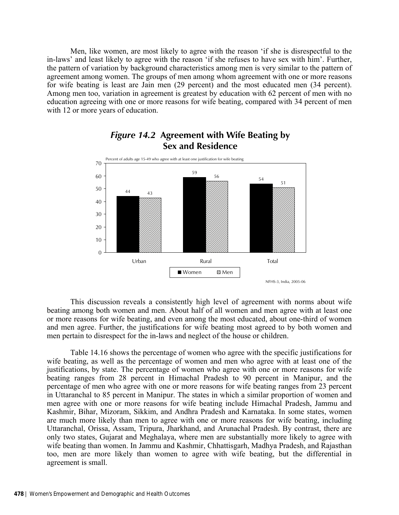Men, like women, are most likely to agree with the reason 'if she is disrespectful to the in-laws' and least likely to agree with the reason 'if she refuses to have sex with him'. Further, the pattern of variation by background characteristics among men is very similar to the pattern of agreement among women. The groups of men among whom agreement with one or more reasons for wife beating is least are Jain men (29 percent) and the most educated men (34 percent). Among men too, variation in agreement is greatest by education with 62 percent of men with no education agreeing with one or more reasons for wife beating, compared with 34 percent of men with 12 or more years of education.



# *Figure 14.2* **Agreement with Wife Beating by Sex and Residence**

This discussion reveals a consistently high level of agreement with norms about wife beating among both women and men. About half of all women and men agree with at least one or more reasons for wife beating, and even among the most educated, about one-third of women and men agree. Further, the justifications for wife beating most agreed to by both women and men pertain to disrespect for the in-laws and neglect of the house or children.

Table 14.16 shows the percentage of women who agree with the specific justifications for wife beating, as well as the percentage of women and men who agree with at least one of the justifications, by state. The percentage of women who agree with one or more reasons for wife beating ranges from 28 percent in Himachal Pradesh to 90 percent in Manipur, and the percentage of men who agree with one or more reasons for wife beating ranges from 23 percent in Uttaranchal to 85 percent in Manipur. The states in which a similar proportion of women and men agree with one or more reasons for wife beating include Himachal Pradesh, Jammu and Kashmir, Bihar, Mizoram, Sikkim, and Andhra Pradesh and Karnataka. In some states, women are much more likely than men to agree with one or more reasons for wife beating, including Uttaranchal, Orissa, Assam, Tripura, Jharkhand, and Arunachal Pradesh. By contrast, there are only two states, Gujarat and Meghalaya, where men are substantially more likely to agree with wife beating than women. In Jammu and Kashmir, Chhattisgarh, Madhya Pradesh, and Rajasthan too, men are more likely than women to agree with wife beating, but the differential in agreement is small.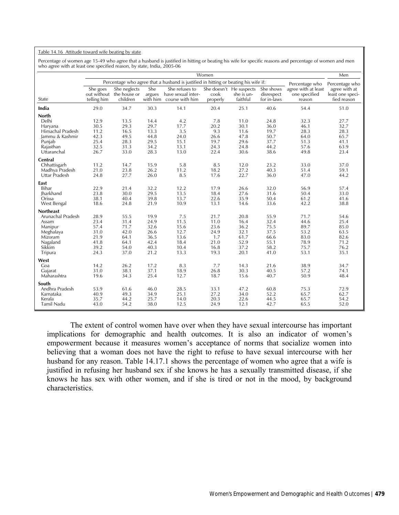#### Table 14.16 Attitude toward wife beating by state

Percentage of women age 15-49 who agree that a husband is justified in hitting or beating his wife for specific reasons and percentage of women and men who agree with at least one specified reason, by state, India, 2005-06

|                                                                                                                    |                                                              |                                                              |                                                              |                                                                                     | Women                                                       |                                                              |                                                              |                                                              | Men                                                          |
|--------------------------------------------------------------------------------------------------------------------|--------------------------------------------------------------|--------------------------------------------------------------|--------------------------------------------------------------|-------------------------------------------------------------------------------------|-------------------------------------------------------------|--------------------------------------------------------------|--------------------------------------------------------------|--------------------------------------------------------------|--------------------------------------------------------------|
|                                                                                                                    |                                                              |                                                              |                                                              | Percentage who agree that a husband is justified in hitting or beating his wife if: |                                                             |                                                              |                                                              | Percentage who                                               | Percentage who                                               |
| State                                                                                                              | She goes<br>out without<br>telling him                       | She neglects<br>the house or<br>children                     | She<br>argues<br>with him                                    | She refuses to<br>have sexual inter-<br>course with him                             | cook<br>properly                                            | She doesn't He suspects<br>she is un-<br>faithful            | She shows<br>disrespect<br>for in-laws                       | agree with at least<br>one specified<br>reason               | agree with at<br>least one speci-<br>fied reason             |
| India                                                                                                              | 29.0                                                         | 34.7                                                         | 30.3                                                         | 14.1                                                                                | 20.4                                                        | 25.1                                                         | 40.6                                                         | 54.4                                                         | 51.0                                                         |
| <b>North</b><br>Delhi<br>Haryana<br>Himachal Pradesh<br>Jammu & Kashmir<br>Punjab<br>Rajasthan<br>Uttaranchal      | 12.9<br>30.5<br>11.2<br>42.3<br>25.4<br>32.5<br>26.7         | 13.5<br>29.3<br>16.5<br>49.5<br>28.3<br>31.3<br>33.0         | 14.4<br>29.7<br>13.3<br>44.8<br>29.5<br>34.2<br>28.3         | 4.2<br>17.7<br>3.5<br>24.0<br>15.1<br>13.1<br>13.0                                  | 7.8<br>20.2<br>9.3<br>26.6<br>19.7<br>24.3<br>22.4          | 11.0<br>30.1<br>11.6<br>47.8<br>29.6<br>24.8<br>30.6         | 24.8<br>36.0<br>19.7<br>50.7<br>37.7<br>44.2<br>38.6         | 32.3<br>46.1<br>28.3<br>64.0<br>51.3<br>57.6<br>49.8         | 27.7<br>32.7<br>28.3<br>65.7<br>41.1<br>63.9<br>23.4         |
| Central<br>Chhattisgarh<br>Madhya Pradesh<br>Uttar Pradesh                                                         | 11.2<br>21.0<br>24.8                                         | 14.7<br>23.8<br>27.7                                         | 15.9<br>26.2<br>26.0                                         | 5.8<br>11.2<br>8.5                                                                  | 8.5<br>18.2<br>17.6                                         | 12.0<br>27.2<br>22.7                                         | 23.2<br>40.3<br>36.0                                         | 33.0<br>51.4<br>47.0                                         | 37.0<br>59.1<br>44.2                                         |
| East<br>Bihar<br><b>Iharkhand</b><br>Orissa<br>West Bengal                                                         | 22.9<br>23.8<br>38.1<br>18.6                                 | 21.4<br>30.0<br>40.4<br>24.8                                 | 32.2<br>29.5<br>39.8<br>21.9                                 | 12.2<br>13.5<br>13.7<br>10.9                                                        | 17.9<br>18.4<br>22.6<br>13.1                                | 26.6<br>27.6<br>35.9<br>14.6                                 | 32.0<br>31.6<br>50.4<br>33.6                                 | 56.9<br>50.4<br>61.2<br>42.2                                 | 57.4<br>33.0<br>41.6<br>38.8                                 |
| <b>Northeast</b><br>Arunachal Pradesh<br>Assam<br>Manipur<br>Meghalaya<br>Mizoram<br>Nagaland<br>Sikkim<br>Tripura | 28.9<br>23.4<br>57.4<br>31.0<br>21.9<br>41.8<br>39.2<br>24.3 | 55.5<br>31.4<br>71.7<br>42.0<br>64.1<br>64.1<br>54.0<br>37.0 | 19.9<br>24.9<br>32.6<br>26.6<br>36.5<br>42.4<br>40.3<br>21.2 | 7.5<br>11.5<br>15.6<br>12.7<br>13.6<br>18.4<br>10.4<br>13.3                         | 21.7<br>11.0<br>23.6<br>24.9<br>1.7<br>21.0<br>16.8<br>19.3 | 20.8<br>16.4<br>36.2<br>32.1<br>61.7<br>52.9<br>37.2<br>20.1 | 55.9<br>32.4<br>75.5<br>37.5<br>66.6<br>55.1<br>58.2<br>41.0 | 71.7<br>44.6<br>89.7<br>53.2<br>83.0<br>78.9<br>75.7<br>53.1 | 54.6<br>25.4<br>85.0<br>63.5<br>82.6<br>71.2<br>76.2<br>35.1 |
| West<br>Goa<br>Guiarat<br>Maharashtra                                                                              | 14.2<br>31.0<br>19.6                                         | 26.2<br>38.1<br>34.3                                         | 17.2<br>37.1<br>25.4                                         | 8.3<br>18.9<br>12.7                                                                 | 7.7<br>26.8<br>18.7                                         | 14.3<br>30.3<br>15.6                                         | 21.6<br>40.5<br>40.7                                         | 38.9<br>57.2<br>50.9                                         | 34.7<br>74.1<br>48.4                                         |
| South<br>Andhra Pradesh<br>Karnataka<br>Kerala<br>Tamil Nadu                                                       | 53.9<br>40.9<br>35.7<br>43.0                                 | 61.6<br>49.3<br>44.2<br>54.2                                 | 46.0<br>34.9<br>25.7<br>38.0                                 | 28.5<br>25.1<br>14.0<br>12.5                                                        | 33.1<br>27.2<br>20.3<br>24.9                                | 47.2<br>34.0<br>22.6<br>12.1                                 | 60.8<br>52.2<br>44.5<br>42.7                                 | 75.3<br>65.7<br>65.7<br>65.5                                 | 72.9<br>62.7<br>54.2<br>52.0                                 |

The extent of control women have over when they have sexual intercourse has important implications for demographic and health outcomes. It is also an indicator of women's empowerment because it measures women's acceptance of norms that socialize women into believing that a woman does not have the right to refuse to have sexual intercourse with her husband for any reason. Table 14.17.1 shows the percentage of women who agree that a wife is justified in refusing her husband sex if she knows he has a sexually transmitted disease, if she knows he has sex with other women, and if she is tired or not in the mood, by background characteristics.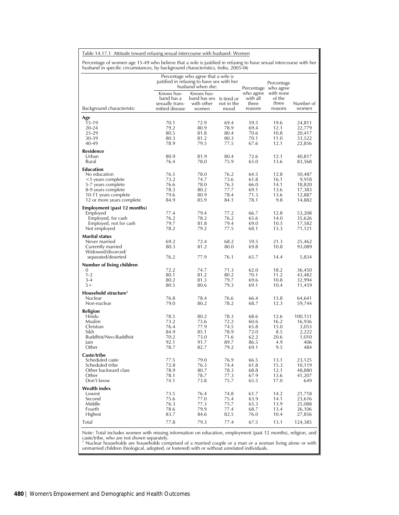Table 14.17.1 Attitude toward refusing sexual intercourse with husband: Women

Percentage of women age 15-49 who believe that a wife is justified in refusing to have sexual intercourse with her husband in specific circumstances, by background characteristics, India, 2005-06

|                                        | justified in refusing to have sex with her                    | Percentage who agree that a wife is<br>husband when she: |              |                                           | Percentage<br>Percentage who agree |                    |
|----------------------------------------|---------------------------------------------------------------|----------------------------------------------------------|--------------|-------------------------------------------|------------------------------------|--------------------|
| Background characteristic              | Knows hus-<br>band has a<br>sexually trans-<br>mitted disease | Knows hus-<br>band has sex Is tired or<br>with other     | not in the   | who agree<br>with all<br>three<br>reasons | with none<br>of the<br>three       | Number of<br>women |
|                                        |                                                               | women                                                    | mood         |                                           | reasons                            |                    |
| Age                                    |                                                               |                                                          |              |                                           |                                    |                    |
| 15-19<br>20-24                         | 70.1<br>79.2                                                  | 72.9<br>80.9                                             | 69.4<br>78.9 | 59.5<br>69.4                              | 19.6<br>12.1                       | 24,811<br>22,779   |
| 25-29                                  | 80.5                                                          | 81.8                                                     | 80.4         | 70.6                                      | 10.8                               | 20,417             |
| 30-39                                  | 80.3                                                          | 81.2                                                     | 80.3         | 70.1                                      | 11.0                               | 33,522             |
| 40-49                                  | 78.9                                                          | 79.5                                                     | 77.5         | 67.6                                      | 12.1                               | 22,856             |
| Residence                              |                                                               |                                                          |              |                                           |                                    |                    |
| Urban                                  | 80.9                                                          | 81.9                                                     | 80.4         | 72.6                                      | 12.1                               | 40,817             |
| Rural                                  | 76.4                                                          | 78.0                                                     | 75.9         | 65.0                                      | 13.6                               | 83,568             |
| Education                              |                                                               |                                                          |              |                                           |                                    |                    |
| No education<br><5 years complete      | 76.5<br>73.2                                                  | 78.0<br>74.7                                             | 76.2<br>73.6 | 64.5<br>61.8                              | 12.8<br>16.1                       | 50,487<br>9,918    |
| 5-7 years complete                     | 76.6                                                          | 78.0                                                     | 76.3         | 66.0                                      | 14.1                               | 18,820             |
| 8-9 years complete                     | 78.3                                                          | 80.2                                                     | 77.7         | 69.1                                      | 13.6                               | 17,383             |
| 10-11 years complete                   | 79.6                                                          | 80.9                                                     | 78.4         | 71.3                                      | 13.6                               | 12,887             |
| 12 or more years complete              | 84.9                                                          | 85.9                                                     | 84.1         | 78.1                                      | 9.8                                | 14,882             |
| Employment (past 12 months)            |                                                               |                                                          |              |                                           |                                    |                    |
| Employed                               | 77.4                                                          | 79.4                                                     | 77.2         | 66.7                                      | 12.8                               | 53,208             |
| Employed, for cash                     | 76.2                                                          | 78.2                                                     | 76.2         | 65.6                                      | 14.0                               | 35,626             |
| Employed, not for cash<br>Not employed | 79.7<br>78.2                                                  | 81.8<br>79.2                                             | 79.4<br>77.5 | 69.0<br>68.1                              | 10.5<br>13.3                       | 17,582<br>71,121   |
|                                        |                                                               |                                                          |              |                                           |                                    |                    |
| <b>Marital status</b>                  | 69.2                                                          | 72.4                                                     | 68.2         | 59.5                                      | 21.3                               | 25,462             |
| Never married<br>Currently married     | 80.3                                                          | 81.2                                                     | 80.0         | 69.8                                      | 10.8                               | 93,089             |
| Widowed/divorced/                      |                                                               |                                                          |              |                                           |                                    |                    |
| separated/deserted                     | 76.2                                                          | 77.9                                                     | 76.1         | 65.7                                      | 14.4                               | 5,834              |
| Number of living children              |                                                               |                                                          |              |                                           |                                    |                    |
| 0                                      | 72.2                                                          | 74.7                                                     | 71.3         | 62.0                                      | 18.2                               | 36,450             |
| $1 - 2$                                | 80.1                                                          | 81.2                                                     | 80.2         | 70.1                                      | 11.2                               | 43,482             |
| $3 - 4$<br>$5+$                        | 80.2<br>80.5                                                  | 81.3<br>80.6                                             | 79.7<br>79.3 | 69.6<br>69.1                              | 10.8<br>10.4                       | 32,994             |
|                                        |                                                               |                                                          |              |                                           |                                    | 11,459             |
| Household structure <sup>1</sup>       |                                                               |                                                          |              |                                           |                                    |                    |
| Nuclear<br>Non-nuclear                 | 76.8<br>79.0                                                  | 78.4<br>80.2                                             | 76.6<br>78.2 | 66.4<br>68.7                              | 13.8<br>12.3                       | 64,641<br>59,744   |
|                                        |                                                               |                                                          |              |                                           |                                    |                    |
| Religion<br>Hindu                      | 78.5                                                          | 80.2                                                     | 78.3         | 68.6                                      | 12.6                               | 100,151            |
| Muslim                                 | 73.2                                                          | 73.6                                                     | 72.2         | 60.6                                      | 16.2                               | 16,936             |
| Christian                              | 76.4                                                          | 77.9                                                     | 74.5         | 65.8                                      | 15.0                               | 3,053              |
| Sikh                                   | 84.9                                                          | 85.1                                                     | 78.9         | 72.0                                      | 8.5                                | 2,222              |
| Buddhist/Neo-Buddhist                  | 70.2                                                          | 73.0                                                     | 71.6         | 62.2                                      | 20.6                               | 1,010              |
| Jain<br>Other                          | 92.1                                                          | 91.7                                                     | 89.7         | 86.5                                      | 4.9                                | 406                |
|                                        | 78.7                                                          | 82.7                                                     | 79.2         | 69.1                                      | 9.5                                | 484                |
| Caste/tribe                            |                                                               |                                                          |              |                                           |                                    |                    |
| Scheduled caste<br>Scheduled tribe     | 77.5<br>72.8                                                  | 79.0<br>76.3                                             | 76.9<br>74.4 | 66.5<br>61.8                              | 13.1<br>15.3                       | 23,125<br>10,119   |
| Other backward class                   | 78.9                                                          | 80.7                                                     | 78.3         | 68.8                                      | 12.1                               | 48,880             |
| Other                                  | 78.1                                                          | 78.7                                                     | 77.3         | 67.9                                      | 13.6                               | 41,207             |
| Don't know                             | 74.1                                                          | 73.8                                                     | 75.7         | 65.5                                      | 17.0                               | 649                |
| <b>Wealth index</b>                    |                                                               |                                                          |              |                                           |                                    |                    |
| Lowest                                 | 73.5                                                          | 76.4                                                     | 74.8         | 61.7                                      | 14.2                               | 21,718             |
| Second                                 | 75.6                                                          | 77.0                                                     | 75.4         | 63.9                                      | 14.1                               | 23,616             |
| Middle                                 | 76.3                                                          | 77.3                                                     | 75.7         | 65.3                                      | 13.9                               | 25,088             |
| Fourth<br>Highest                      | 78.6<br>83.7                                                  | 79.9<br>84.6                                             | 77.4<br>82.5 | 68.7<br>76.0                              | 13.4<br>10.4                       | 26,106<br>27,856   |
|                                        |                                                               |                                                          |              |                                           |                                    |                    |
| Total                                  | 77.8                                                          | 79.3                                                     | 77.4         | 67.5                                      | 13.1                               | 124,385            |

Note: Total includes women with missing information on education, employment (past 12 months), religion, and<br>caste/tribe, who are not shown separately.<br><sup>1</sup> Nuclear households are households comprised of a married couple or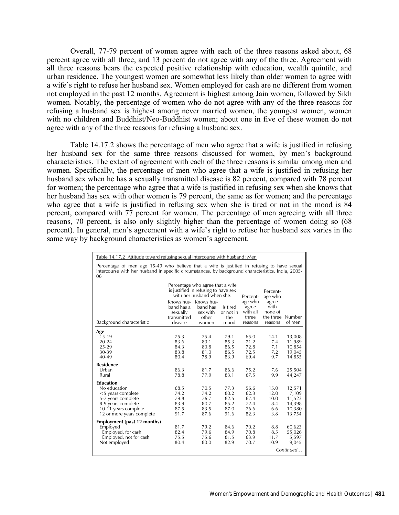Overall, 77-79 percent of women agree with each of the three reasons asked about, 68 percent agree with all three, and 13 percent do not agree with any of the three. Agreement with all three reasons bears the expected positive relationship with education, wealth quintile, and urban residence. The youngest women are somewhat less likely than older women to agree with a wife's right to refuse her husband sex. Women employed for cash are no different from women not employed in the past 12 months. Agreement is highest among Jain women, followed by Sikh women. Notably, the percentage of women who do not agree with any of the three reasons for refusing a husband sex is highest among never married women, the youngest women, women with no children and Buddhist/Neo-Buddhist women; about one in five of these women do not agree with any of the three reasons for refusing a husband sex.

Table 14.17.2 shows the percentage of men who agree that a wife is justified in refusing her husband sex for the same three reasons discussed for women, by men's background characteristics. The extent of agreement with each of the three reasons is similar among men and women. Specifically, the percentage of men who agree that a wife is justified in refusing her husband sex when he has a sexually transmitted disease is 82 percent, compared with 78 percent for women; the percentage who agree that a wife is justified in refusing sex when she knows that her husband has sex with other women is 79 percent, the same as for women; and the percentage who agree that a wife is justified in refusing sex when she is tired or not in the mood is 84 percent, compared with 77 percent for women. The percentage of men agreeing with all three reasons, 70 percent, is also only slightly higher than the percentage of women doing so (68 percent). In general, men's agreement with a wife's right to refuse her husband sex varies in the same way by background characteristics as women's agreement.

| Table 14.17.2 Attitude toward refusing sexual intercourse with husband: Men                                                                                                                              |                                              |                                              |                                                                                                                                 |                                           |                                                         |  |  |  |  |  |
|----------------------------------------------------------------------------------------------------------------------------------------------------------------------------------------------------------|----------------------------------------------|----------------------------------------------|---------------------------------------------------------------------------------------------------------------------------------|-------------------------------------------|---------------------------------------------------------|--|--|--|--|--|
| Percentage of men age 15-49 who believe that a wife is justified in refusing to have sexual<br>intercourse with her husband in specific circumstances, by background characteristics, India, 2005-<br>06 |                                              |                                              |                                                                                                                                 |                                           |                                                         |  |  |  |  |  |
|                                                                                                                                                                                                          |                                              | Percent-                                     | Percent-<br>age who                                                                                                             |                                           |                                                         |  |  |  |  |  |
| band has a<br>sexually<br>transmitted<br>disease                                                                                                                                                         | band has<br>sex with<br>other<br>women       | Is tired<br>or not in<br>the<br>mood         | agree<br>with all<br>three<br>reasons                                                                                           | with<br>none of<br>reasons                | of men                                                  |  |  |  |  |  |
|                                                                                                                                                                                                          |                                              |                                              |                                                                                                                                 |                                           |                                                         |  |  |  |  |  |
| 75.3<br>83.6<br>84.3<br>83.8<br>80.4                                                                                                                                                                     | 75.4<br>80.1<br>80.8<br>81.0<br>78.9         | 79.1<br>85.3<br>86.5<br>86.5<br>83.9         | 65.0<br>71.2<br>72.8<br>72.5<br>69.4                                                                                            | 14.1<br>7.4<br>7.1<br>7.2<br>9.7          | 13,008<br>11,989<br>10,854<br>19,045<br>14,855          |  |  |  |  |  |
| 86.3<br>78.8                                                                                                                                                                                             | 81.7<br>77.9                                 | 86.6<br>83.1                                 | 75.2<br>67.5                                                                                                                    | 7.6<br>9.9                                | 25,504<br>44,247                                        |  |  |  |  |  |
| 68.5<br>74.2<br>79.8<br>83.9<br>87.5<br>91.7                                                                                                                                                             | 70.5<br>74.2<br>76.7<br>80.7<br>83.5<br>87.6 | 77.3<br>80.2<br>82.5<br>85.2<br>87.0<br>91.6 | 56.6<br>62.3<br>67.4<br>72.4<br>76.6<br>82.3                                                                                    | 15.0<br>12.0<br>10.0<br>8.4<br>6.6<br>3.8 | 12,571<br>7,109<br>11,523<br>14,398<br>10,380<br>13,754 |  |  |  |  |  |
| 81.7<br>82.4<br>75.5<br>80.4                                                                                                                                                                             | 79.2<br>79.6<br>75.6<br>80.0                 | 84.6<br>84.9<br>81.5<br>82.9                 | 70.2<br>70.8<br>63.9<br>70.7                                                                                                    | 8.8<br>8.5<br>11.7<br>10.9                | 60,623<br>55,026<br>5,597<br>9,045<br>Continued         |  |  |  |  |  |
|                                                                                                                                                                                                          |                                              |                                              | Percentage who agree that a wife<br>is justified in refusing to have sex<br>with her husband when she:<br>Knows hus- Knows hus- | age who                                   | agree<br>the three Number                               |  |  |  |  |  |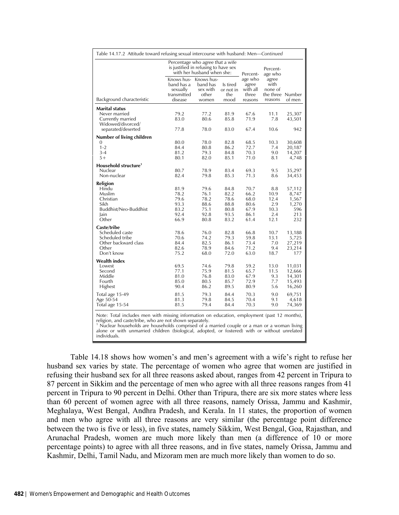| Table 14.17.2 Attitude toward refusing sexual intercourse with husband: Men-Continued                                                                                                                                                                               |                                                     |                                                                    |                              |                                       |                                              |                         |
|---------------------------------------------------------------------------------------------------------------------------------------------------------------------------------------------------------------------------------------------------------------------|-----------------------------------------------------|--------------------------------------------------------------------|------------------------------|---------------------------------------|----------------------------------------------|-------------------------|
|                                                                                                                                                                                                                                                                     | Percentage who agree that a wife                    | is justified in refusing to have sex<br>with her husband when she: | Percent-                     | Percent-<br>age who                   |                                              |                         |
|                                                                                                                                                                                                                                                                     | Knows hus-<br>band has a<br>sexually<br>transmitted | Knows hus-<br>band has<br>sex with<br>other                        | Is tired<br>or not in<br>the | age who<br>agree<br>with all<br>three | agree<br>with<br>none of<br>the three Number |                         |
| Background characteristic                                                                                                                                                                                                                                           | disease                                             | women                                                              | mood                         | reasons                               | reasons                                      | of men                  |
| Marital status<br>Never married<br>Currently married<br>Widowed/divorced/<br>separated/deserted                                                                                                                                                                     | 79.2<br>83.0<br>77.8                                | 77.2<br>80.6<br>78.0                                               | 81.9<br>85.8<br>83.0         | 67.6<br>71.9<br>67.4                  | 11.1<br>7.8<br>10.6                          | 25,307<br>43,501<br>942 |
| Number of living children                                                                                                                                                                                                                                           |                                                     |                                                                    |                              |                                       |                                              |                         |
| 0                                                                                                                                                                                                                                                                   | 80.0                                                | 78.0                                                               | 82.8                         | 68.5                                  | 10.3                                         | 30,608                  |
| $1 - 2$<br>$3 - 4$                                                                                                                                                                                                                                                  | 84.4<br>81.2                                        | 80.8<br>79.3                                                       | 86.2<br>84.8                 | 72.7<br>70.3                          | 7.4<br>9.0                                   | 20,187                  |
| $5+$                                                                                                                                                                                                                                                                | 80.1                                                | 82.0                                                               | 85.1                         | 71.0                                  | 8.1                                          | 14,207<br>4,748         |
|                                                                                                                                                                                                                                                                     |                                                     |                                                                    |                              |                                       |                                              |                         |
| Household structure <sup>1</sup><br>Nuclear                                                                                                                                                                                                                         | 80.7                                                | 78.9                                                               | 83.4                         | 69.3                                  | 9.5                                          | 35,297                  |
| Non-nuclear                                                                                                                                                                                                                                                         | 82.4                                                | 79.8                                                               | 85.3                         | 71.3                                  | 8.6                                          | 34,453                  |
| Religion                                                                                                                                                                                                                                                            |                                                     |                                                                    |                              |                                       |                                              |                         |
| Hindu                                                                                                                                                                                                                                                               | 81.9                                                | 79.6                                                               | 84.8                         | 70.7                                  | 8.8                                          | 57,112                  |
| Muslim                                                                                                                                                                                                                                                              | 78.2                                                | 76.1                                                               | 82.2                         | 66.2                                  | 10.9                                         | 8,747                   |
| Christian                                                                                                                                                                                                                                                           | 79.6                                                | 78.2                                                               | 78.6                         | 68.0                                  | 12.4                                         | 1,567                   |
| Sikh                                                                                                                                                                                                                                                                | 93.3                                                | 88.6                                                               | 88.8                         | 80.6                                  | 2.9                                          | 1,270                   |
| Buddhist/Neo-Buddhist                                                                                                                                                                                                                                               | 83.2                                                | 75.1                                                               | 80.8                         | 67.9                                  | 10.3                                         | 596                     |
| lain                                                                                                                                                                                                                                                                | 92.4                                                | 92.8                                                               | 93.5                         | 86.1                                  | 2.4                                          | 213                     |
| Other                                                                                                                                                                                                                                                               | 66.9                                                | 80.8                                                               | 83.2                         | 61.4                                  | 12.1                                         | 232                     |
| Caste/tribe                                                                                                                                                                                                                                                         |                                                     |                                                                    |                              |                                       |                                              |                         |
| Scheduled caste                                                                                                                                                                                                                                                     | 78.6                                                | 76.0                                                               | 82.8                         | 66.8                                  | 10.7                                         | 13,188                  |
| Scheduled tribe<br>Other backward class                                                                                                                                                                                                                             | 70.6<br>84.4                                        | 74.2<br>82.5                                                       | 79.3<br>86.1                 | 59.8<br>73.4                          | 13.1<br>7.0                                  | 5,725                   |
| Other                                                                                                                                                                                                                                                               | 82.6                                                | 78.9                                                               | 84.6                         | 71.2                                  | 9.4                                          | 27,219<br>23,214        |
| Don't know                                                                                                                                                                                                                                                          | 75.2                                                | 68.0                                                               | 72.0                         | 63.0                                  | 18.7                                         | 177                     |
| <b>Wealth index</b>                                                                                                                                                                                                                                                 |                                                     |                                                                    |                              |                                       |                                              |                         |
| Lowest                                                                                                                                                                                                                                                              | 69.5                                                | 74.6                                                               | 79.8                         | 59.2                                  | 13.0                                         | 11,031                  |
| Second                                                                                                                                                                                                                                                              | 77.1                                                | 75.9                                                               | 81.5                         | 65.7                                  | 11.5                                         | 12,666                  |
| Middle                                                                                                                                                                                                                                                              | 81.0                                                | 76.8                                                               | 83.0                         | 67.9                                  | 9.3                                          | 14,301                  |
| Fourth                                                                                                                                                                                                                                                              | 85.0                                                | 80.5                                                               | 85.7                         | 72.9                                  | 7.7                                          | 15,493                  |
| Highest                                                                                                                                                                                                                                                             | 90.4                                                | 86.2                                                               | 89.5                         | 80.9                                  | 5.6                                          | 16,260                  |
| Total age 15-49                                                                                                                                                                                                                                                     | 81.5                                                | 79.3                                                               | 84.4                         | 70.3                                  | 9.0                                          | 69,751                  |
| Age 50-54                                                                                                                                                                                                                                                           | 81.3                                                | 79.8                                                               | 84.5                         | 70.4                                  | 9.1                                          | 4,618                   |
| Total age 15-54                                                                                                                                                                                                                                                     | 81.5                                                | 79.4                                                               | 84.4                         | 70.3                                  | 9.0                                          | 74,369                  |
| Note: Total includes men with missing information on education, employment (past 12 months),<br>religion, and caste/tribe, who are not shown separately.<br><sup>1</sup> Nuclear households are households comprised of a married couple or a man or a woman living |                                                     |                                                                    |                              |                                       |                                              |                         |

alone or with unmarried children (biological, adopted, or fostered) with or without unrelated individuals.

 Table 14.18 shows how women's and men's agreement with a wife's right to refuse her husband sex varies by state. The percentage of women who agree that women are justified in refusing their husband sex for all three reasons asked about, ranges from 42 percent in Tripura to 87 percent in Sikkim and the percentage of men who agree with all three reasons ranges from 41 percent in Tripura to 90 percent in Delhi. Other than Tripura, there are six more states where less than 60 percent of women agree with all three reasons, namely Orissa, Jammu and Kashmir, Meghalaya, West Bengal, Andhra Pradesh, and Kerala. In 11 states, the proportion of women and men who agree with all three reasons are very similar (the percentage point difference between the two is five or less), in five states, namely Sikkim, West Bengal, Goa, Rajasthan, and Arunachal Pradesh, women are much more likely than men (a difference of 10 or more percentage points) to agree with all three reasons, and in five states, namely Orissa, Jammu and Kashmir, Delhi, Tamil Nadu, and Mizoram men are much more likely than women to do so.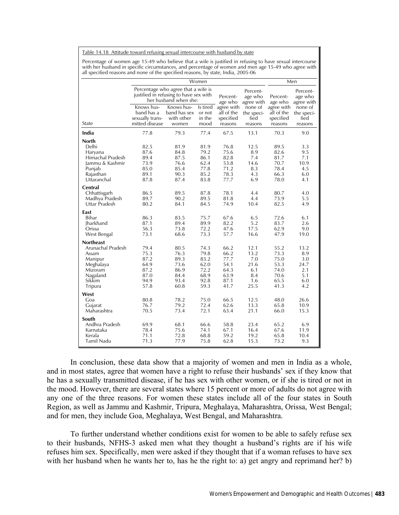Table 14.18 Attitude toward refusing sexual intercourse with husband by state

Percentage of women age 15-49 who believe that a wife is justified in refusing to have sexual intercourse with her husband in specific circumstances, and percentage of women and men age 15-49 who agree with all specified reasons and none of the specified reasons, by state, India, 2005-06

|                                                                                                                                                                                                                     |                                                                                                      | Men                                                                                                    |                                                                                                      |                                                                                                      |                                                                                             |                                                                                                      |                                                                                          |
|---------------------------------------------------------------------------------------------------------------------------------------------------------------------------------------------------------------------|------------------------------------------------------------------------------------------------------|--------------------------------------------------------------------------------------------------------|------------------------------------------------------------------------------------------------------|------------------------------------------------------------------------------------------------------|---------------------------------------------------------------------------------------------|------------------------------------------------------------------------------------------------------|------------------------------------------------------------------------------------------|
|                                                                                                                                                                                                                     |                                                                                                      | Percentage who agree that a wife is<br>justified in refusing to have sex with<br>her husband when she: |                                                                                                      | Percent-<br>age who                                                                                  | Percent-<br>age who<br>agree with                                                           | Percent-<br>age who                                                                                  | Percent-<br>age who<br>agree with                                                        |
| State                                                                                                                                                                                                               | Knows hus-<br>band has a<br>sexually trans-<br>mitted disease                                        | Knows hus-<br>band has sex<br>with other<br>women                                                      | ls tired<br>or not<br>in the<br>mood                                                                 | agree with<br>all of the<br>specified<br>reasons                                                     | none of<br>the speci-<br>fied<br>reasons                                                    | agree with<br>all of the<br>specified<br>reasons                                                     | none of<br>the speci-<br>fied<br>reasons                                                 |
| India                                                                                                                                                                                                               | 77.8                                                                                                 | 79.3                                                                                                   | 77.4                                                                                                 | 67.5                                                                                                 | 13.1                                                                                        | 70.3                                                                                                 | 9.0                                                                                      |
| <b>North</b><br>Delhi<br>Haryana<br>Himachal Pradesh<br>Jammu & Kashmir<br>Punjab<br>Rajasthan<br>Uttaranchal<br>Central<br>Chhattisgarh<br>Madhya Pradesh<br>Uttar Pradesh<br>East<br>Bihar<br>Jharkhand<br>Orissa | 82.5<br>87.6<br>89.4<br>73.9<br>85.0<br>89.1<br>87.8<br>86.5<br>89.7<br>80.2<br>86.3<br>87.1<br>56.3 | 81.9<br>84.8<br>87.5<br>76.6<br>85.4<br>90.3<br>87.4<br>89.5<br>90.2<br>84.1<br>83.5<br>89.4<br>73.8   | 81.9<br>79.2<br>86.1<br>62.4<br>77.8<br>85.2<br>83.8<br>87.8<br>89.5<br>84.5<br>75.7<br>89.9<br>72.2 | 76.8<br>75.6<br>82.8<br>53.8<br>71.2<br>78.3<br>77.7<br>78.1<br>81.8<br>74.9<br>67.6<br>82.2<br>47.6 | 12.5<br>8.9<br>7.4<br>14.6<br>8.3<br>4.3<br>6.9<br>4.4<br>4.4<br>10.4<br>6.5<br>5.2<br>17.5 | 89.5<br>82.6<br>81.7<br>70.7<br>78.4<br>66.3<br>78.0<br>80.7<br>73.9<br>82.5<br>72.6<br>83.7<br>62.9 | 3.3<br>9.5<br>7.1<br>10.9<br>4.5<br>6.0<br>4.1<br>4.0<br>5.5<br>4.9<br>6.1<br>2.6<br>9.0 |
| West Bengal                                                                                                                                                                                                         | 73.1                                                                                                 | 68.6                                                                                                   | 73.3                                                                                                 | 57.7                                                                                                 | 16.6                                                                                        | 47.9                                                                                                 | 19.0                                                                                     |
| <b>Northeast</b><br>Arunachal Pradesh<br>Assam<br>Manipur<br>Meghalaya<br>Mizoram<br>Nagaland<br>Sikkim<br>Tripura                                                                                                  | 79.4<br>75.3<br>87.2<br>64.9<br>87.2<br>87.0<br>94.9<br>57.8                                         | 80.5<br>76.3<br>89.3<br>73.6<br>86.9<br>84.4<br>93.4<br>60.8                                           | 74.3<br>79.8<br>83.2<br>62.0<br>72.2<br>68.9<br>92.8<br>59.3                                         | 66.2<br>66.2<br>77.7<br>54.1<br>64.3<br>63.9<br>87.1<br>41.7                                         | 12.1<br>13.2<br>7.0<br>21.6<br>6.1<br>8.4<br>1.6<br>25.5                                    | 55.2<br>73.3<br>75.0<br>53.3<br>74.0<br>70.6<br>65.5<br>41.3                                         | 13.2<br>8.9<br>3.0<br>24.7<br>2.1<br>5.1<br>6.0<br>4.2                                   |
| West<br>Goa<br>Gujarat<br>Maharashtra<br>South<br>Andhra Pradesh<br>Karnataka<br>Kerala<br>Tamil Nadu                                                                                                               | 80.8<br>76.7<br>70.5<br>69.9<br>78.4<br>71.1<br>71.3                                                 | 78.2<br>79.2<br>73.4<br>68.1<br>75.6<br>72.8<br>77.9                                                   | 75.0<br>72.4<br>72.1<br>66.6<br>74.1<br>68.8<br>75.8                                                 | 66.5<br>62.6<br>63.4<br>58.8<br>67.1<br>59.2<br>62.8                                                 | 12.5<br>13.3<br>21.1<br>23.4<br>16.4<br>19.2<br>15.3                                        | 48.0<br>65.8<br>66.0<br>65.2<br>67.6<br>65.8<br>73.2                                                 | 26.6<br>10.9<br>15.3<br>6.9<br>11.9<br>10.4<br>9.3                                       |

In conclusion, these data show that a majority of women and men in India as a whole, and in most states, agree that women have a right to refuse their husbands' sex if they know that he has a sexually transmitted disease, if he has sex with other women, or if she is tired or not in the mood. However, there are several states where 15 percent or more of adults do not agree with any one of the three reasons. For women these states include all of the four states in South Region, as well as Jammu and Kashmir, Tripura, Meghalaya, Maharashtra, Orissa, West Bengal; and for men, they include Goa, Meghalaya, West Bengal, and Maharashtra.

To further understand whether conditions exist for women to be able to safely refuse sex to their husbands, NFHS-3 asked men what they thought a husband's rights are if his wife refuses him sex. Specifically, men were asked if they thought that if a woman refuses to have sex with her husband when he wants her to, has he the right to: a) get angry and reprimand her? b)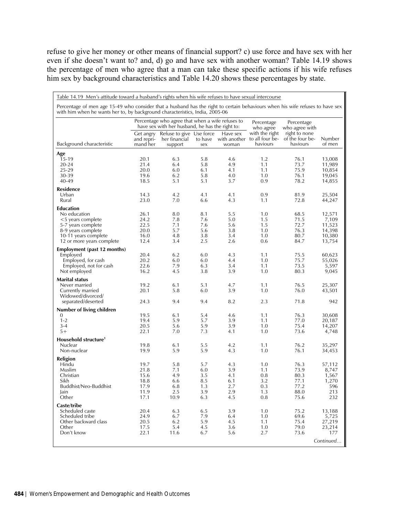refuse to give her money or other means of financial support? c) use force and have sex with her even if she doesn't want to? and, d) go and have sex with another woman? Table 14.19 shows the percentage of men who agree that a man can take these specific actions if his wife refuses him sex by background characteristics and Table 14.20 shows these percentages by state.

| Table 14.19 Men's attitude toward a husband's rights when his wife refuses to have sexual intercourse                                                                                                         |                                     |                                                                                                     |                |                                                         |                                                            |                                              |                  |
|---------------------------------------------------------------------------------------------------------------------------------------------------------------------------------------------------------------|-------------------------------------|-----------------------------------------------------------------------------------------------------|----------------|---------------------------------------------------------|------------------------------------------------------------|----------------------------------------------|------------------|
| Percentage of men age 15-49 who consider that a husband has the right to certain behaviours when his wife refuses to have sex<br>with him when he wants her to, by background characteristics, India, 2005-06 |                                     |                                                                                                     |                |                                                         |                                                            |                                              |                  |
|                                                                                                                                                                                                               |                                     | Percentage who agree that when a wife refuses to<br>have sex with her husband, he has the right to: |                | Percentage<br>Percentage<br>who agree<br>who agree with |                                                            |                                              |                  |
| Background characteristic                                                                                                                                                                                     | Get angry<br>and repri-<br>mand her | Refuse to give Use force<br>her financial<br>support                                                | to have<br>sex | Have sex<br>woman                                       | with the right<br>with another to all four be-<br>haviours | right to none<br>of the four be-<br>haviours | Number<br>of men |
| Age                                                                                                                                                                                                           |                                     |                                                                                                     |                |                                                         |                                                            |                                              |                  |
| $15-19$                                                                                                                                                                                                       | 20.1                                | 6.3                                                                                                 | 5.8            | 4.6                                                     | 1.2                                                        | 76.1                                         | 13,008           |
| 20-24                                                                                                                                                                                                         | 21.4                                | 6.4                                                                                                 | 5.8            | 4.9                                                     | 1.1                                                        | 73.7                                         | 11,989           |
| 25-29<br>30-39                                                                                                                                                                                                | 20.0<br>19.6                        | 6.0<br>6.2                                                                                          | 6.1<br>5.8     | 4.1<br>4.0                                              | 1.1<br>1.0                                                 | 75.9<br>76.1                                 | 10,854<br>19,045 |
| 40-49                                                                                                                                                                                                         | 18.5                                | 5.1                                                                                                 | 5.1            | 3.7                                                     | 0.9                                                        | 78.2                                         | 14,855           |
| <b>Residence</b>                                                                                                                                                                                              |                                     |                                                                                                     |                |                                                         |                                                            |                                              |                  |
| Urban                                                                                                                                                                                                         | 14.3                                | 4.2                                                                                                 | 4.1            | 4.1                                                     | 0.9                                                        | 81.9                                         | 25,504           |
| Rural                                                                                                                                                                                                         | 23.0                                | 7.0                                                                                                 | 6.6            | 4.3                                                     | 1.1                                                        | 72.8                                         | 44,247           |
| <b>Education</b>                                                                                                                                                                                              |                                     |                                                                                                     |                |                                                         |                                                            |                                              |                  |
| No education                                                                                                                                                                                                  | 26.1                                | 8.0                                                                                                 | 8.1            | 5.5                                                     | 1.0                                                        | 68.5                                         | 12,571           |
| <5 years complete                                                                                                                                                                                             | 24.2                                | 7.8                                                                                                 | 7.6            | 5.0                                                     | 1.5                                                        | 71.5                                         | 7,109            |
| 5-7 years complete<br>8-9 years complete                                                                                                                                                                      | 22.5<br>20.0                        | 7.1<br>5.7                                                                                          | 7.6<br>5.6     | 5.6<br>3.8                                              | 1.5<br>1.0                                                 | 72.7<br>76.3                                 | 11,523<br>14,398 |
| 10-11 years complete                                                                                                                                                                                          | 16.0                                | 4.8                                                                                                 | 3.8            | 3.4                                                     | 1.0                                                        | 80.7                                         | 10,380           |
| 12 or more years complete                                                                                                                                                                                     | 12.4                                | 3.4                                                                                                 | 2.5            | 2.6                                                     | 0.6                                                        | 84.7                                         | 13,754           |
| <b>Employment (past 12 months)</b>                                                                                                                                                                            |                                     |                                                                                                     |                |                                                         |                                                            |                                              |                  |
| Employed                                                                                                                                                                                                      | 20.4                                | 6.2                                                                                                 | 6.0            | 4.3                                                     | 1.1                                                        | 75.5                                         | 60,623           |
| Employed, for cash                                                                                                                                                                                            | 20.2                                | 6.0                                                                                                 | 6.0            | 4.4                                                     | 1.0                                                        | 75.7                                         | 55,026           |
| Employed, not for cash                                                                                                                                                                                        | 22.6                                | 7.9                                                                                                 | 6.3            | 3.4                                                     | 1.1                                                        | 73.5                                         | 5,597            |
| Not employed                                                                                                                                                                                                  | 16.2                                | 4.5                                                                                                 | 3.8            | 3.9                                                     | 1.0                                                        | 80.3                                         | 9,045            |
| <b>Marital status</b><br>Never married                                                                                                                                                                        | 19.2                                | 6.1                                                                                                 | 5.1            | 4.7                                                     | 1.1                                                        | 76.5                                         | 25,307           |
| Currently married                                                                                                                                                                                             | 20.1                                | 5.8                                                                                                 | 6.0            | 3.9                                                     | 1.0                                                        | 76.0                                         | 43,501           |
| Widowed/divorced/                                                                                                                                                                                             |                                     |                                                                                                     |                |                                                         |                                                            |                                              |                  |
| separated/deserted                                                                                                                                                                                            | 24.3                                | 9.4                                                                                                 | 9.4            | 8.2                                                     | 2.3                                                        | 71.8                                         | 942              |
| Number of living children                                                                                                                                                                                     |                                     |                                                                                                     |                |                                                         |                                                            |                                              |                  |
| 0                                                                                                                                                                                                             | 19.5                                | 6.1                                                                                                 | 5.4            | 4.6                                                     | 1.1                                                        | 76.3                                         | 30,608           |
| $1 - 2$                                                                                                                                                                                                       | 19.4                                | 5.9                                                                                                 | 5.7            | 3.9                                                     | 1.1                                                        | 77.0                                         | 20,187           |
| $3 - 4$<br>$5+$                                                                                                                                                                                               | 20.5<br>22.1                        | 5.6<br>7.0                                                                                          | 5.9<br>7.3     | 3.9<br>4.1                                              | 1.0<br>1.0                                                 | 75.4<br>73.6                                 | 14,207<br>4,748  |
| Household structure <sup>1</sup>                                                                                                                                                                              |                                     |                                                                                                     |                |                                                         |                                                            |                                              |                  |
| Nuclear                                                                                                                                                                                                       | 19.8                                | 6.1                                                                                                 | 5.5            | 4.2                                                     | 1.1                                                        | 76.2                                         | 35,297           |
| Non-nuclear                                                                                                                                                                                                   | 19.9                                | 5.9                                                                                                 | 5.9            | 4.3                                                     | 1.0                                                        | 76.1                                         | 34,453           |
| Religion                                                                                                                                                                                                      |                                     |                                                                                                     |                |                                                         |                                                            |                                              |                  |
| Hindu                                                                                                                                                                                                         | 19.7                                | 5.8                                                                                                 | 5.7            | 4.3                                                     | 1.0                                                        | 76.3                                         | 57,112           |
| Muslim                                                                                                                                                                                                        | 21.8                                | 7.1                                                                                                 | 6.0            | 3.9                                                     | 1.1                                                        | 73.9                                         | 8,747            |
| Christian                                                                                                                                                                                                     | 15.6                                | 4.9                                                                                                 | 3.5            | 4.1                                                     | 0.8                                                        | 80.3                                         | 1,567            |
| Sikh<br>Buddhist/Neo-Buddhist                                                                                                                                                                                 | 18.8<br>17.9                        | 6.6<br>6.8                                                                                          | 8.5<br>1.3     | 6.1<br>2.7                                              | 3.2<br>0.3                                                 | 77.1<br>77.2                                 | 1,270<br>596     |
| Jain                                                                                                                                                                                                          | 11.9                                | 2.5                                                                                                 | 3.9            | 2.9                                                     | 1.3                                                        | 88.0                                         | 213              |
| Other                                                                                                                                                                                                         | 17.1                                | 10.9                                                                                                | 6.3            | 4.5                                                     | 0.8                                                        | 75.6                                         | 232              |
| Caste/tribe                                                                                                                                                                                                   |                                     |                                                                                                     |                |                                                         |                                                            |                                              |                  |
| Scheduled caste                                                                                                                                                                                               | 20.4                                | 6.3                                                                                                 | 6.5            | 3.9                                                     | 1.0                                                        | 75.2                                         | 13,188           |
| Scheduled tribe                                                                                                                                                                                               | 24.9                                | 6.7                                                                                                 | 7.9            | 6.4                                                     | 1.0                                                        | 69.6                                         | 5,725            |
| Other backward class<br>Other                                                                                                                                                                                 | 20.5<br>17.5                        | 6.2                                                                                                 | 5.9            | 4.5<br>3.6                                              | 1.1<br>1.0                                                 | 75.4<br>79.0                                 | 27,219<br>23,214 |
| Don't know                                                                                                                                                                                                    | 22.1                                | 5.4<br>11.6                                                                                         | 4.5<br>6.7     | 5.6                                                     | 2.7                                                        | 73.6                                         | 177              |
|                                                                                                                                                                                                               |                                     |                                                                                                     |                |                                                         |                                                            |                                              | Continued        |
|                                                                                                                                                                                                               |                                     |                                                                                                     |                |                                                         |                                                            |                                              |                  |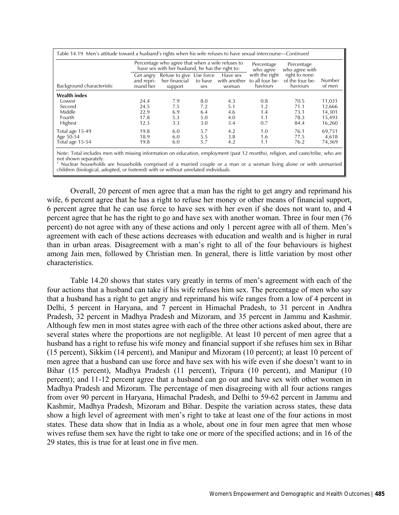|                           |                                     | Percentage who agree that when a wife refuses to<br>have sex with her husband, he has the right to: |                |                                   | Percentage<br>who agree                       | Percentage<br>who agree with                 |                  |  |
|---------------------------|-------------------------------------|-----------------------------------------------------------------------------------------------------|----------------|-----------------------------------|-----------------------------------------------|----------------------------------------------|------------------|--|
| Background characteristic | Get angry<br>and repri-<br>mand her | Refuse to give Use force<br>her financial<br>support                                                | to have<br>sex | Have sex<br>with another<br>woman | with the right<br>to all four be-<br>haviours | right to none<br>of the four be-<br>haviours | Number<br>of men |  |
| <b>Wealth index</b>       |                                     |                                                                                                     |                |                                   |                                               |                                              |                  |  |
| Lowest                    | 24.4                                | 7.9                                                                                                 | 8.0            | 4.3                               | 0.8                                           | 70.5                                         | 11,031           |  |
| Second                    | 24.5                                | 7.5                                                                                                 | 7.2            | 5.1                               | 1.2                                           | 71.1                                         | 12,666           |  |
| Middle                    | 22.9                                | 6.9                                                                                                 | 6.4            | 4.6                               | 1.4                                           | 73.1                                         | 14,301           |  |
| Fourth                    | 17.8                                | 5.3                                                                                                 | 5.0            | 4.0                               | 1.1                                           | 78.3                                         | 15,493           |  |
| <b>Highest</b>            | 12.3                                | 3.3                                                                                                 | 3.0            | 3.4                               | 0.7                                           | 84.4                                         | 16,260           |  |
| Total age 15-49           | 19.8                                | 6.0                                                                                                 | 5.7            | 4.2                               | 1.0                                           | 76.1                                         | 69,751           |  |
| Age 50-54                 | 18.9                                | 6.0                                                                                                 | 5.5            | 3.8                               | 1.6                                           | 77.5                                         | 4,618            |  |
| Total age 15-54           | 19.8                                | 6.0                                                                                                 | 5.7            | 4.2                               | 1.1                                           | 76.2                                         | 74,369           |  |

Note: Total includes men with missing information on education, employment (past 12 months), religion, and caste/tribe, who are not shown separately.

1 Nuclear households are households comprised of a married couple or a man or a woman living alone or with unmarried children (biological, adopted, or fostered) with or without unrelated individuals.

Overall, 20 percent of men agree that a man has the right to get angry and reprimand his wife, 6 percent agree that he has a right to refuse her money or other means of financial support, 6 percent agree that he can use force to have sex with her even if she does not want to, and 4 percent agree that he has the right to go and have sex with another woman. Three in four men (76 percent) do not agree with any of these actions and only 1 percent agree with all of them. Men's agreement with each of these actions decreases with education and wealth and is higher in rural than in urban areas. Disagreement with a man's right to all of the four behaviours is highest among Jain men, followed by Christian men. In general, there is little variation by most other characteristics.

Table 14.20 shows that states vary greatly in terms of men's agreement with each of the four actions that a husband can take if his wife refuses him sex. The percentage of men who say that a husband has a right to get angry and reprimand his wife ranges from a low of 4 percent in Delhi, 5 percent in Haryana, and 7 percent in Himachal Pradesh, to 31 percent in Andhra Pradesh, 32 percent in Madhya Pradesh and Mizoram, and 35 percent in Jammu and Kashmir. Although few men in most states agree with each of the three other actions asked about, there are several states where the proportions are not negligible. At least 10 percent of men agree that a husband has a right to refuse his wife money and financial support if she refuses him sex in Bihar (15 percent), Sikkim (14 percent), and Manipur and Mizoram (10 percent); at least 10 percent of men agree that a husband can use force and have sex with his wife even if she doesn't want to in Bihar (15 percent), Madhya Pradesh (11 percent), Tripura (10 percent), and Manipur (10 percent); and 11-12 percent agree that a husband can go out and have sex with other women in Madhya Pradesh and Mizoram. The percentage of men disagreeing with all four actions ranges from over 90 percent in Haryana, Himachal Pradesh, and Delhi to 59-62 percent in Jammu and Kashmir, Madhya Pradesh, Mizoram and Bihar. Despite the variation across states, these data show a high level of agreement with men's right to take at least one of the four actions in most states. These data show that in India as a whole, about one in four men agree that men whose wives refuse them sex have the right to take one or more of the specified actions; and in 16 of the 29 states, this is true for at least one in five men.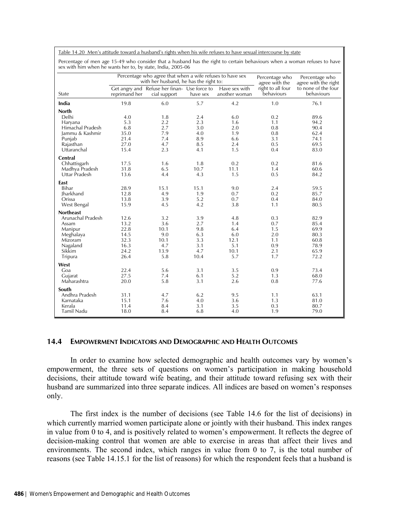Table 14.20 Men's attitude toward a husband's rights when his wife refuses to have sexual intercourse by state

Percentage of men age 15-49 who consider that a husband has the right to certain behaviours when a woman refuses to have sex with him when he wants her to, by state, India, 2005-06

| $\ldots$ . The complete the trains from $\epsilon$ , $\epsilon$ , $\epsilon$ , $\epsilon$ , $\epsilon$ , $\epsilon$ , $\epsilon$ , $\epsilon$ , $\epsilon$ , $\epsilon$ , $\epsilon$ , $\epsilon$ , $\epsilon$ , $\epsilon$ , $\epsilon$ , $\epsilon$ , $\epsilon$ , $\epsilon$ , $\epsilon$ , $\epsilon$ , $\epsilon$ , $\epsilon$ , $\epsilon$ , $\epsilon$ , $\epsilon$ , $\epsilon$ , $\epsilon$ , $\epsilon$ , $\epsilon$ , $\epsilon$ , $\epsilon$ |               | Percentage who agree that when a wife refuses to have sex    |          | Percentage who                 | Percentage who                  |                                   |
|----------------------------------------------------------------------------------------------------------------------------------------------------------------------------------------------------------------------------------------------------------------------------------------------------------------------------------------------------------------------------------------------------------------------------------------------------------|---------------|--------------------------------------------------------------|----------|--------------------------------|---------------------------------|-----------------------------------|
|                                                                                                                                                                                                                                                                                                                                                                                                                                                          |               | with her husband, he has the right to:                       |          |                                | agree with the                  | agree with the right              |
| State                                                                                                                                                                                                                                                                                                                                                                                                                                                    | reprimand her | Get angry and Refuse her finan- Use force to<br>cial support | have sex | Have sex with<br>another woman | right to all four<br>behaviours | to none of the four<br>behaviours |
| India                                                                                                                                                                                                                                                                                                                                                                                                                                                    | 19.8          | 6.0                                                          | 5.7      | 4.2                            | 1.0                             | 76.1                              |
| <b>North</b>                                                                                                                                                                                                                                                                                                                                                                                                                                             |               |                                                              |          |                                |                                 |                                   |
| Delhi                                                                                                                                                                                                                                                                                                                                                                                                                                                    | 4.0           | 1.8                                                          | 2.4      | 6.0                            | 0.2                             | 89.6                              |
| Haryana                                                                                                                                                                                                                                                                                                                                                                                                                                                  | 5.3           | 2.2                                                          | 2.3      | 1.6                            | 1.1                             | 94.2                              |
| Himachal Pradesh                                                                                                                                                                                                                                                                                                                                                                                                                                         | 6.8           | 2.7                                                          | 3.0      | 2.0                            | 0.8                             | 90.4                              |
| Jammu & Kashmir                                                                                                                                                                                                                                                                                                                                                                                                                                          | 35.0          | 7.9                                                          | 4.0      | 1.9                            | 0.8                             | 62.4                              |
| Punjab                                                                                                                                                                                                                                                                                                                                                                                                                                                   | 21.4          | 7.4                                                          | 8.9      | 6.6                            | 3.1                             | 74.1                              |
| Rajasthan                                                                                                                                                                                                                                                                                                                                                                                                                                                | 27.0          | 4.7                                                          | 8.5      | 2.4                            | 0.5                             | 69.5                              |
| Uttaranchal                                                                                                                                                                                                                                                                                                                                                                                                                                              | 15.4          | 2.3                                                          | 4.1      | 1.5                            | 0.4                             | 83.0                              |
| <b>Central</b>                                                                                                                                                                                                                                                                                                                                                                                                                                           |               |                                                              |          |                                |                                 |                                   |
| Chhattisgarh                                                                                                                                                                                                                                                                                                                                                                                                                                             | 17.5          | 1.6                                                          | 1.8      | 0.2                            | 0.2                             | 81.6                              |
| Madhya Pradesh                                                                                                                                                                                                                                                                                                                                                                                                                                           | 31.8          | 6.5                                                          | 10.7     | 11.1                           | 1.4                             | 60.6                              |
| Uttar Pradesh                                                                                                                                                                                                                                                                                                                                                                                                                                            | 13.6          | 4.4                                                          | 4.3      | 1.5                            | 0.5                             | 84.2                              |
| East                                                                                                                                                                                                                                                                                                                                                                                                                                                     |               |                                                              |          |                                |                                 |                                   |
| <b>Bihar</b>                                                                                                                                                                                                                                                                                                                                                                                                                                             | 28.9          | 15.1                                                         | 15.1     | 9.0                            | 2.4                             | 59.5                              |
| Iharkhand                                                                                                                                                                                                                                                                                                                                                                                                                                                | 12.8          | 4.9                                                          | 1.9      | 0.7                            | 0.2                             | 85.7                              |
| Orissa                                                                                                                                                                                                                                                                                                                                                                                                                                                   | 13.8          | 3.9                                                          | 5.2      | 0.7                            | 0.4                             | 84.0                              |
| West Bengal                                                                                                                                                                                                                                                                                                                                                                                                                                              | 15.9          | 4.5                                                          | 4.2      | 3.8                            | 1.1                             | 80.5                              |
| <b>Northeast</b>                                                                                                                                                                                                                                                                                                                                                                                                                                         |               |                                                              |          |                                |                                 |                                   |
| Arunachal Pradesh                                                                                                                                                                                                                                                                                                                                                                                                                                        | 12.6          | 3.2                                                          | 3.9      | 4.8                            | 0.3                             | 82.9                              |
| Assam                                                                                                                                                                                                                                                                                                                                                                                                                                                    | 13.2          | 3.6                                                          | 2.7      | 1.4                            | 0.7                             | 85.4                              |
| Manipur                                                                                                                                                                                                                                                                                                                                                                                                                                                  | 22.8          | 10.1                                                         | 9.8      | 6.4                            | 1.5                             | 69.9                              |
| Meghalaya                                                                                                                                                                                                                                                                                                                                                                                                                                                | 14.5          | 9.0                                                          | 6.3      | 6.0                            | 2.0                             | 80.3                              |
| Mizoram                                                                                                                                                                                                                                                                                                                                                                                                                                                  | 32.3          | 10.1                                                         | 3.3      | 12.1                           | 1.1                             | 60.8                              |
| Nagaland                                                                                                                                                                                                                                                                                                                                                                                                                                                 | 16.3          | 4.7                                                          | 3.1      | 5.1                            | 0.9                             | 78.9                              |
| Sikkim                                                                                                                                                                                                                                                                                                                                                                                                                                                   | 24.2          | 13.9                                                         | 4.7      | 10.1                           | 2.1                             | 65.9                              |
| Tripura                                                                                                                                                                                                                                                                                                                                                                                                                                                  | 26.4          | 5.8                                                          | 10.4     | 5.7                            | 1.7                             | 72.2                              |
| West                                                                                                                                                                                                                                                                                                                                                                                                                                                     |               |                                                              |          |                                |                                 |                                   |
| Goa                                                                                                                                                                                                                                                                                                                                                                                                                                                      | 22.4          | 5.6                                                          | 3.1      | 3.5                            | 0.9                             | 73.4                              |
| Gujarat                                                                                                                                                                                                                                                                                                                                                                                                                                                  | 27.5          | 7.4                                                          | 6.1      | 5.2                            | 1.3                             | 68.0                              |
| Maharashtra                                                                                                                                                                                                                                                                                                                                                                                                                                              | 20.0          | 5.8                                                          | 3.1      | 2.6                            | 0.8                             | 77.6                              |
| South                                                                                                                                                                                                                                                                                                                                                                                                                                                    |               |                                                              |          |                                |                                 |                                   |
| Andhra Pradesh                                                                                                                                                                                                                                                                                                                                                                                                                                           | 31.1          | 4.7                                                          | 6.2      | 9.5                            | 1.1                             | 63.1                              |
| Karnataka                                                                                                                                                                                                                                                                                                                                                                                                                                                | 15.1          | 7.6                                                          | 4.0      | 3.6                            | 1.3                             | 81.0                              |
| Kerala                                                                                                                                                                                                                                                                                                                                                                                                                                                   | 11.4          | 8.4                                                          | 3.1      | 3.5                            | 0.3                             | 80.7                              |
| Tamil Nadu                                                                                                                                                                                                                                                                                                                                                                                                                                               | 18.0          | 8.4                                                          | 6.8      | 4.0                            | 1.9                             | 79.0                              |

### **14.4 EMPOWERMENT INDICATORS AND DEMOGRAPHIC AND HEALTH OUTCOMES**

In order to examine how selected demographic and health outcomes vary by women's empowerment, the three sets of questions on women's participation in making household decisions, their attitude toward wife beating, and their attitude toward refusing sex with their husband are summarized into three separate indices. All indices are based on women's responses only.

The first index is the number of decisions (see Table 14.6 for the list of decisions) in which currently married women participate alone or jointly with their husband. This index ranges in value from 0 to 4, and is positively related to women's empowerment. It reflects the degree of decision-making control that women are able to exercise in areas that affect their lives and environments. The second index, which ranges in value from 0 to 7, is the total number of reasons (see Table 14.15.1 for the list of reasons) for which the respondent feels that a husband is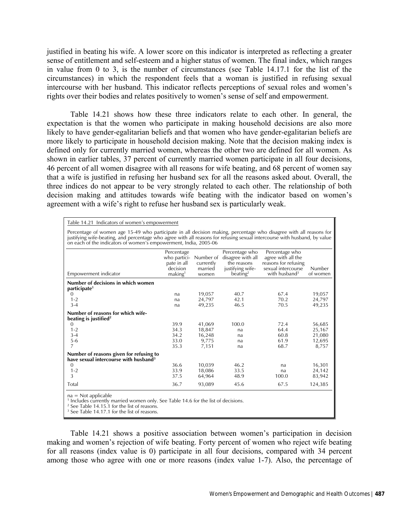justified in beating his wife. A lower score on this indicator is interpreted as reflecting a greater sense of entitlement and self-esteem and a higher status of women. The final index, which ranges in value from 0 to 3, is the number of circumstances (see Table 14.17.1 for the list of the circumstances) in which the respondent feels that a woman is justified in refusing sexual intercourse with her husband. This indicator reflects perceptions of sexual roles and women's rights over their bodies and relates positively to women's sense of self and empowerment.

Table 14.21 shows how these three indicators relate to each other. In general, the expectation is that the women who participate in making household decisions are also more likely to have gender-egalitarian beliefs and that women who have gender-egalitarian beliefs are more likely to participate in household decision making. Note that the decision making index is defined only for currently married women, whereas the other two are defined for all women. As shown in earlier tables, 37 percent of currently married women participate in all four decisions, 46 percent of all women disagree with all reasons for wife beating, and 68 percent of women say that a wife is justified in refusing her husband sex for all the reasons asked about. Overall, the three indices do not appear to be very strongly related to each other. The relationship of both decision making and attitudes towards wife beating with the indicator based on women's agreement with a wife's right to refuse her husband sex is particularly weak.

| Table 14.21 Indicators of women's empowerment |
|-----------------------------------------------|
|-----------------------------------------------|

Percentage of women age 15-49 who participate in all decision making, percentage who disagree with all reasons for justifying wife-beating, and percentage who agree with all reasons for refusing sexual intercourse with husband, by value on each of the indicators of women's empowerment, India, 2005-06

|                                                                                                                                                                                   | Percentage<br>who partici-<br>pate in all<br>decision | Number of<br>currently<br>married | Percentage who<br>disagree with all<br>the reasons<br>justifying wife- | Percentage who<br>agree with all the<br>reasons for refusing<br>sexual intercourse | Number   |
|-----------------------------------------------------------------------------------------------------------------------------------------------------------------------------------|-------------------------------------------------------|-----------------------------------|------------------------------------------------------------------------|------------------------------------------------------------------------------------|----------|
| Empowerment indicator                                                                                                                                                             | making <sup>1</sup>                                   | women                             | beating <sup>2</sup>                                                   | with husband <sup>3</sup>                                                          | of women |
| Number of decisions in which women<br>participate <sup>1</sup>                                                                                                                    |                                                       |                                   |                                                                        |                                                                                    |          |
| $\mathbf{0}$                                                                                                                                                                      | na                                                    | 19,057                            | 40.7                                                                   | 67.4                                                                               | 19,057   |
| $1 - 2$                                                                                                                                                                           | na                                                    | 24,797                            | 42.1                                                                   | 70.2                                                                               | 24,797   |
| $3 - 4$                                                                                                                                                                           | na                                                    | 49,235                            | 46.5                                                                   | 70.5                                                                               | 49,235   |
| Number of reasons for which wife-<br>beating is justified <sup>2</sup>                                                                                                            |                                                       |                                   |                                                                        |                                                                                    |          |
| $\mathbf{0}$                                                                                                                                                                      | 39.9                                                  | 41,069                            | 100.0                                                                  | 72.4                                                                               | 56,685   |
| $1 - 2$                                                                                                                                                                           | 34.3                                                  | 18,847                            | na                                                                     | 64.4                                                                               | 25,167   |
| $3 - 4$                                                                                                                                                                           | 34.2                                                  | 16,248                            | na                                                                     | 60.8                                                                               | 21,080   |
| $5 - 6$                                                                                                                                                                           | 33.0                                                  | 9,775                             | na                                                                     | 61.9                                                                               | 12,695   |
| 7                                                                                                                                                                                 | 35.3                                                  | 7,151                             | na                                                                     | 68.7                                                                               | 8,757    |
| Number of reasons given for refusing to<br>have sexual intercourse with husband <sup>3</sup>                                                                                      |                                                       |                                   |                                                                        |                                                                                    |          |
| $\mathbf{0}$                                                                                                                                                                      | 36.6                                                  | 10,039                            | 46.2                                                                   | na                                                                                 | 16,301   |
| $1 - 2$                                                                                                                                                                           | 33.9                                                  | 18,086                            | 33.5                                                                   | na                                                                                 | 24,142   |
| 3                                                                                                                                                                                 | 37.5                                                  | 64,964                            | 48.9                                                                   | 100.0                                                                              | 83,942   |
| Total                                                                                                                                                                             | 36.7                                                  | 93,089                            | 45.6                                                                   | 67.5                                                                               | 124,385  |
| $na = Not applicable$<br><sup>1</sup> Includes currently married women only. See Table 14.6 for the list of decisions.<br><sup>2</sup> See Table 14.15.1 for the list of reasons. |                                                       |                                   |                                                                        |                                                                                    |          |

<sup>2</sup> See Table 14.15.1 for the list of reasons.<br><sup>3</sup> See Table 14.17.1 for the list of reasons.

Table 14.21 shows a positive association between women's participation in decision making and women's rejection of wife beating. Forty percent of women who reject wife beating for all reasons (index value is 0) participate in all four decisions, compared with 34 percent among those who agree with one or more reasons (index value 1-7). Also, the percentage of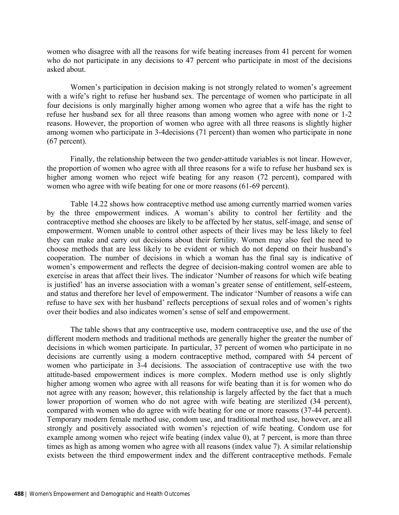women who disagree with all the reasons for wife beating increases from 41 percent for women who do not participate in any decisions to 47 percent who participate in most of the decisions asked about.

Women's participation in decision making is not strongly related to women's agreement with a wife's right to refuse her husband sex. The percentage of women who participate in all four decisions is only marginally higher among women who agree that a wife has the right to refuse her husband sex for all three reasons than among women who agree with none or 1-2 reasons. However, the proportion of women who agree with all three reasons is slightly higher among women who participate in 3-4decisions (71 percent) than women who participate in none (67 percent).

Finally, the relationship between the two gender-attitude variables is not linear. However, the proportion of women who agree with all three reasons for a wife to refuse her husband sex is higher among women who reject wife beating for any reason (72 percent), compared with women who agree with wife beating for one or more reasons (61-69 percent).

Table 14.22 shows how contraceptive method use among currently married women varies by the three empowerment indices. A woman's ability to control her fertility and the contraceptive method she chooses are likely to be affected by her status, self-image, and sense of empowerment. Women unable to control other aspects of their lives may be less likely to feel they can make and carry out decisions about their fertility. Women may also feel the need to choose methods that are less likely to be evident or which do not depend on their husband's cooperation. The number of decisions in which a woman has the final say is indicative of women's empowerment and reflects the degree of decision-making control women are able to exercise in areas that affect their lives. The indicator 'Number of reasons for which wife beating is justified' has an inverse association with a woman's greater sense of entitlement, self-esteem, and status and therefore her level of empowerment. The indicator 'Number of reasons a wife can refuse to have sex with her husband' reflects perceptions of sexual roles and of women's rights over their bodies and also indicates women's sense of self and empowerment.

The table shows that any contraceptive use, modern contraceptive use, and the use of the different modern methods and traditional methods are generally higher the greater the number of decisions in which women participate. In particular, 37 percent of women who participate in no decisions are currently using a modern contraceptive method, compared with 54 percent of women who participate in 3-4 decisions. The association of contraceptive use with the two attitude-based empowerment indices is more complex. Modern method use is only slightly higher among women who agree with all reasons for wife beating than it is for women who do not agree with any reason; however, this relationship is largely affected by the fact that a much lower proportion of women who do not agree with wife beating are sterilized (34 percent), compared with women who do agree with wife beating for one or more reasons (37-44 percent). Temporary modern female method use, condom use, and traditional method use, however, are all strongly and positively associated with women's rejection of wife beating. Condom use for example among women who reject wife beating (index value 0), at 7 percent, is more than three times as high as among women who agree with all reasons (index value 7). A similar relationship exists between the third empowerment index and the different contraceptive methods. Female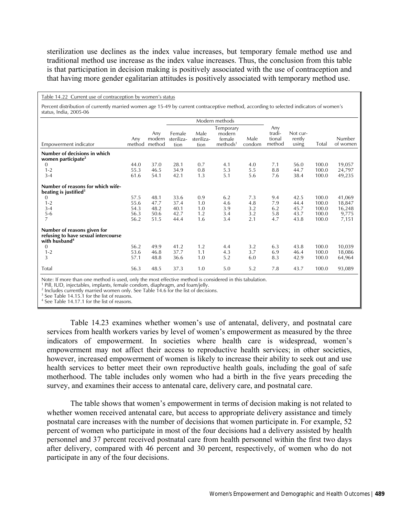sterilization use declines as the index value increases, but temporary female method use and traditional method use increase as the index value increases. Thus, the conclusion from this table is that participation in decision making is positively associated with the use of contraception and that having more gender egalitarian attitudes is positively associated with temporary method use.

#### Table 14.22 Current use of contraception by women's status

Percent distribution of currently married women age 15-49 by current contraceptive method, according to selected indicators of women's status, India, 2005-06

|                                                                                                                      |                                      |                                      |                                      |                                 | Modern methods                                        |                                 |                                   |                                      |                                           |                                              |
|----------------------------------------------------------------------------------------------------------------------|--------------------------------------|--------------------------------------|--------------------------------------|---------------------------------|-------------------------------------------------------|---------------------------------|-----------------------------------|--------------------------------------|-------------------------------------------|----------------------------------------------|
| Empowerment indicator                                                                                                | Any<br>method                        | Any<br>modern<br>method              | Female<br>steriliza-<br>tion         | Male<br>steriliza-<br>tion      | Temporary<br>modern<br>female<br>methods <sup>1</sup> | Male<br>condom                  | Any<br>tradi-<br>tional<br>method | Not cur-<br>rently<br>using          | Total                                     | Number<br>of women                           |
| Number of decisions in which<br>women participate <sup>2</sup><br>0<br>$1 - 2$<br>$3 - 4$                            | 44.0<br>55.3<br>61.6                 | 37.0<br>46.5<br>54.1                 | 28.1<br>34.9<br>42.1                 | 0.7<br>0.8<br>1.3               | 4.1<br>5.3<br>5.1                                     | 4.0<br>5.5<br>5.6               | 7.1<br>8.8<br>7.6                 | 56.0<br>44.7<br>38.4                 | 100.0<br>100.0<br>100.0                   | 19,057<br>24,797<br>49,235                   |
| Number of reasons for which wife-<br>beating is justified <sup>3</sup><br>0<br>$1 - 2$<br>$3 - 4$<br>$5-6$<br>7      | 57.5<br>55.6<br>54.3<br>56.3<br>56.2 | 48.1<br>47.7<br>48.2<br>50.6<br>51.5 | 33.6<br>37.4<br>40.1<br>42.7<br>44.4 | 0.9<br>1.0<br>1.0<br>1.2<br>1.6 | 6.2<br>4.6<br>3.9<br>3.4<br>3.4                       | 7.3<br>4.8<br>3.2<br>3.2<br>2.1 | 9.4<br>7.9<br>6.2<br>5.8<br>4.7   | 42.5<br>44.4<br>45.7<br>43.7<br>43.8 | 100.0<br>100.0<br>100.0<br>100.0<br>100.0 | 41,069<br>18,847<br>16,248<br>9,775<br>7,151 |
| Number of reasons given for<br>refusing to have sexual intercourse<br>with husband <sup>4</sup><br>0<br>$1 - 2$<br>3 | 56.2<br>53.6<br>57.1                 | 49.9<br>46.8<br>48.8                 | 41.2<br>37.7<br>36.6                 | 1.2<br>1.1<br>1.0               | 4.4<br>4.3<br>5.2                                     | 3.2<br>3.7<br>6.0               | 6.3<br>6.9<br>8.3                 | 43.8<br>46.4<br>42.9                 | 100.0<br>100.0<br>100.0                   | 10,039<br>18,086<br>64,964                   |
| Total                                                                                                                | 56.3                                 | 48.5                                 | 37.3                                 | 1.0                             | 5.0                                                   | 5.2                             | 7.8                               | 43.7                                 | 100.0                                     | 93,089                                       |

Note: If more than one method is used, only the most effective method is considered in this tabulation.

<sup>1</sup> Pill, IUD, injectables, implants, female condom, diaphragm, and foam/jelly.<br><sup>2</sup> Includes currently married women only. See Table 14.6 for the list of decisio

<sup>2</sup> Includes currently married women only. See Table 14.6 for the list of decisions.

 $3$  See Table 14.15.1 for the list of reasons.

4 See Table 14.17.1 for the list of reasons.

Table 14.23 examines whether women's use of antenatal, delivery, and postnatal care services from health workers varies by level of women's empowerment as measured by the three indicators of empowerment. In societies where health care is widespread, women's empowerment may not affect their access to reproductive health services; in other societies, however, increased empowerment of women is likely to increase their ability to seek out and use health services to better meet their own reproductive health goals, including the goal of safe motherhood. The table includes only women who had a birth in the five years preceding the survey, and examines their access to antenatal care, delivery care, and postnatal care.

The table shows that women's empowerment in terms of decision making is not related to whether women received antenatal care, but access to appropriate delivery assistance and timely postnatal care increases with the number of decisions that women participate in. For example, 52 percent of women who participate in most of the four decisions had a delivery assisted by health personnel and 37 percent received postnatal care from health personnel within the first two days after delivery, compared with 46 percent and 30 percent, respectively, of women who do not participate in any of the four decisions.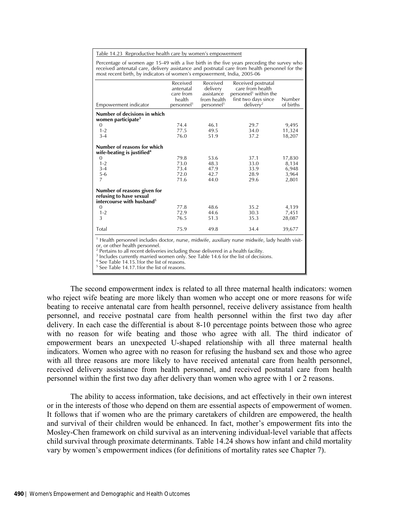Table 14.23 Reproductive health care by women's empowerment

Percentage of women age 15-49 with a live birth in the five years preceding the survey who received antenatal care, delivery assistance and postnatal care from health personnel for the most recent birth, by indicators of women's empowerment, India, 2005-06

|                                                                                                            | Received<br>antenatal  | Received<br>delivery   | Received postnatal<br>care from health |           |
|------------------------------------------------------------------------------------------------------------|------------------------|------------------------|----------------------------------------|-----------|
|                                                                                                            | care from              | assistance             | personnel <sup>1</sup> within the      |           |
|                                                                                                            | health                 | from health            | first two days since                   | Number    |
| Empowerment indicator                                                                                      | personnel <sup>1</sup> | personnel <sup>1</sup> | delivery <sup>2</sup>                  | of births |
| Number of decisions in which                                                                               |                        |                        |                                        |           |
| women participate <sup>3</sup>                                                                             |                        |                        |                                        |           |
| 0                                                                                                          | 74.4                   | 46.1                   | 29.7                                   | 9,495     |
| $1 - 2$                                                                                                    | 77.5                   | 49.5                   | 34.0                                   | 11,324    |
| $3-4$                                                                                                      | 76.0                   | 51.9                   | 37.2                                   | 18,207    |
|                                                                                                            |                        |                        |                                        |           |
| Number of reasons for which<br>wife-beating is justified <sup>4</sup>                                      |                        |                        |                                        |           |
| $\mathbf{0}$                                                                                               | 79.8                   | 53.6                   | 37.1                                   | 17,830    |
| $1 - 2$                                                                                                    | 73.0                   | 48.3                   | 33.0                                   | 8,134     |
| $3 - 4$                                                                                                    | 73.4                   | 47.9                   | 33.9                                   | 6,948     |
| $5 - 6$                                                                                                    | 72.0                   | 42.7                   | 28.9                                   | 3,964     |
| 7                                                                                                          | 71.6                   | 44.0                   | 29.6                                   | 2,801     |
| Number of reasons given for<br>refusing to have sexual                                                     |                        |                        |                                        |           |
| intercourse with husband <sup>5</sup>                                                                      |                        |                        |                                        |           |
| $\Omega$                                                                                                   | 77.8                   | 48.6                   | 35.2                                   | 4,139     |
| $1 - 2$                                                                                                    | 72.9                   | 44.6                   | 30.3                                   | 7,451     |
| 3                                                                                                          | 76.5                   | 51.3                   | 35.3                                   | 28,087    |
| Total                                                                                                      | 75.9                   | 49.8                   | 34.4                                   | 39,677    |
| <sup>1</sup> Health personnel includes doctor, nurse, midwife, auxiliary nurse midwife, lady health visit- |                        |                        |                                        |           |

 Health personnel includes doctor, nurse, midwife, auxiliary nurse midwife, lady health visitor, or other health personnel.

<sup>2</sup> Pertains to all recent deliveries including those delivered in a health facility.<br><sup>3</sup> Includes currently married women only. See Table 14,6 for the list of decisio

 $3$  Includes currently married women only. See Table 14.6 for the list of decisions.

<sup>4</sup> See Table 14.15.1for the list of reasons. 5 See Table 14.17.1for the list of reasons.

The second empowerment index is related to all three maternal health indicators: women who reject wife beating are more likely than women who accept one or more reasons for wife beating to receive antenatal care from health personnel, receive delivery assistance from health personnel, and receive postnatal care from health personnel within the first two day after delivery. In each case the differential is about 8-10 percentage points between those who agree with no reason for wife beating and those who agree with all. The third indicator of empowerment bears an unexpected U-shaped relationship with all three maternal health indicators. Women who agree with no reason for refusing the husband sex and those who agree with all three reasons are more likely to have received antenatal care from health personnel, received delivery assistance from health personnel, and received postnatal care from health personnel within the first two day after delivery than women who agree with 1 or 2 reasons.

The ability to access information, take decisions, and act effectively in their own interest or in the interests of those who depend on them are essential aspects of empowerment of women. It follows that if women who are the primary caretakers of children are empowered, the health and survival of their children would be enhanced. In fact, mother's empowerment fits into the Mosley-Chen framework on child survival as an intervening individual-level variable that affects child survival through proximate determinants. Table 14.24 shows how infant and child mortality vary by women's empowerment indices (for definitions of mortality rates see Chapter 7).